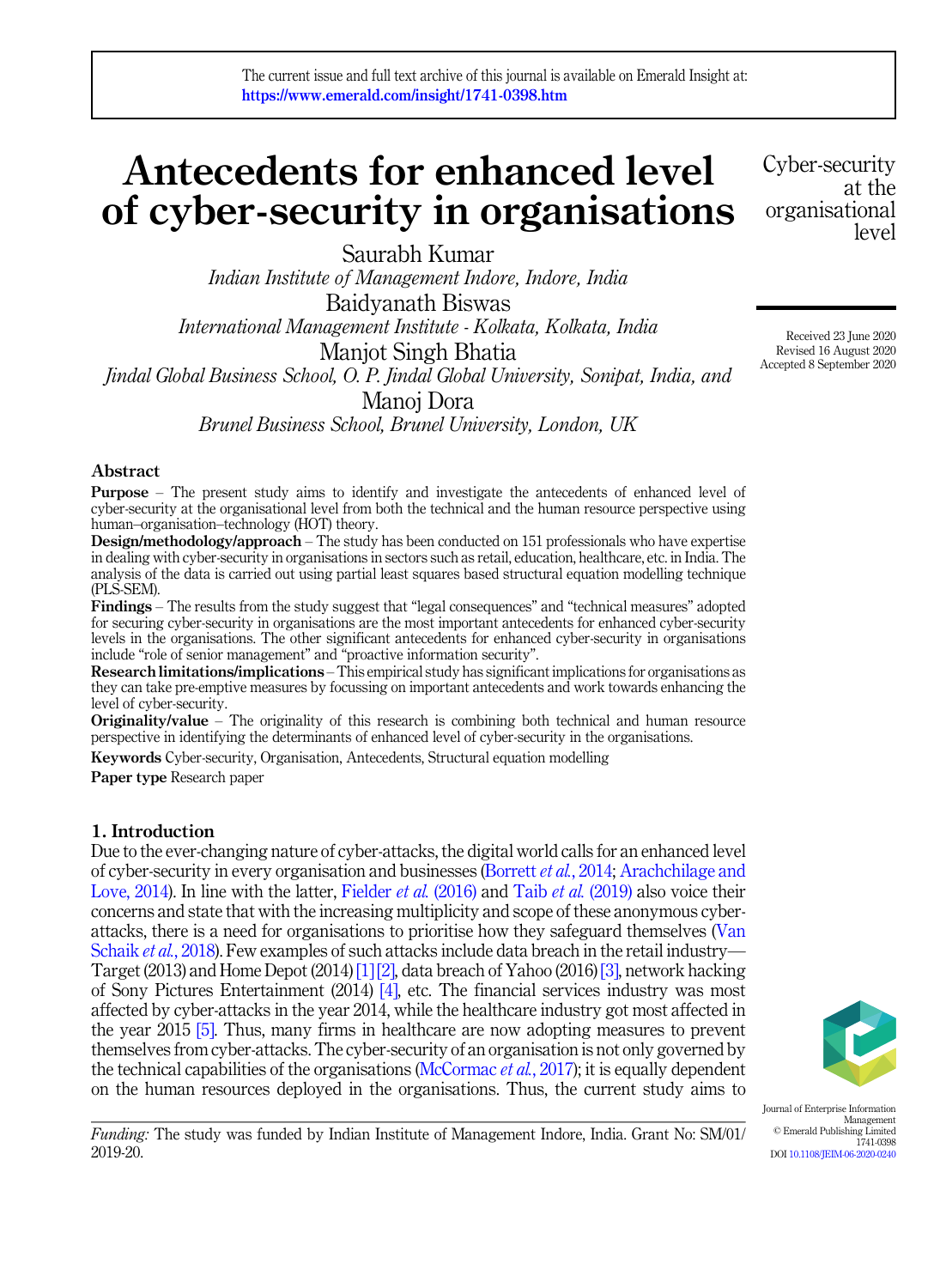# Antecedents for enhanced level of cyber-security in organisations

Saurabh Kumar *Indian Institute of Management Indore, Indore, India* Baidyanath Biswas *International Management Institute - Kolkata, Kolkata, India* Manjot Singh Bhatia *Jindal Global Business School, O. P. Jindal Global University, Sonipat, India, and* Manoj Dora *Brunel Business School, Brunel University, London, UK*

## Abstract

Purpose – The present study aims to identify and investigate the antecedents of enhanced level of cyber-security at the organisational level from both the technical and the human resource perspective using human–organisation–technology (HOT) theory.

Design/methodology/approach – The study has been conducted on 151 professionals who have expertise in dealing with cyber-security in organisations in sectors such as retail, education, healthcare, etc. in India. The analysis of the data is carried out using partial least squares based structural equation modelling technique (PLS-SEM).

Findings – The results from the study suggest that "legal consequences" and "technical measures" adopted for securing cyber-security in organisations are the most important antecedents for enhanced cyber-security levels in the organisations. The other significant antecedents for enhanced cyber-security in organisations include "role of senior management" and "proactive information security".

Research limitations/implications – This empirical study has significant implications for organisations as they can take pre-emptive measures by focussing on important antecedents and work towards enhancing the level of cyber-security.

**Originality/value** – The originality of this research is combining both technical and human resource perspective in identifying the determinants of enhanced level of cyber-security in the organisations.

Keywords Cyber-security, Organisation, Antecedents, Structural equation modelling Paper type Research paper

## 1. Introduction

Due to the ever-changing nature of cyber-attacks, the digital world calls for an enhanced level of cyber-security in every organisation and businesses (Borrett *et al.*, 2014; Arachchilage and Love, 2014). In line with the latter, Fielder *et al.* (2016) and Taib *et al.* (2019) also voice their concerns and state that with the increasing multiplicity and scope of these anonymous cyberattacks, there is a need for organisations to prioritise how they safeguard themselves (Van Schaik *et al.*, 2018). Few examples of such attacks include data breach in the retail industry— Target (2013) and Home Depot (2014) [1] [2], data breach of Yahoo (2016) [3], network hacking of Sony Pictures Entertainment (2014) [4], etc. The financial services industry was most affected by cyber-attacks in the year 2014, while the healthcare industry got most affected in the year 2015 [5]. Thus, many firms in healthcare are now adopting measures to prevent themselves from cyber-attacks. The cyber-security of an organisation is not only governed by the technical capabilities of the organisations (McCormac *et al.*, 2017); it is equally dependent on the human resources deployed in the organisations. Thus, the current study aims to



Journal of Enterprise Information Management © Emerald Publishing Limited 1741-0398 DOI 10.1108/JEIM-06-2020-0240

*Funding:* The study was funded by Indian Institute of Management Indore, India. Grant No: SM/01/ 2019-20.

Cyber-security at the organisational level

Received 23 June 2020 Revised 16 August 2020 Accepted 8 September 2020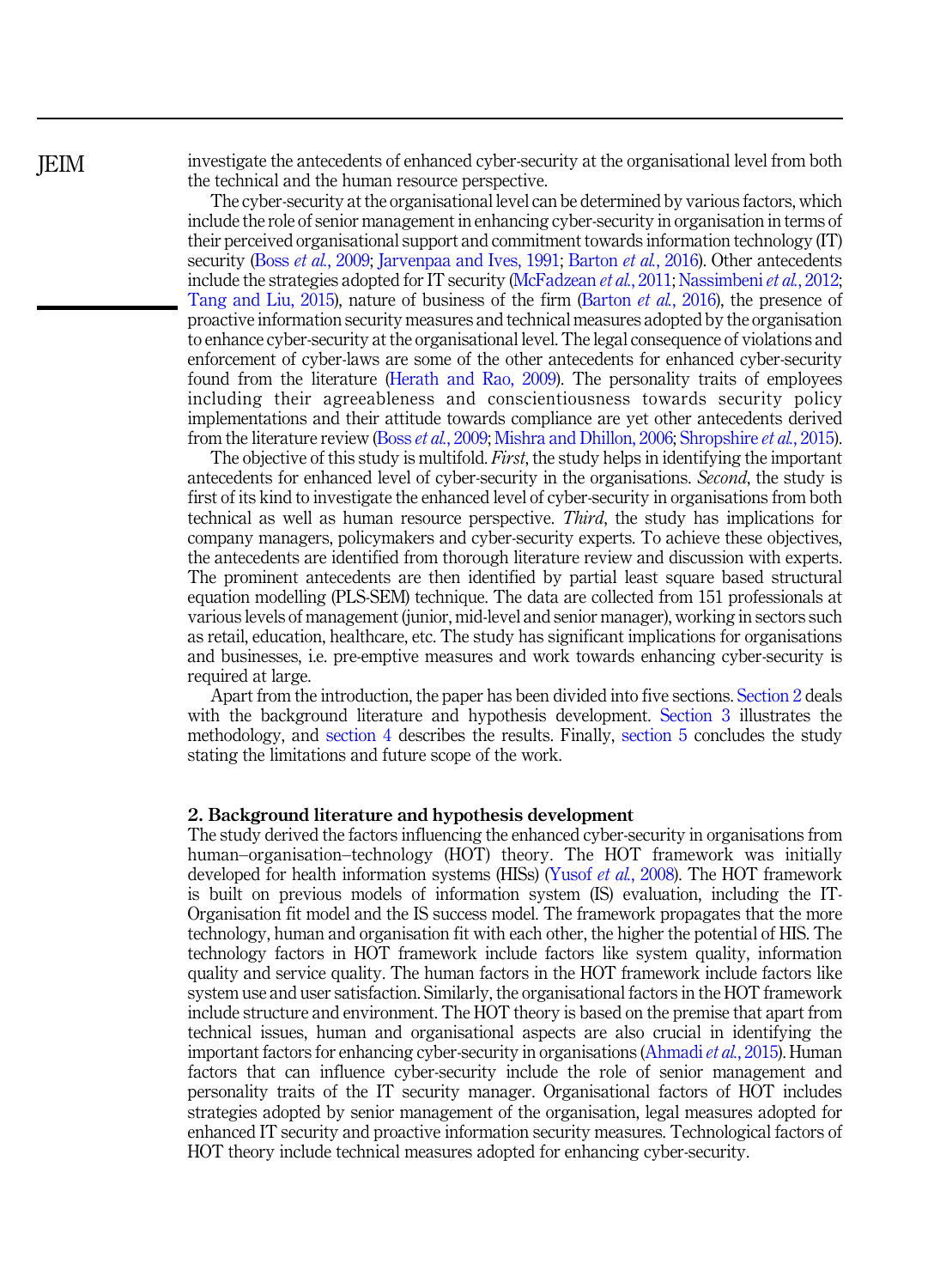investigate the antecedents of enhanced cyber-security at the organisational level from both the technical and the human resource perspective.

The cyber-security at the organisational level can be determined by various factors, which include the role of senior management in enhancing cyber-security in organisation in terms of their perceived organisational support and commitment towards information technology (IT) security (Boss *et al.*, 2009; Jarvenpaa and Ives, 1991; Barton *et al.*, 2016). Other antecedents include the strategies adopted for IT security (McFadzean *et al.*, 2011; Nassimbeni*et al.*, 2012; Tang and Liu, 2015), nature of business of the firm (Barton *et al.*, 2016), the presence of proactive information security measures and technical measures adopted by the organisation to enhance cyber-security at the organisational level. The legal consequence of violations and enforcement of cyber-laws are some of the other antecedents for enhanced cyber-security found from the literature (Herath and Rao, 2009). The personality traits of employees including their agreeableness and conscientiousness towards security policy implementations and their attitude towards compliance are yet other antecedents derived from the literature review (Boss *et al.*, 2009; Mishra and Dhillon, 2006; Shropshire *et al.*, 2015).

The objective of this study is multifold. *First*, the study helps in identifying the important antecedents for enhanced level of cyber-security in the organisations. *Second*, the study is first of its kind to investigate the enhanced level of cyber-security in organisations from both technical as well as human resource perspective. *Third*, the study has implications for company managers, policymakers and cyber-security experts. To achieve these objectives, the antecedents are identified from thorough literature review and discussion with experts. The prominent antecedents are then identified by partial least square based structural equation modelling (PLS-SEM) technique. The data are collected from 151 professionals at various levels of management (junior, mid-level and senior manager), working in sectors such as retail, education, healthcare, etc. The study has significant implications for organisations and businesses, i.e. pre-emptive measures and work towards enhancing cyber-security is required at large.

Apart from the introduction, the paper has been divided into five sections. Section 2 deals with the background literature and hypothesis development. Section 3 illustrates the methodology, and section 4 describes the results. Finally, section 5 concludes the study stating the limitations and future scope of the work.

#### 2. Background literature and hypothesis development

The study derived the factors influencing the enhanced cyber-security in organisations from human–organisation–technology (HOT) theory. The HOT framework was initially developed for health information systems (HISs) (Yusof *et al.*, 2008). The HOT framework is built on previous models of information system (IS) evaluation, including the IT-Organisation fit model and the IS success model. The framework propagates that the more technology, human and organisation fit with each other, the higher the potential of HIS. The technology factors in HOT framework include factors like system quality, information quality and service quality. The human factors in the HOT framework include factors like system use and user satisfaction. Similarly, the organisational factors in the HOT framework include structure and environment. The HOT theory is based on the premise that apart from technical issues, human and organisational aspects are also crucial in identifying the important factors for enhancing cyber-security in organisations (Ahmadi*et al.*, 2015). Human factors that can influence cyber-security include the role of senior management and personality traits of the IT security manager. Organisational factors of HOT includes strategies adopted by senior management of the organisation, legal measures adopted for enhanced IT security and proactive information security measures. Technological factors of HOT theory include technical measures adopted for enhancing cyber-security.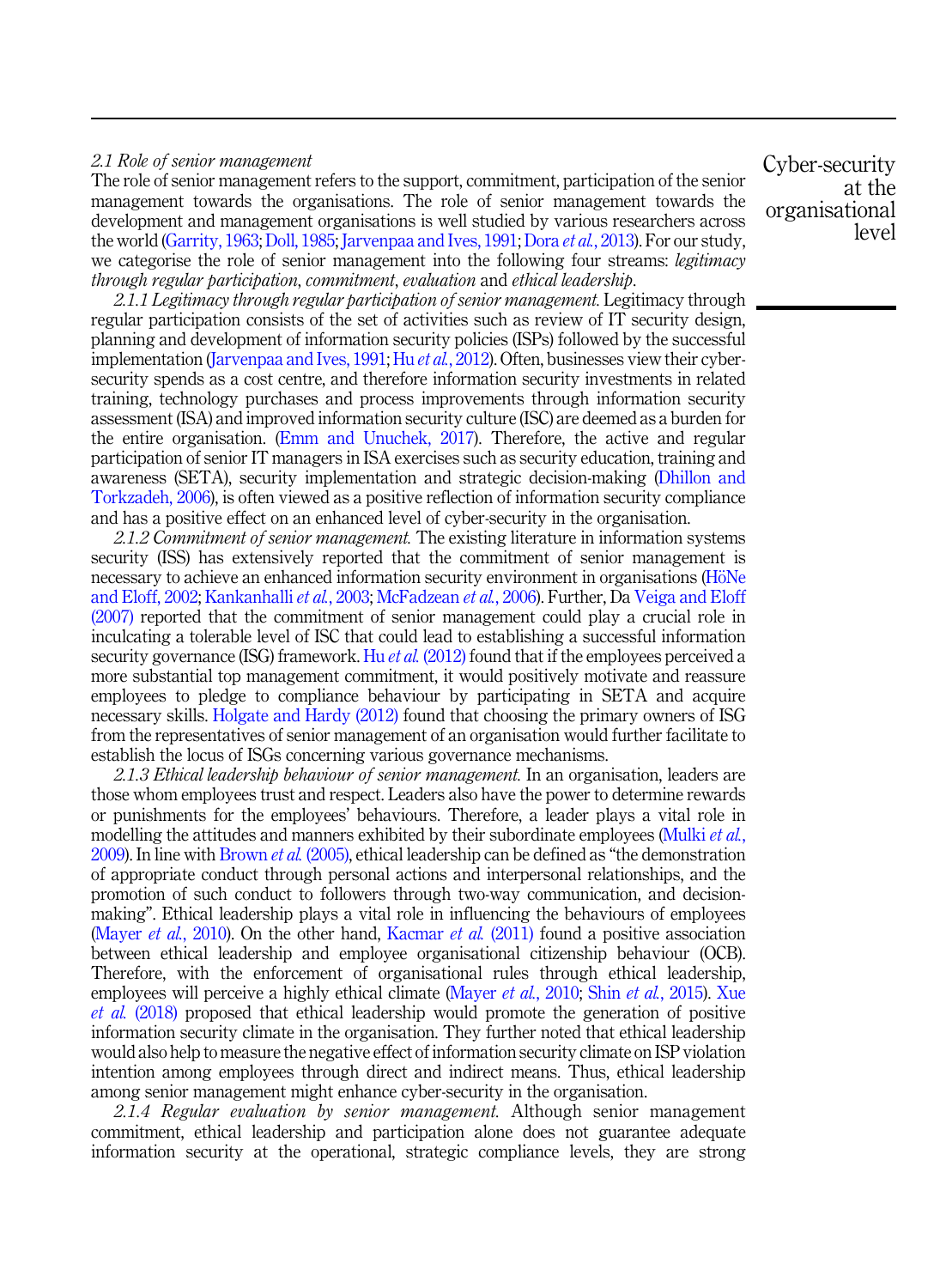## *2.1 Role of senior management*

The role of senior management refers to the support, commitment, participation of the senior management towards the organisations. The role of senior management towards the development and management organisations is well studied by various researchers across the world (Garrity, 1963; Doll, 1985; Jarvenpaa and Ives, 1991; Dora *et al.*, 2013). For our study, we categorise the role of senior management into the following four streams: *legitimacy through regular participation*, *commitment*, *evaluation* and *ethical leadership*.

*2.1.1 Legitimacy through regular participation of senior management.* Legitimacy through regular participation consists of the set of activities such as review of IT security design, planning and development of information security policies (ISPs) followed by the successful implementation (Jarvenpaa and Ives, 1991; Hu *et al.*, 2012). Often, businesses view their cybersecurity spends as a cost centre, and therefore information security investments in related training, technology purchases and process improvements through information security assessment (ISA) and improved information security culture (ISC) are deemed as a burden for the entire organisation. (Emm and Unuchek, 2017). Therefore, the active and regular participation of senior IT managers in ISA exercises such as security education, training and awareness (SETA), security implementation and strategic decision-making (Dhillon and Torkzadeh, 2006), is often viewed as a positive reflection of information security compliance and has a positive effect on an enhanced level of cyber-security in the organisation.

*2.1.2 Commitment of senior management.* The existing literature in information systems security (ISS) has extensively reported that the commitment of senior management is necessary to achieve an enhanced information security environment in organisations (HöNe and Eloff, 2002; Kankanhalli *et al.*, 2003; McFadzean *et al.*, 2006). Further, Da Veiga and Eloff (2007) reported that the commitment of senior management could play a crucial role in inculcating a tolerable level of ISC that could lead to establishing a successful information security governance (ISG) framework. Hu *et al.* (2012) found that if the employees perceived a more substantial top management commitment, it would positively motivate and reassure employees to pledge to compliance behaviour by participating in SETA and acquire necessary skills. Holgate and Hardy (2012) found that choosing the primary owners of ISG from the representatives of senior management of an organisation would further facilitate to establish the locus of ISGs concerning various governance mechanisms.

*2.1.3 Ethical leadership behaviour of senior management.* In an organisation, leaders are those whom employees trust and respect. Leaders also have the power to determine rewards or punishments for the employees' behaviours. Therefore, a leader plays a vital role in modelling the attitudes and manners exhibited by their subordinate employees (Mulki *et al.*, 2009). In line with Brown *et al.* (2005), ethical leadership can be defined as "the demonstration of appropriate conduct through personal actions and interpersonal relationships, and the promotion of such conduct to followers through two-way communication, and decisionmaking". Ethical leadership plays a vital role in influencing the behaviours of employees (Mayer *et al.*, 2010). On the other hand, Kacmar *et al.* (2011) found a positive association between ethical leadership and employee organisational citizenship behaviour (OCB). Therefore, with the enforcement of organisational rules through ethical leadership, employees will perceive a highly ethical climate (Mayer *et al.*, 2010; Shin *et al.*, 2015). Xue *et al.* (2018) proposed that ethical leadership would promote the generation of positive information security climate in the organisation. They further noted that ethical leadership would also help to measure the negative effect of information security climate on ISP violation intention among employees through direct and indirect means. Thus, ethical leadership among senior management might enhance cyber-security in the organisation.

*2.1.4 Regular evaluation by senior management.* Although senior management commitment, ethical leadership and participation alone does not guarantee adequate information security at the operational, strategic compliance levels, they are strong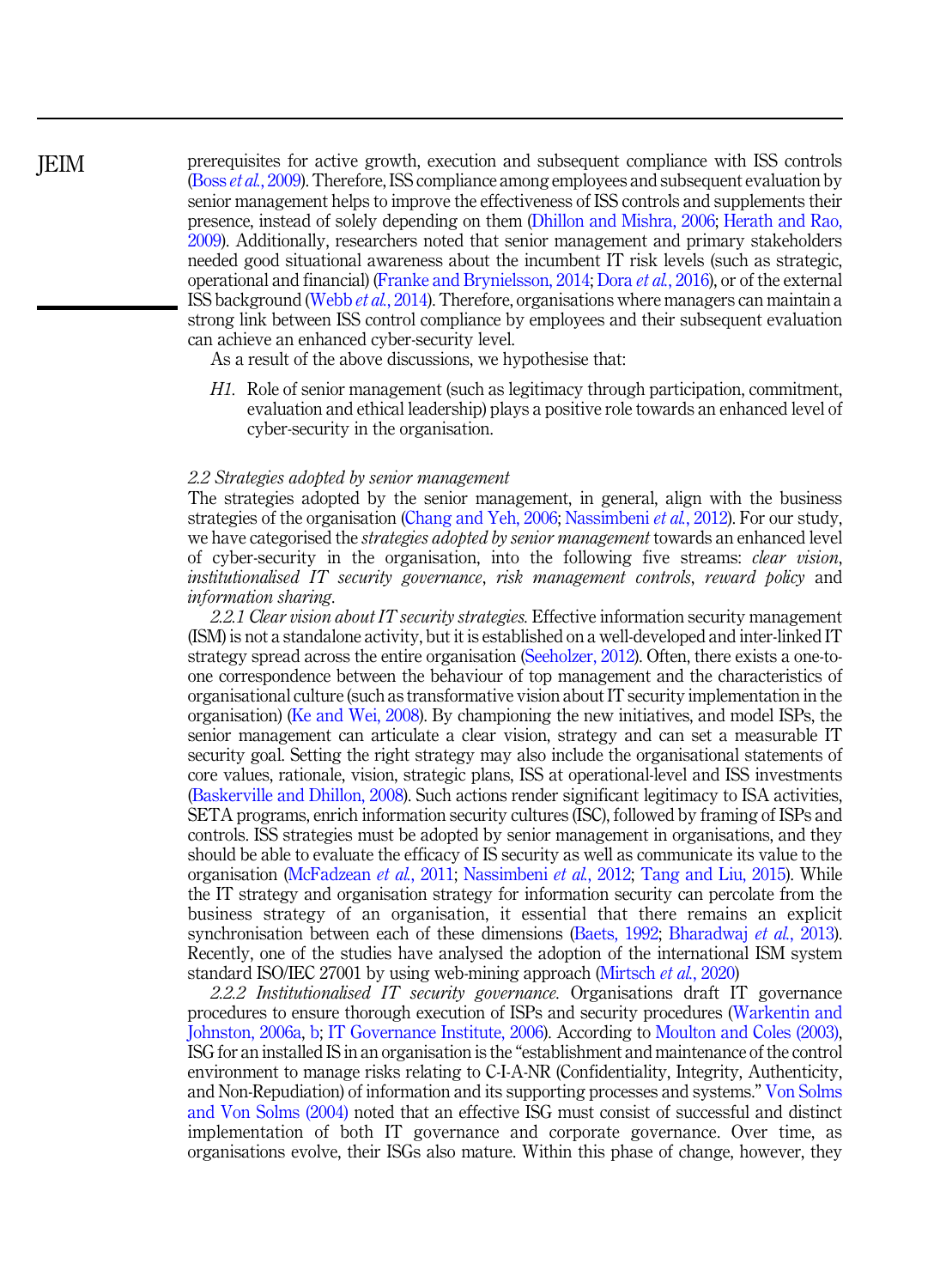prerequisites for active growth, execution and subsequent compliance with ISS controls (Boss *et al.*, 2009). Therefore, ISS compliance among employees and subsequent evaluation by senior management helps to improve the effectiveness of ISS controls and supplements their presence, instead of solely depending on them (Dhillon and Mishra, 2006; Herath and Rao, 2009). Additionally, researchers noted that senior management and primary stakeholders needed good situational awareness about the incumbent IT risk levels (such as strategic, operational and financial) (Franke and Brynielsson, 2014; Dora *et al.*, 2016), or of the external ISS background (Webb *et al.*, 2014). Therefore, organisations where managers can maintain a strong link between ISS control compliance by employees and their subsequent evaluation can achieve an enhanced cyber-security level.

As a result of the above discussions, we hypothesise that:

*H1.* Role of senior management (such as legitimacy through participation, commitment, evaluation and ethical leadership) plays a positive role towards an enhanced level of cyber-security in the organisation.

#### *2.2 Strategies adopted by senior management*

The strategies adopted by the senior management, in general, align with the business strategies of the organisation (Chang and Yeh, 2006; Nassimbeni *et al.*, 2012). For our study, we have categorised the *strategies adopted by senior management* towards an enhanced level of cyber-security in the organisation, into the following five streams: *clear vision*, *institutionalised IT security governance*, *risk management controls*, *reward policy* and *information sharing*.

*2.2.1 Clear vision about IT security strategies.* Effective information security management (ISM) is not a standalone activity, but it is established on a well-developed and inter-linked IT strategy spread across the entire organisation (Seeholzer, 2012). Often, there exists a one-toone correspondence between the behaviour of top management and the characteristics of organisational culture (such as transformative vision about IT security implementation in the organisation) (Ke and Wei, 2008). By championing the new initiatives, and model ISPs, the senior management can articulate a clear vision, strategy and can set a measurable IT security goal. Setting the right strategy may also include the organisational statements of core values, rationale, vision, strategic plans, ISS at operational-level and ISS investments (Baskerville and Dhillon, 2008). Such actions render significant legitimacy to ISA activities, SETA programs, enrich information security cultures (ISC), followed by framing of ISPs and controls. ISS strategies must be adopted by senior management in organisations, and they should be able to evaluate the efficacy of IS security as well as communicate its value to the organisation (McFadzean *et al.*, 2011; Nassimbeni *et al.*, 2012; Tang and Liu, 2015). While the IT strategy and organisation strategy for information security can percolate from the business strategy of an organisation, it essential that there remains an explicit synchronisation between each of these dimensions (Baets, 1992; Bharadwaj *et al.*, 2013). Recently, one of the studies have analysed the adoption of the international ISM system standard ISO/IEC 27001 by using web-mining approach (Mirtsch *et al.*, 2020)

*2.2.2 Institutionalised IT security governance.* Organisations draft IT governance procedures to ensure thorough execution of ISPs and security procedures (Warkentin and Johnston, 2006a, b; IT Governance Institute, 2006). According to Moulton and Coles (2003), ISG for an installed IS in an organisation is the "establishment and maintenance of the control environment to manage risks relating to C-I-A-NR (Confidentiality, Integrity, Authenticity, and Non-Repudiation) of information and its supporting processes and systems." Von Solms and Von Solms (2004) noted that an effective ISG must consist of successful and distinct implementation of both IT governance and corporate governance. Over time, as organisations evolve, their ISGs also mature. Within this phase of change, however, they

JEIM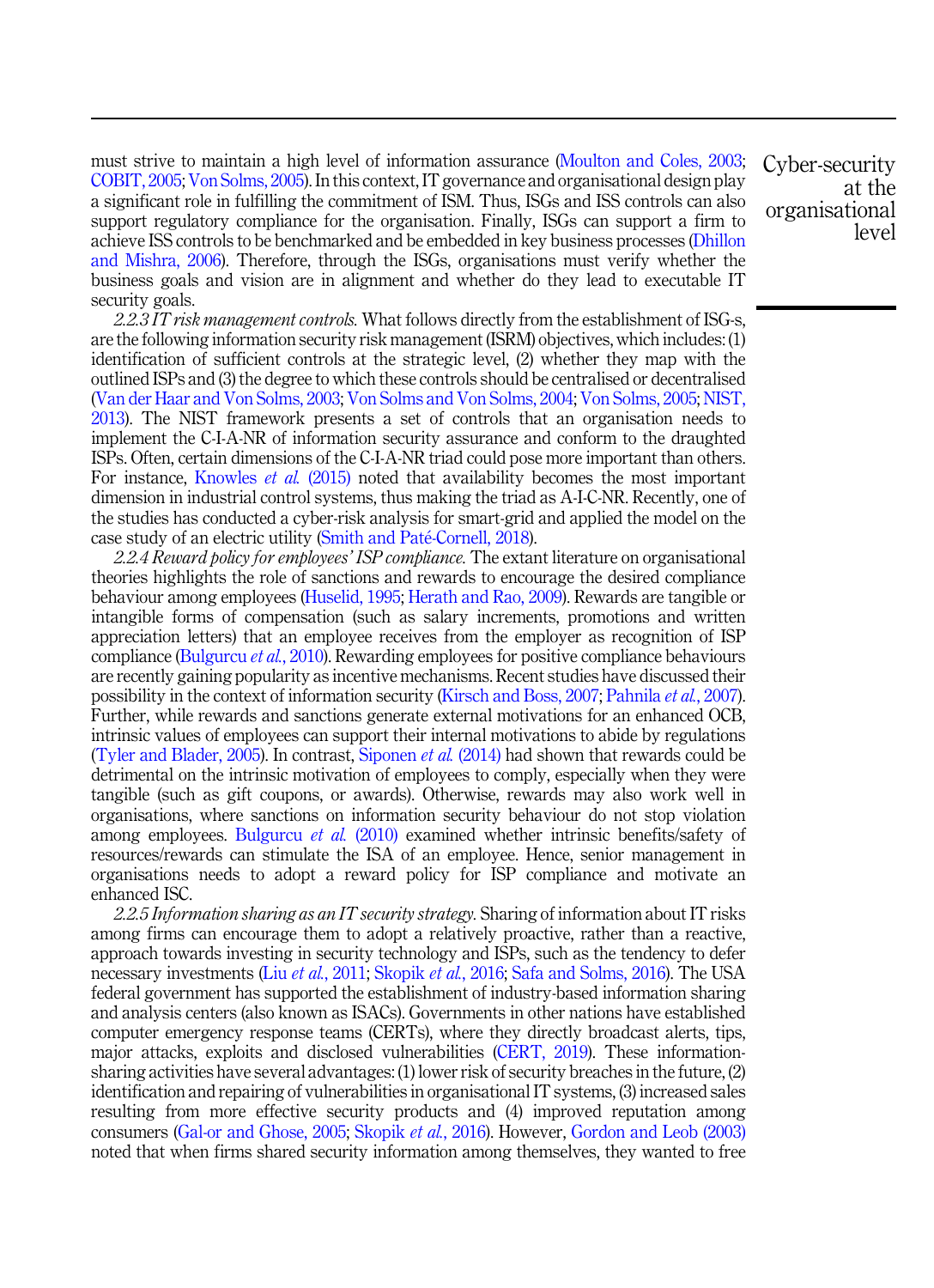must strive to maintain a high level of information assurance (Moulton and Coles, 2003; COBIT, 2005; Von Solms, 2005). In this context, IT governance and organisational design play a significant role in fulfilling the commitment of ISM. Thus, ISGs and ISS controls can also support regulatory compliance for the organisation. Finally, ISGs can support a firm to achieve ISS controls to be benchmarked and be embedded in key business processes (Dhillon and Mishra, 2006). Therefore, through the ISGs, organisations must verify whether the business goals and vision are in alignment and whether do they lead to executable IT security goals.

*2.2.3 IT risk management controls.* What follows directly from the establishment of ISG-s, are the following information security risk management (ISRM) objectives, which includes: (1) identification of sufficient controls at the strategic level, (2) whether they map with the outlined ISPs and (3) the degree to which these controls should be centralised or decentralised (Van der Haar and Von Solms, 2003; Von Solms and Von Solms, 2004; Von Solms, 2005; NIST, 2013). The NIST framework presents a set of controls that an organisation needs to implement the C-I-A-NR of information security assurance and conform to the draughted ISPs. Often, certain dimensions of the C-I-A-NR triad could pose more important than others. For instance, Knowles *et al.* (2015) noted that availability becomes the most important dimension in industrial control systems, thus making the triad as A-I-C-NR. Recently, one of the studies has conducted a cyber-risk analysis for smart-grid and applied the model on the case study of an electric utility (Smith and Paté-Cornell, 2018).

*2.2.4 Reward policy for employees*' *ISP compliance.* The extant literature on organisational theories highlights the role of sanctions and rewards to encourage the desired compliance behaviour among employees (Huselid, 1995; Herath and Rao, 2009). Rewards are tangible or intangible forms of compensation (such as salary increments, promotions and written appreciation letters) that an employee receives from the employer as recognition of ISP compliance (Bulgurcu *et al.*, 2010). Rewarding employees for positive compliance behaviours are recently gaining popularity as incentive mechanisms. Recent studies have discussed their possibility in the context of information security (Kirsch and Boss, 2007; Pahnila *et al.*, 2007). Further, while rewards and sanctions generate external motivations for an enhanced OCB, intrinsic values of employees can support their internal motivations to abide by regulations (Tyler and Blader, 2005). In contrast, Siponen *et al.* (2014) had shown that rewards could be detrimental on the intrinsic motivation of employees to comply, especially when they were tangible (such as gift coupons, or awards). Otherwise, rewards may also work well in organisations, where sanctions on information security behaviour do not stop violation among employees. Bulgurcu *et al.* (2010) examined whether intrinsic benefits/safety of resources/rewards can stimulate the ISA of an employee. Hence, senior management in organisations needs to adopt a reward policy for ISP compliance and motivate an enhanced ISC.

*2.2.5 Information sharing as an IT security strategy.* Sharing of information about IT risks among firms can encourage them to adopt a relatively proactive, rather than a reactive, approach towards investing in security technology and ISPs, such as the tendency to defer necessary investments (Liu *et al.*, 2011; Skopik *et al.*, 2016; Safa and Solms, 2016). The USA federal government has supported the establishment of industry-based information sharing and analysis centers (also known as ISACs). Governments in other nations have established computer emergency response teams (CERTs), where they directly broadcast alerts, tips, major attacks, exploits and disclosed vulnerabilities (CERT, 2019). These informationsharing activities have several advantages: (1) lower risk of security breaches in the future, (2) identification and repairing of vulnerabilities in organisational IT systems, (3) increased sales resulting from more effective security products and (4) improved reputation among consumers (Gal-or and Ghose, 2005; Skopik *et al.*, 2016). However, Gordon and Leob (2003) noted that when firms shared security information among themselves, they wanted to free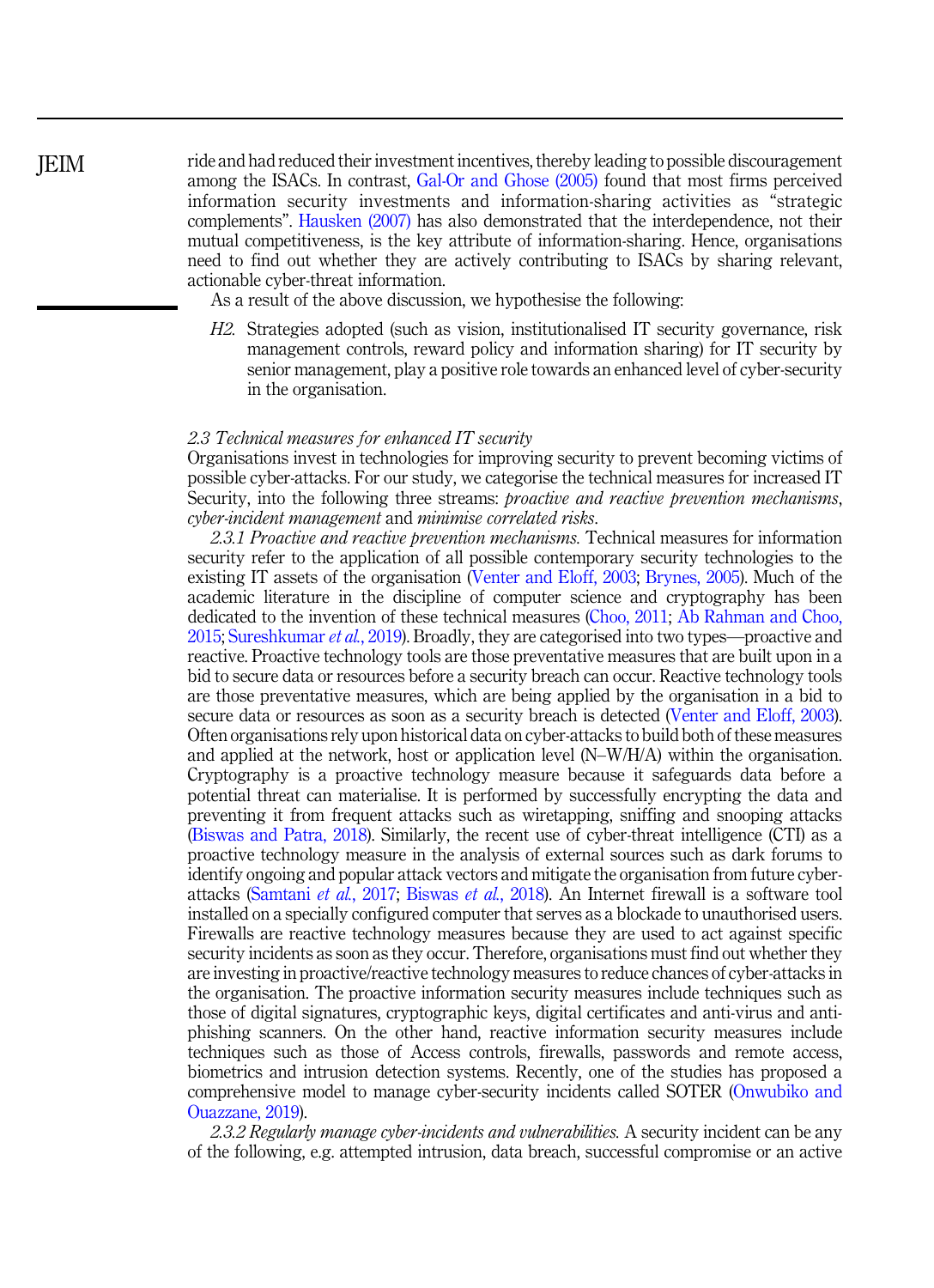## **IEIM**

ride and had reduced their investment incentives, thereby leading to possible discouragement among the ISACs. In contrast, Gal-Or and Ghose (2005) found that most firms perceived information security investments and information-sharing activities as "strategic complements". Hausken (2007) has also demonstrated that the interdependence, not their mutual competitiveness, is the key attribute of information-sharing. Hence, organisations need to find out whether they are actively contributing to ISACs by sharing relevant, actionable cyber-threat information.

As a result of the above discussion, we hypothesise the following:

*H2.* Strategies adopted (such as vision, institutionalised IT security governance, risk management controls, reward policy and information sharing) for IT security by senior management, play a positive role towards an enhanced level of cyber-security in the organisation.

#### *2.3 Technical measures for enhanced IT security*

Organisations invest in technologies for improving security to prevent becoming victims of possible cyber-attacks. For our study, we categorise the technical measures for increased IT Security, into the following three streams: *proactive and reactive prevention mechanisms*, *cyber-incident management* and *minimise correlated risks*.

*2.3.1 Proactive and reactive prevention mechanisms.* Technical measures for information security refer to the application of all possible contemporary security technologies to the existing IT assets of the organisation (Venter and Eloff, 2003; Brynes, 2005). Much of the academic literature in the discipline of computer science and cryptography has been dedicated to the invention of these technical measures (Choo, 2011; Ab Rahman and Choo, 2015; Sureshkumar *et al.*, 2019). Broadly, they are categorised into two types—proactive and reactive. Proactive technology tools are those preventative measures that are built upon in a bid to secure data or resources before a security breach can occur. Reactive technology tools are those preventative measures, which are being applied by the organisation in a bid to secure data or resources as soon as a security breach is detected (Venter and Eloff, 2003). Often organisations rely upon historical data on cyber-attacks to build both of these measures and applied at the network, host or application level (N–W/H/A) within the organisation. Cryptography is a proactive technology measure because it safeguards data before a potential threat can materialise. It is performed by successfully encrypting the data and preventing it from frequent attacks such as wiretapping, sniffing and snooping attacks (Biswas and Patra, 2018). Similarly, the recent use of cyber-threat intelligence (CTI) as a proactive technology measure in the analysis of external sources such as dark forums to identify ongoing and popular attack vectors and mitigate the organisation from future cyberattacks (Samtani *et al.*, 2017; Biswas *et al.*, 2018). An Internet firewall is a software tool installed on a specially configured computer that serves as a blockade to unauthorised users. Firewalls are reactive technology measures because they are used to act against specific security incidents as soon as they occur. Therefore, organisations must find out whether they are investing in proactive/reactive technology measures to reduce chances of cyber-attacks in the organisation. The proactive information security measures include techniques such as those of digital signatures, cryptographic keys, digital certificates and anti-virus and antiphishing scanners. On the other hand, reactive information security measures include techniques such as those of Access controls, firewalls, passwords and remote access, biometrics and intrusion detection systems. Recently, one of the studies has proposed a comprehensive model to manage cyber-security incidents called SOTER (Onwubiko and Ouazzane, 2019).

*2.3.2 Regularly manage cyber-incidents and vulnerabilities.* A security incident can be any of the following, e.g. attempted intrusion, data breach, successful compromise or an active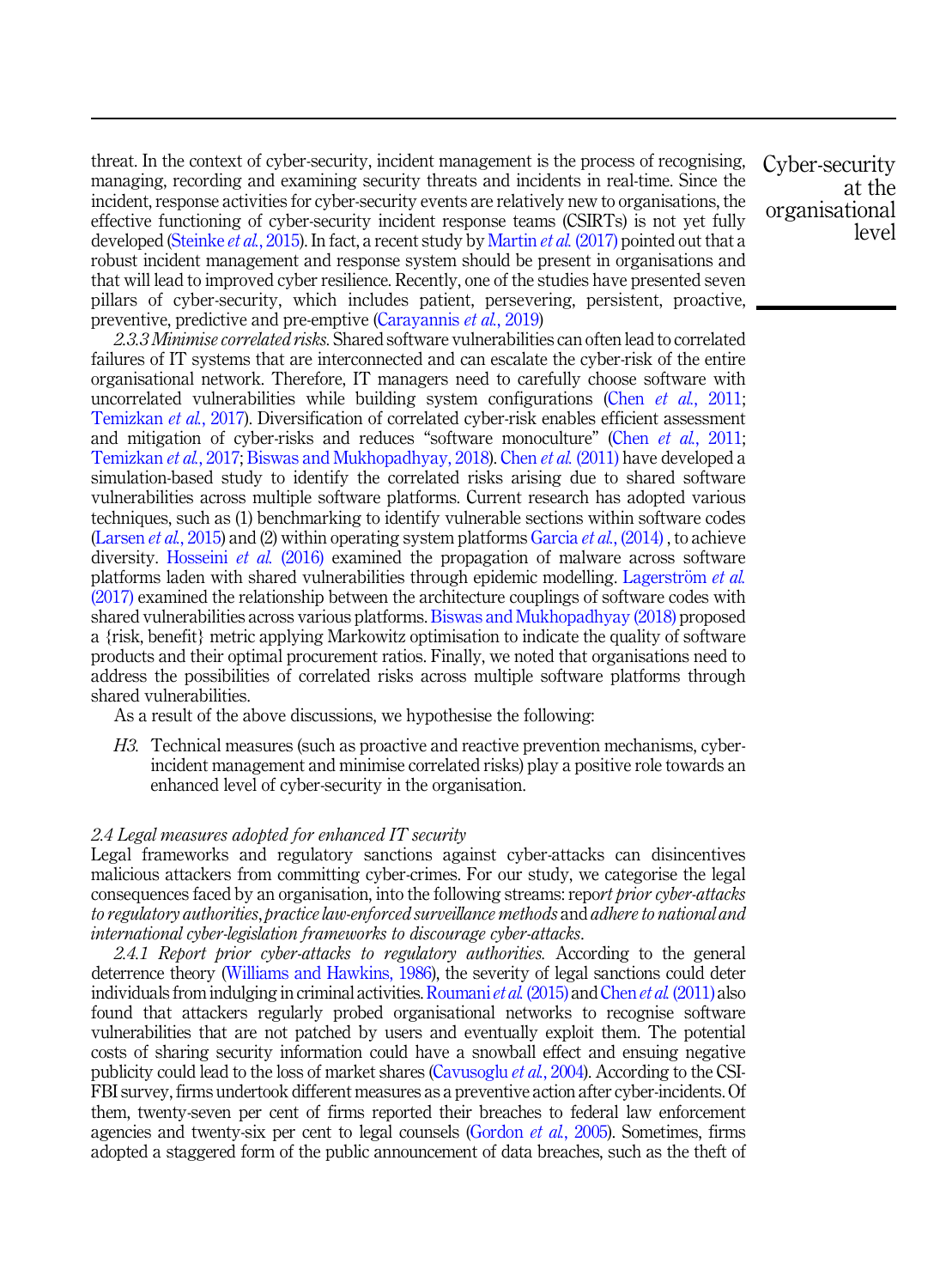threat. In the context of cyber-security, incident management is the process of recognising, managing, recording and examining security threats and incidents in real-time. Since the incident, response activities for cyber-security events are relatively new to organisations, the effective functioning of cyber-security incident response teams (CSIRTs) is not yet fully developed (Steinke *et al.*, 2015). In fact, a recent study by Martin *et al.* (2017) pointed out that a robust incident management and response system should be present in organisations and that will lead to improved cyber resilience. Recently, one of the studies have presented seven pillars of cyber-security, which includes patient, persevering, persistent, proactive, preventive, predictive and pre-emptive (Carayannis *et al.*, 2019)

*2.3.3 Minimise correlated risks.* Shared software vulnerabilities can often lead to correlated failures of IT systems that are interconnected and can escalate the cyber-risk of the entire organisational network. Therefore, IT managers need to carefully choose software with uncorrelated vulnerabilities while building system configurations (Chen *et al.*, 2011; Temizkan *et al.*, 2017). Diversification of correlated cyber-risk enables efficient assessment and mitigation of cyber-risks and reduces "software monoculture" (Chen *et al.*, 2011; Temizkan *et al.*, 2017; Biswas and Mukhopadhyay, 2018). Chen *et al.* (2011) have developed a simulation-based study to identify the correlated risks arising due to shared software vulnerabilities across multiple software platforms. Current research has adopted various techniques, such as (1) benchmarking to identify vulnerable sections within software codes (Larsen *et al.*, 2015) and (2) within operating system platforms Garcia *et al.*, (2014) , to achieve diversity. Hosseini *et al.* (2016) examined the propagation of malware across software platforms laden with shared vulnerabilities through epidemic modelling. Lagerström *et al.* (2017) examined the relationship between the architecture couplings of software codes with shared vulnerabilities across various platforms. Biswas and Mukhopadhyay (2018) proposed a {risk, benefit} metric applying Markowitz optimisation to indicate the quality of software products and their optimal procurement ratios. Finally, we noted that organisations need to address the possibilities of correlated risks across multiple software platforms through shared vulnerabilities.

As a result of the above discussions, we hypothesise the following:

*H3.* Technical measures (such as proactive and reactive prevention mechanisms, cyberincident management and minimise correlated risks) play a positive role towards an enhanced level of cyber-security in the organisation.

## *2.4 Legal measures adopted for enhanced IT security*

Legal frameworks and regulatory sanctions against cyber-attacks can disincentives malicious attackers from committing cyber-crimes. For our study, we categorise the legal consequences faced by an organisation, into the following streams: repo*rt prior cyber-attacks to regulatory authorities*, *practice law-enforced surveillance methods* and *adhere to national and international cyber-legislation frameworks to discourage cyber-attacks*.

*2.4.1 Report prior cyber-attacks to regulatory authorities.* According to the general deterrence theory (Williams and Hawkins, 1986), the severity of legal sanctions could deter individuals from indulging in criminal activities. Roumani*et al.* (2015) and Chen *et al.* (2011) also found that attackers regularly probed organisational networks to recognise software vulnerabilities that are not patched by users and eventually exploit them. The potential costs of sharing security information could have a snowball effect and ensuing negative publicity could lead to the loss of market shares (Cavusoglu *et al.*, 2004). According to the CSI-FBI survey, firms undertook different measures as a preventive action after cyber-incidents. Of them, twenty-seven per cent of firms reported their breaches to federal law enforcement agencies and twenty-six per cent to legal counsels (Gordon *et al.*, 2005). Sometimes, firms adopted a staggered form of the public announcement of data breaches, such as the theft of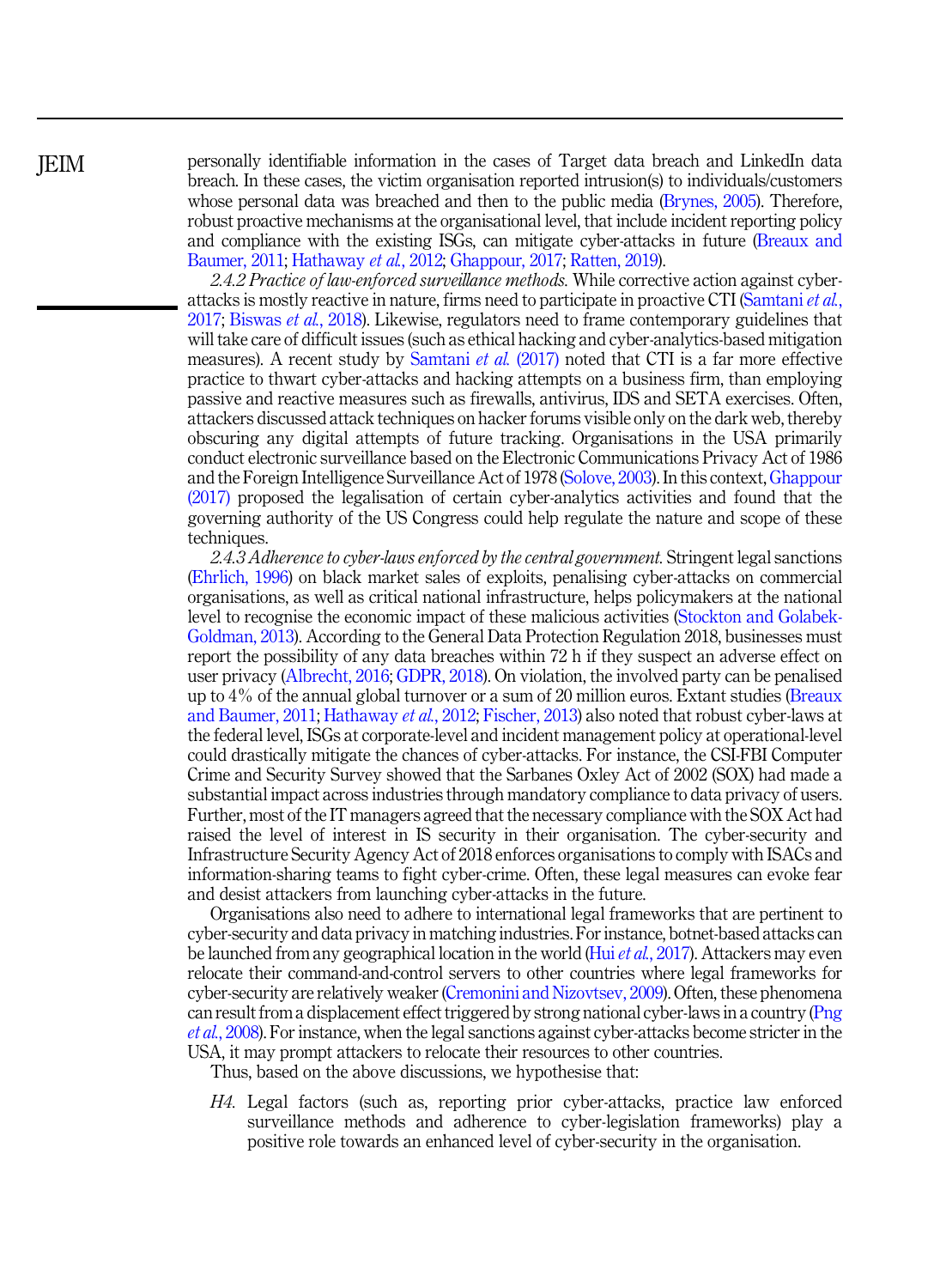personally identifiable information in the cases of Target data breach and LinkedIn data breach. In these cases, the victim organisation reported intrusion(s) to individuals/customers whose personal data was breached and then to the public media (Brynes, 2005). Therefore, robust proactive mechanisms at the organisational level, that include incident reporting policy and compliance with the existing ISGs, can mitigate cyber-attacks in future (Breaux and Baumer, 2011; Hathaway *et al.*, 2012; Ghappour, 2017; Ratten, 2019).

*2.4.2 Practice of law-enforced surveillance methods.* While corrective action against cyberattacks is mostly reactive in nature, firms need to participate in proactive CTI (Samtani *et al.*, 2017; Biswas *et al.*, 2018). Likewise, regulators need to frame contemporary guidelines that will take care of difficult issues (such as ethical hacking and cyber-analytics-based mitigation measures). A recent study by Samtani *et al.* (2017) noted that CTI is a far more effective practice to thwart cyber-attacks and hacking attempts on a business firm, than employing passive and reactive measures such as firewalls, antivirus, IDS and SETA exercises. Often, attackers discussed attack techniques on hacker forums visible only on the dark web, thereby obscuring any digital attempts of future tracking. Organisations in the USA primarily conduct electronic surveillance based on the Electronic Communications Privacy Act of 1986 and the Foreign Intelligence Surveillance Act of 1978 (Solove, 2003). In this context, Ghappour (2017) proposed the legalisation of certain cyber-analytics activities and found that the governing authority of the US Congress could help regulate the nature and scope of these techniques.

*2.4.3 Adherence to cyber-laws enforced by the central government.* Stringent legal sanctions (Ehrlich, 1996) on black market sales of exploits, penalising cyber-attacks on commercial organisations, as well as critical national infrastructure, helps policymakers at the national level to recognise the economic impact of these malicious activities (Stockton and Golabek-Goldman, 2013). According to the General Data Protection Regulation 2018, businesses must report the possibility of any data breaches within 72 h if they suspect an adverse effect on user privacy (Albrecht, 2016; GDPR, 2018). On violation, the involved party can be penalised up to 4% of the annual global turnover or a sum of 20 million euros. Extant studies (Breaux and Baumer, 2011; Hathaway *et al.*, 2012; Fischer, 2013) also noted that robust cyber-laws at the federal level, ISGs at corporate-level and incident management policy at operational-level could drastically mitigate the chances of cyber-attacks. For instance, the CSI-FBI Computer Crime and Security Survey showed that the Sarbanes Oxley Act of 2002 (SOX) had made a substantial impact across industries through mandatory compliance to data privacy of users. Further, most of the IT managers agreed that the necessary compliance with the SOX Act had raised the level of interest in IS security in their organisation. The cyber-security and Infrastructure Security Agency Act of 2018 enforces organisations to comply with ISACs and information-sharing teams to fight cyber-crime. Often, these legal measures can evoke fear and desist attackers from launching cyber-attacks in the future.

Organisations also need to adhere to international legal frameworks that are pertinent to cyber-security and data privacy in matching industries. For instance, botnet-based attacks can be launched from any geographical location in the world (Hui*et al.*, 2017). Attackers may even relocate their command-and-control servers to other countries where legal frameworks for cyber-security are relatively weaker (Cremonini and Nizovtsev, 2009). Often, these phenomena can result from a displacement effect triggered by strong national cyber-laws in a country (Png *et al.*, 2008). For instance, when the legal sanctions against cyber-attacks become stricter in the USA, it may prompt attackers to relocate their resources to other countries.

Thus, based on the above discussions, we hypothesise that:

*H4.* Legal factors (such as, reporting prior cyber-attacks, practice law enforced surveillance methods and adherence to cyber-legislation frameworks) play a positive role towards an enhanced level of cyber-security in the organisation.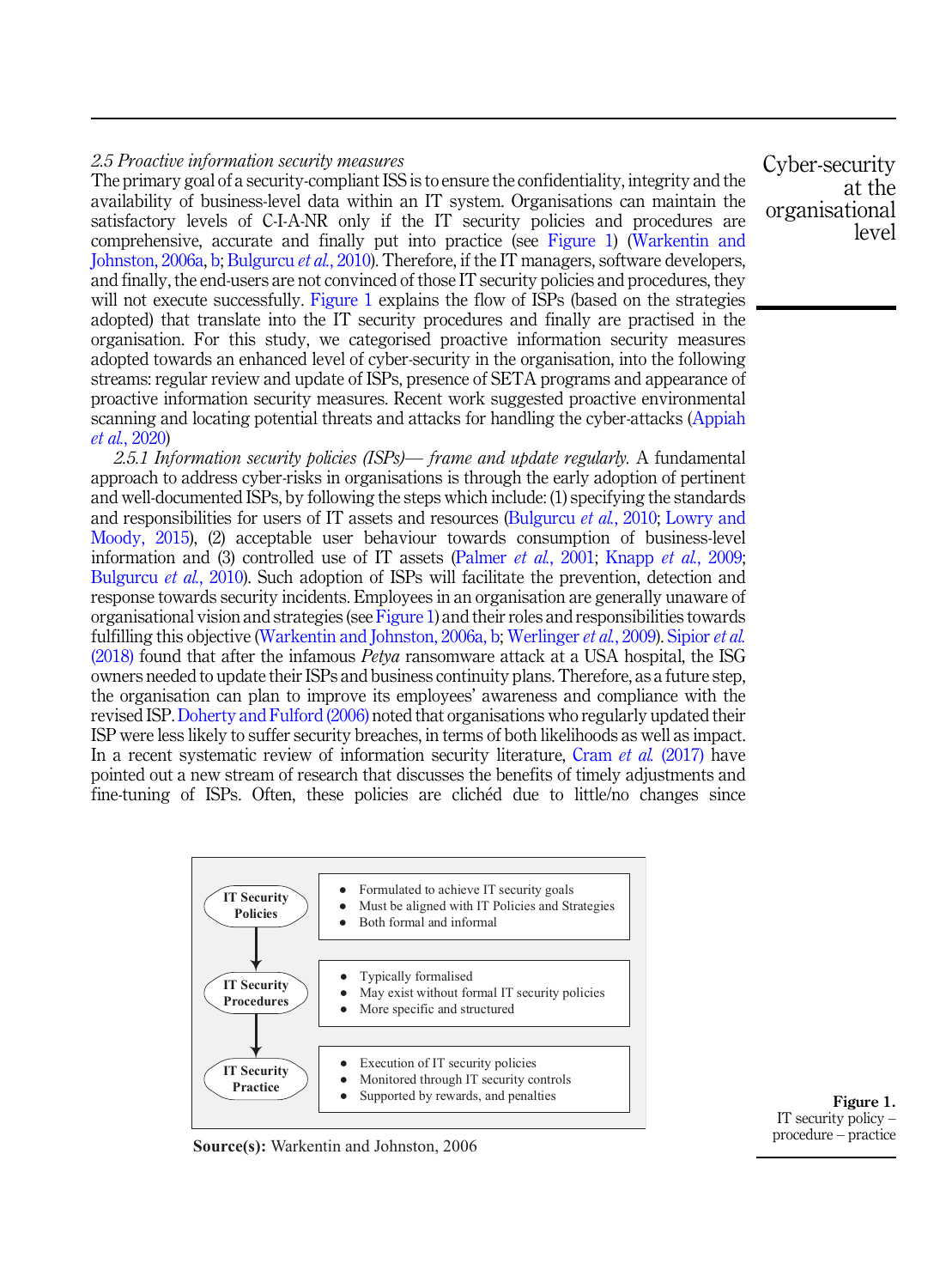## *2.5 Proactive information security measures*

The primary goal of a security-compliant ISS is to ensure the confidentiality, integrity and the availability of business-level data within an IT system. Organisations can maintain the satisfactory levels of C-I-A-NR only if the IT security policies and procedures are comprehensive, accurate and finally put into practice (see Figure 1) (Warkentin and Johnston, 2006a, b; Bulgurcu *et al.*, 2010). Therefore, if the IT managers, software developers, and finally, the end-users are not convinced of those IT security policies and procedures, they will not execute successfully. Figure 1 explains the flow of ISPs (based on the strategies adopted) that translate into the IT security procedures and finally are practised in the organisation. For this study, we categorised proactive information security measures adopted towards an enhanced level of cyber-security in the organisation, into the following streams: regular review and update of ISPs, presence of SETA programs and appearance of proactive information security measures. Recent work suggested proactive environmental scanning and locating potential threats and attacks for handling the cyber-attacks (Appiah *et al.*, 2020)

*2.5.1 Information security policies (ISPs)*— *frame and update regularly.* A fundamental approach to address cyber-risks in organisations is through the early adoption of pertinent and well-documented ISPs, by following the steps which include: (1) specifying the standards and responsibilities for users of IT assets and resources (Bulgurcu *et al.*, 2010; Lowry and Moody, 2015), (2) acceptable user behaviour towards consumption of business-level information and (3) controlled use of IT assets (Palmer *et al.*, 2001; Knapp *et al.*, 2009; Bulgurcu *et al.*, 2010). Such adoption of ISPs will facilitate the prevention, detection and response towards security incidents. Employees in an organisation are generally unaware of organisational vision and strategies (see Figure 1) and their roles and responsibilities towards fulfilling this objective (Warkentin and Johnston, 2006a, b; Werlinger *et al.*, 2009). Sipior *et al.* (2018) found that after the infamous *Petya* ransomware attack at a USA hospital, the ISG owners needed to update their ISPs and business continuity plans. Therefore, as a future step, the organisation can plan to improve its employees' awareness and compliance with the revised ISP. Doherty and Fulford (2006) noted that organisations who regularly updated their ISP were less likely to suffer security breaches, in terms of both likelihoods as well as impact. In a recent systematic review of information security literature, Cram *et al.* (2017) have pointed out a new stream of research that discusses the benefits of timely adjustments and fine-tuning of ISPs. Often, these policies are clichéd due to little/no changes since



Figure 1. IT security policy – procedure – practice

**Source(s):** Warkentin and Johnston, 2006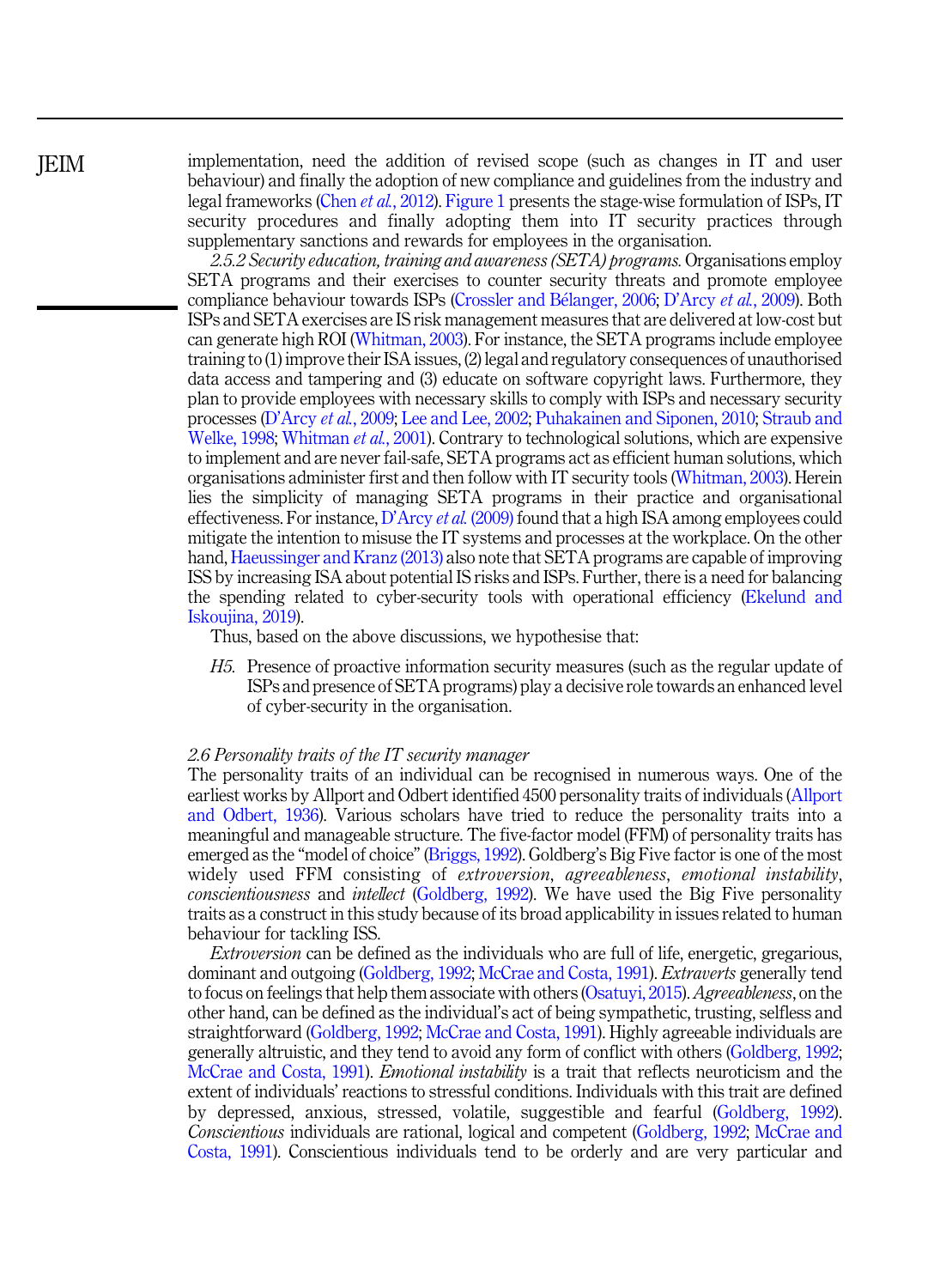JEIM

implementation, need the addition of revised scope (such as changes in IT and user behaviour) and finally the adoption of new compliance and guidelines from the industry and legal frameworks (Chen *et al.*, 2012). Figure 1 presents the stage-wise formulation of ISPs, IT security procedures and finally adopting them into IT security practices through supplementary sanctions and rewards for employees in the organisation.

*2.5.2 Security education, training and awareness (SETA) programs.* Organisations employ SETA programs and their exercises to counter security threats and promote employee compliance behaviour towards ISPs (Crossler and Bélanger, 2006; D'Arcy et al., 2009). Both ISPs and SETA exercises are IS risk management measures that are delivered at low-cost but can generate high ROI (Whitman, 2003). For instance, the SETA programs include employee training to (1) improve their ISA issues, (2) legal and regulatory consequences of unauthorised data access and tampering and (3) educate on software copyright laws. Furthermore, they plan to provide employees with necessary skills to comply with ISPs and necessary security processes (D'Arcy *et al.*, 2009; Lee and Lee, 2002; Puhakainen and Siponen, 2010; Straub and Welke, 1998; Whitman *et al.*, 2001). Contrary to technological solutions, which are expensive to implement and are never fail-safe, SETA programs act as efficient human solutions, which organisations administer first and then follow with IT security tools (Whitman, 2003). Herein lies the simplicity of managing SETA programs in their practice and organisational effectiveness. For instance, D'Arcy *et al.* (2009) found that a high ISA among employees could mitigate the intention to misuse the IT systems and processes at the workplace. On the other hand, Haeussinger and Kranz (2013) also note that SETA programs are capable of improving ISS by increasing ISA about potential IS risks and ISPs. Further, there is a need for balancing the spending related to cyber-security tools with operational efficiency (Ekelund and Iskoujina, 2019).

Thus, based on the above discussions, we hypothesise that:

*H5.* Presence of proactive information security measures (such as the regular update of ISPs and presence of SETA programs) play a decisive role towards an enhanced level of cyber-security in the organisation.

#### *2.6 Personality traits of the IT security manager*

The personality traits of an individual can be recognised in numerous ways. One of the earliest works by Allport and Odbert identified 4500 personality traits of individuals (Allport and Odbert, 1936). Various scholars have tried to reduce the personality traits into a meaningful and manageable structure. The five-factor model (FFM) of personality traits has emerged as the "model of choice" (Briggs, 1992). Goldberg's Big Five factor is one of the most widely used FFM consisting of *extroversion*, *agreeableness*, *emotional instability*, *conscientiousness* and *intellect* (Goldberg, 1992). We have used the Big Five personality traits as a construct in this study because of its broad applicability in issues related to human behaviour for tackling ISS.

*Extroversion* can be defined as the individuals who are full of life, energetic, gregarious, dominant and outgoing (Goldberg, 1992; McCrae and Costa, 1991). *Extraverts* generally tend to focus on feelings that help them associate with others (Osatuyi, 2015).*Agreeableness*, on the other hand, can be defined as the individual's act of being sympathetic, trusting, selfless and straightforward (Goldberg, 1992; McCrae and Costa, 1991). Highly agreeable individuals are generally altruistic, and they tend to avoid any form of conflict with others (Goldberg, 1992; McCrae and Costa, 1991). *Emotional instability* is a trait that reflects neuroticism and the extent of individuals' reactions to stressful conditions. Individuals with this trait are defined by depressed, anxious, stressed, volatile, suggestible and fearful (Goldberg, 1992). *Conscientious* individuals are rational, logical and competent (Goldberg, 1992; McCrae and Costa, 1991). Conscientious individuals tend to be orderly and are very particular and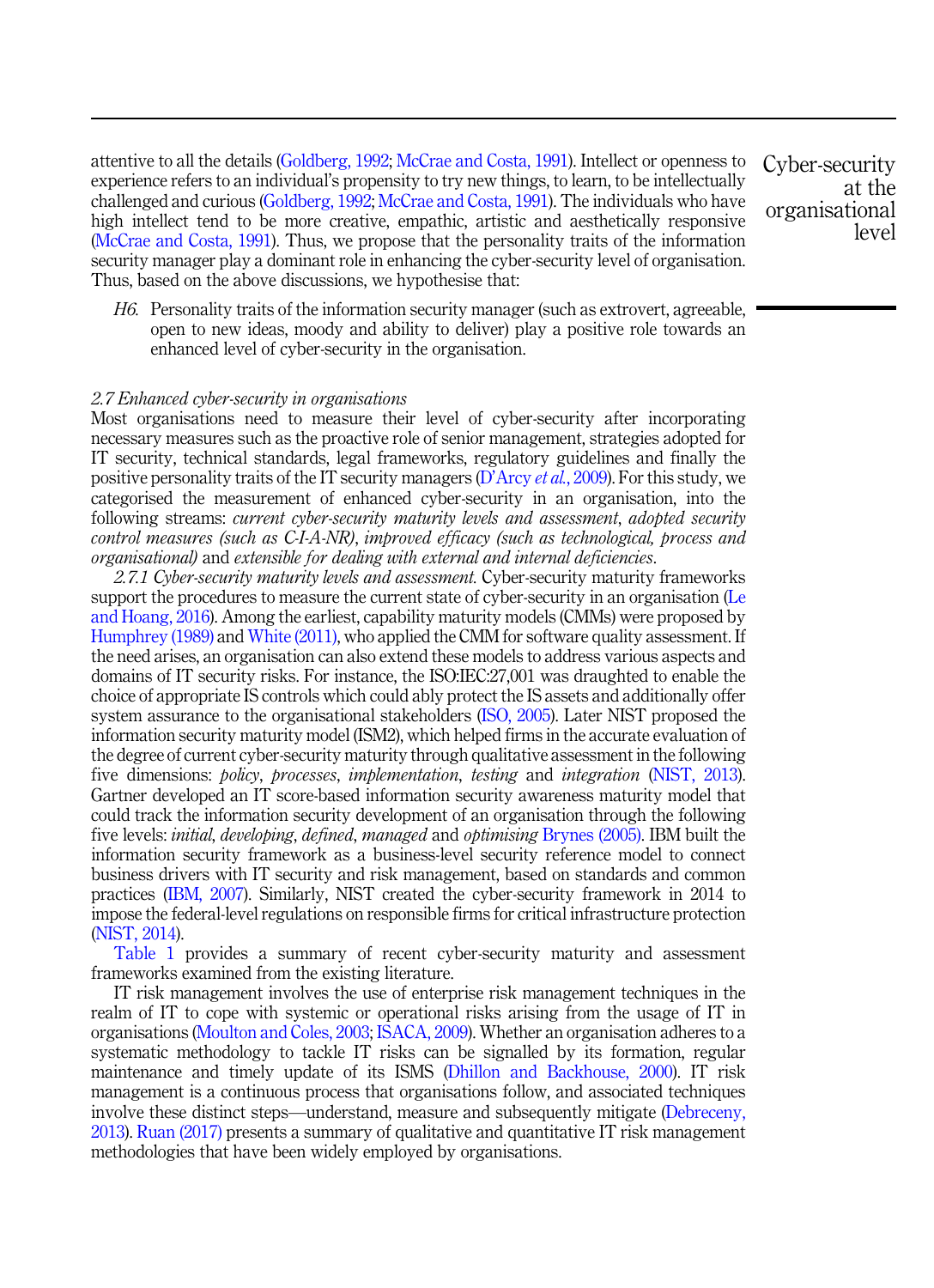attentive to all the details (Goldberg, 1992; McCrae and Costa, 1991). Intellect or openness to experience refers to an individual's propensity to try new things, to learn, to be intellectually challenged and curious (Goldberg, 1992; McCrae and Costa, 1991). The individuals who have high intellect tend to be more creative, empathic, artistic and aesthetically responsive (McCrae and Costa, 1991). Thus, we propose that the personality traits of the information security manager play a dominant role in enhancing the cyber-security level of organisation. Thus, based on the above discussions, we hypothesise that:

*H6.* Personality traits of the information security manager (such as extrovert, agreeable, open to new ideas, moody and ability to deliver) play a positive role towards an enhanced level of cyber-security in the organisation.

#### *2.7 Enhanced cyber-security in organisations*

Most organisations need to measure their level of cyber-security after incorporating necessary measures such as the proactive role of senior management, strategies adopted for IT security, technical standards, legal frameworks, regulatory guidelines and finally the positive personality traits of the IT security managers (D'Arcy *et al.*, 2009). For this study, we categorised the measurement of enhanced cyber-security in an organisation, into the following streams: *current cyber-security maturity levels and assessment*, *adopted security control measures (such as C-I-A-NR)*, *improved efficacy (such as technological, process and organisational)* and *extensible for dealing with external and internal deficiencies*.

*2.7.1 Cyber-security maturity levels and assessment.* Cyber-security maturity frameworks support the procedures to measure the current state of cyber-security in an organisation (Le and Hoang, 2016). Among the earliest, capability maturity models (CMMs) were proposed by Humphrey (1989) and White (2011), who applied the CMM for software quality assessment. If the need arises, an organisation can also extend these models to address various aspects and domains of IT security risks. For instance, the ISO:IEC:27,001 was draughted to enable the choice of appropriate IS controls which could ably protect the IS assets and additionally offer system assurance to the organisational stakeholders (ISO, 2005). Later NIST proposed the information security maturity model (ISM2), which helped firms in the accurate evaluation of the degree of current cyber-security maturity through qualitative assessment in the following five dimensions: *policy*, *processes*, *implementation*, *testing* and *integration* (NIST, 2013). Gartner developed an IT score-based information security awareness maturity model that could track the information security development of an organisation through the following five levels: *initial*, *developing*, *defined*, *managed* and *optimising* Brynes (2005). IBM built the information security framework as a business-level security reference model to connect business drivers with IT security and risk management, based on standards and common practices (IBM, 2007). Similarly, NIST created the cyber-security framework in 2014 to impose the federal-level regulations on responsible firms for critical infrastructure protection (NIST, 2014).

Table 1 provides a summary of recent cyber-security maturity and assessment frameworks examined from the existing literature.

IT risk management involves the use of enterprise risk management techniques in the realm of IT to cope with systemic or operational risks arising from the usage of IT in organisations (Moulton and Coles, 2003; ISACA, 2009). Whether an organisation adheres to a systematic methodology to tackle IT risks can be signalled by its formation, regular maintenance and timely update of its ISMS (Dhillon and Backhouse, 2000). IT risk management is a continuous process that organisations follow, and associated techniques involve these distinct steps—understand, measure and subsequently mitigate (Debreceny, 2013). Ruan (2017) presents a summary of qualitative and quantitative IT risk management methodologies that have been widely employed by organisations.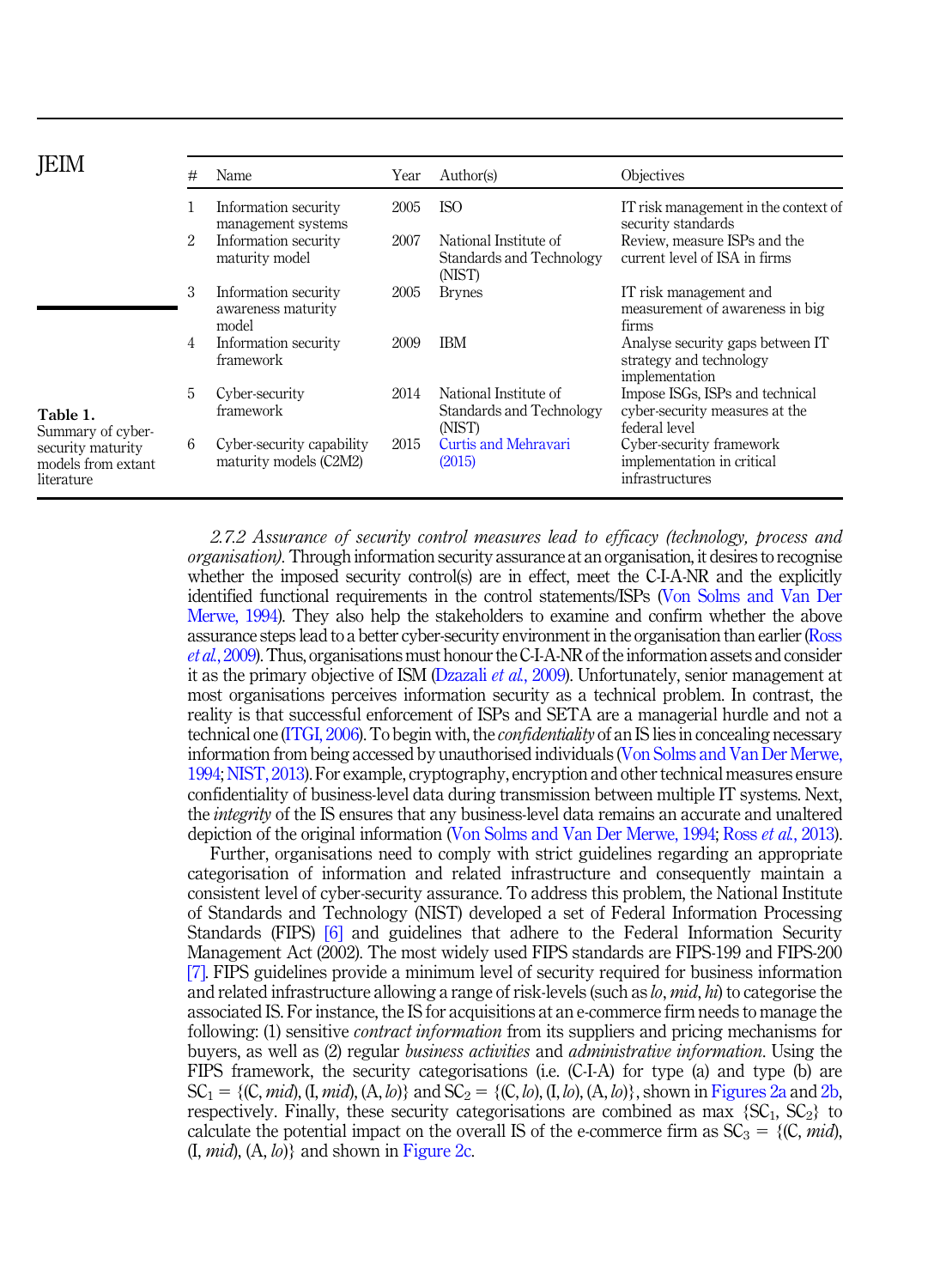|                                                       | # | Name                                                | Year | Author(s)                                                   | Objectives                                                                         |
|-------------------------------------------------------|---|-----------------------------------------------------|------|-------------------------------------------------------------|------------------------------------------------------------------------------------|
|                                                       |   | Information security<br>management systems          | 2005 | ISO                                                         | IT risk management in the context of<br>security standards                         |
|                                                       | 2 | Information security<br>maturity model              | 2007 | National Institute of<br>Standards and Technology<br>(NIST) | Review, measure ISPs and the<br>current level of ISA in firms                      |
|                                                       | 3 | Information security<br>awareness maturity<br>model | 2005 | <b>Brynes</b>                                               | IT risk management and<br>measurement of awareness in big<br>firms                 |
|                                                       | 4 | Information security<br>framework                   | 2009 | <b>IBM</b>                                                  | Analyse security gaps between IT<br>strategy and technology<br>implementation      |
| Table 1.<br>Summary of cyber-                         | 5 | Cyber-security<br>framework                         | 2014 | National Institute of<br>Standards and Technology<br>(NIST) | Impose ISGs, ISPs and technical<br>cyber-security measures at the<br>federal level |
| security maturity<br>models from extant<br>literature | 6 | Cyber-security capability<br>maturity models (C2M2) | 2015 | Curtis and Mehravari<br>(2015)                              | Cyber-security framework<br>implementation in critical<br>infrastructures          |

*2.7.2 Assurance of security control measures lead to efficacy (technology, process and organisation*). Through information security assurance at an organisation, it desires to recognise whether the imposed security control(s) are in effect, meet the C-I-A-NR and the explicitly identified functional requirements in the control statements/ISPs (Von Solms and Van Der Merwe, 1994). They also help the stakeholders to examine and confirm whether the above assurance steps lead to a better cyber-security environment in the organisation than earlier (Ross *et al.*, 2009). Thus, organisations must honour the C-I-A-NR of the information assets and consider it as the primary objective of ISM (Dzazali *et al.*, 2009). Unfortunately, senior management at most organisations perceives information security as a technical problem. In contrast, the reality is that successful enforcement of ISPs and SETA are a managerial hurdle and not a technical one (ITGI, 2006). To begin with, the *confidentiality* of an IS lies in concealing necessary information from being accessed by unauthorised individuals (Von Solms and Van Der Merwe, 1994; NIST, 2013). For example, cryptography, encryption and other technical measures ensure confidentiality of business-level data during transmission between multiple IT systems. Next, the *integrity* of the IS ensures that any business-level data remains an accurate and unaltered depiction of the original information (Von Solms and Van Der Merwe, 1994; Ross *et al.*, 2013).

Further, organisations need to comply with strict guidelines regarding an appropriate categorisation of information and related infrastructure and consequently maintain a consistent level of cyber-security assurance. To address this problem, the National Institute of Standards and Technology (NIST) developed a set of Federal Information Processing Standards (FIPS) [6] and guidelines that adhere to the Federal Information Security Management Act (2002). The most widely used FIPS standards are FIPS-199 and FIPS-200 [7]. FIPS guidelines provide a minimum level of security required for business information and related infrastructure allowing a range of risk-levels (such as *lo*, *mid*, *hi*) to categorise the associated IS. For instance, the IS for acquisitions at an e-commerce firm needs to manage the following: (1) sensitive *contract information* from its suppliers and pricing mechanisms for buyers, as well as (2) regular *business activities* and *administrative information*. Using the FIPS framework, the security categorisations (i.e. (C-I-A) for type (a) and type (b) are  $SC_1 = \{ (C, mid), (I, mid), (A, lo) \}$  and  $SC_2 = \{ (C, lo), (I, lo), (A, lo) \}$ , shown in Figures 2a and 2b, respectively. Finally, these security categorisations are combined as max  ${SC_1, SC_2}$  to calculate the potential impact on the overall IS of the e-commerce firm as  $SC_3 = \{(C, mid),$ (I, *mid*), (A, *lo*)} and shown in Figure 2c.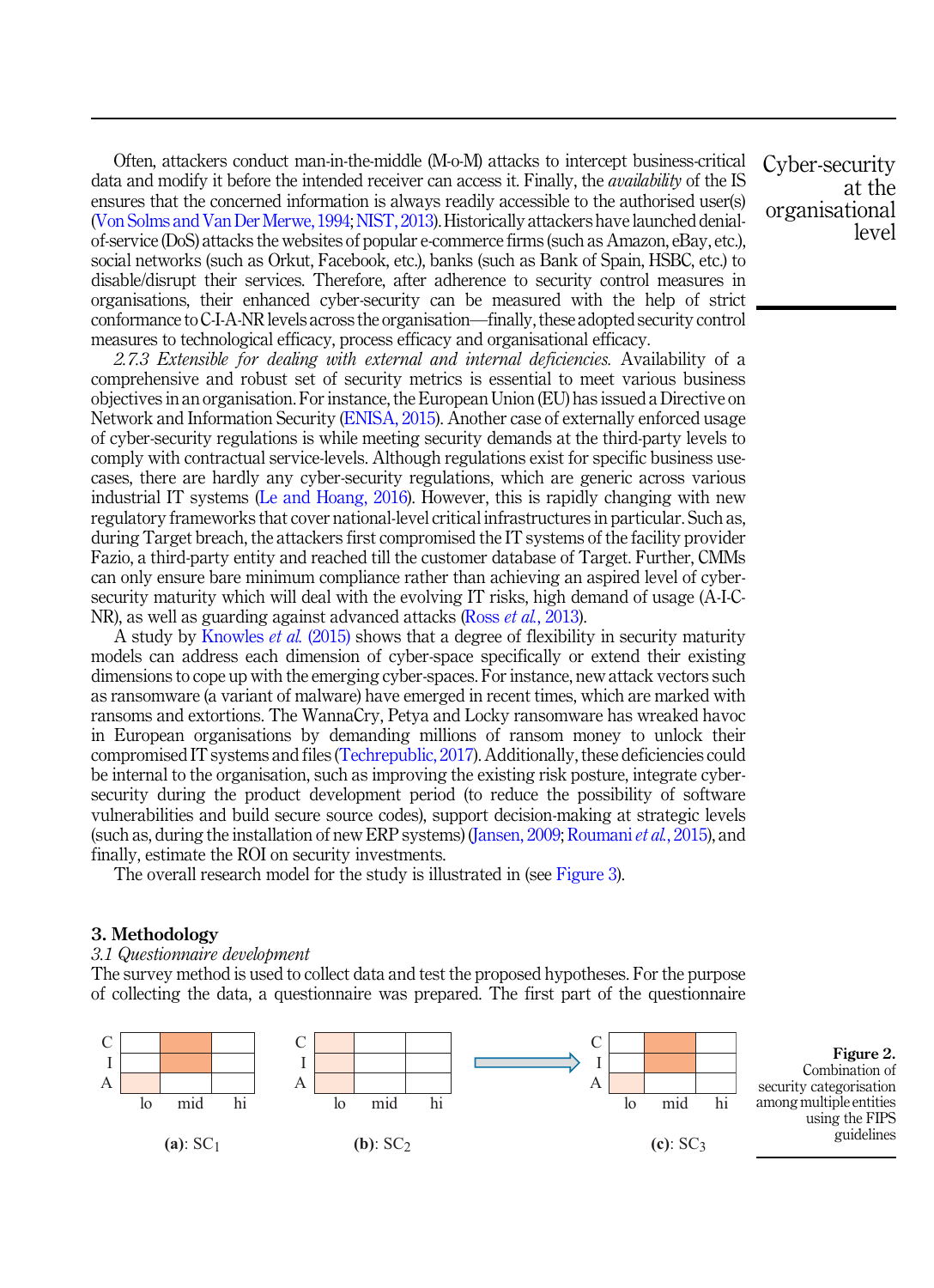Often, attackers conduct man-in-the-middle (M-o-M) attacks to intercept business-critical data and modify it before the intended receiver can access it. Finally, the *availability* of the IS ensures that the concerned information is always readily accessible to the authorised user(s) (Von Solms and Van Der Merwe, 1994;NIST, 2013). Historically attackers have launched denialof-service (DoS) attacks the websites of popular e-commerce firms (such as Amazon, eBay, etc.), social networks (such as Orkut, Facebook, etc.), banks (such as Bank of Spain, HSBC, etc.) to disable/disrupt their services. Therefore, after adherence to security control measures in organisations, their enhanced cyber-security can be measured with the help of strict conformance to C-I-A-NR levels across the organisation—finally, these adopted security control measures to technological efficacy, process efficacy and organisational efficacy.

*2.7.3 Extensible for dealing with external and internal deficiencies.* Availability of a comprehensive and robust set of security metrics is essential to meet various business objectives in an organisation. For instance, the European Union (EU) has issued a Directive on Network and Information Security (ENISA, 2015). Another case of externally enforced usage of cyber-security regulations is while meeting security demands at the third-party levels to comply with contractual service-levels. Although regulations exist for specific business usecases, there are hardly any cyber-security regulations, which are generic across various industrial IT systems (Le and Hoang, 2016). However, this is rapidly changing with new regulatory frameworks that cover national-level critical infrastructures in particular. Such as, during Target breach, the attackers first compromised the IT systems of the facility provider Fazio, a third-party entity and reached till the customer database of Target. Further, CMMs can only ensure bare minimum compliance rather than achieving an aspired level of cybersecurity maturity which will deal with the evolving IT risks, high demand of usage (A-I-C-NR), as well as guarding against advanced attacks (Ross *et al.*, 2013).

A study by Knowles *et al.* (2015) shows that a degree of flexibility in security maturity models can address each dimension of cyber-space specifically or extend their existing dimensions to cope up with the emerging cyber-spaces. For instance, new attack vectors such as ransomware (a variant of malware) have emerged in recent times, which are marked with ransoms and extortions. The WannaCry, Petya and Locky ransomware has wreaked havoc in European organisations by demanding millions of ransom money to unlock their compromised IT systems and files (Techrepublic, 2017). Additionally, these deficiencies could be internal to the organisation, such as improving the existing risk posture, integrate cybersecurity during the product development period (to reduce the possibility of software vulnerabilities and build secure source codes), support decision-making at strategic levels (such as, during the installation of new ERP systems) (Jansen, 2009; Roumani*et al.*, 2015), and finally, estimate the ROI on security investments.

The overall research model for the study is illustrated in (see Figure 3).

#### 3. Methodology

#### *3.1 Questionnaire development*

The survey method is used to collect data and test the proposed hypotheses. For the purpose of collecting the data, a questionnaire was prepared. The first part of the questionnaire

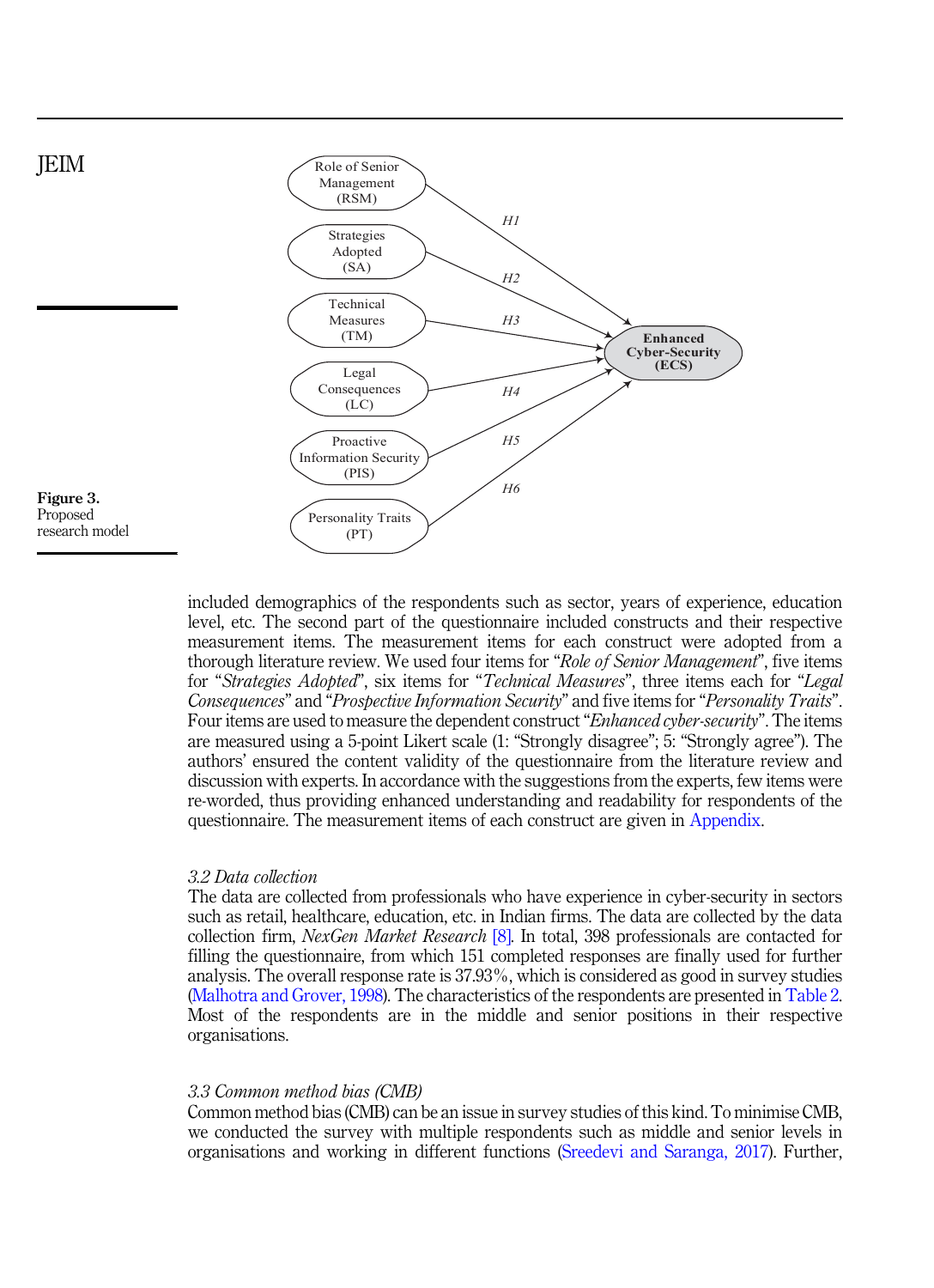

included demographics of the respondents such as sector, years of experience, education level, etc. The second part of the questionnaire included constructs and their respective measurement items. The measurement items for each construct were adopted from a thorough literature review. We used four items for "*Role of Senior Management*", five items for "*Strategies Adopted*", six items for "*Technical Measures*", three items each for "*Legal Consequences*" and "*Prospective Information Security*" and five items for "*Personality Traits*". Four items are used to measure the dependent construct"*Enhanced cyber-security*". The items are measured using a 5-point Likert scale (1: "Strongly disagree"; 5: "Strongly agree"). The authors' ensured the content validity of the questionnaire from the literature review and discussion with experts. In accordance with the suggestions from the experts, few items were re-worded, thus providing enhanced understanding and readability for respondents of the questionnaire. The measurement items of each construct are given in Appendix.

## *3.2 Data collection*

The data are collected from professionals who have experience in cyber-security in sectors such as retail, healthcare, education, etc. in Indian firms. The data are collected by the data collection firm, *NexGen Market Research* [8]. In total, 398 professionals are contacted for filling the questionnaire, from which 151 completed responses are finally used for further analysis. The overall response rate is 37.93%, which is considered as good in survey studies (Malhotra and Grover, 1998). The characteristics of the respondents are presented in Table 2. Most of the respondents are in the middle and senior positions in their respective organisations.

## *3.3 Common method bias (CMB)*

Common method bias (CMB) can be an issue in survey studies of this kind. To minimise CMB, we conducted the survey with multiple respondents such as middle and senior levels in organisations and working in different functions (Sreedevi and Saranga, 2017). Further,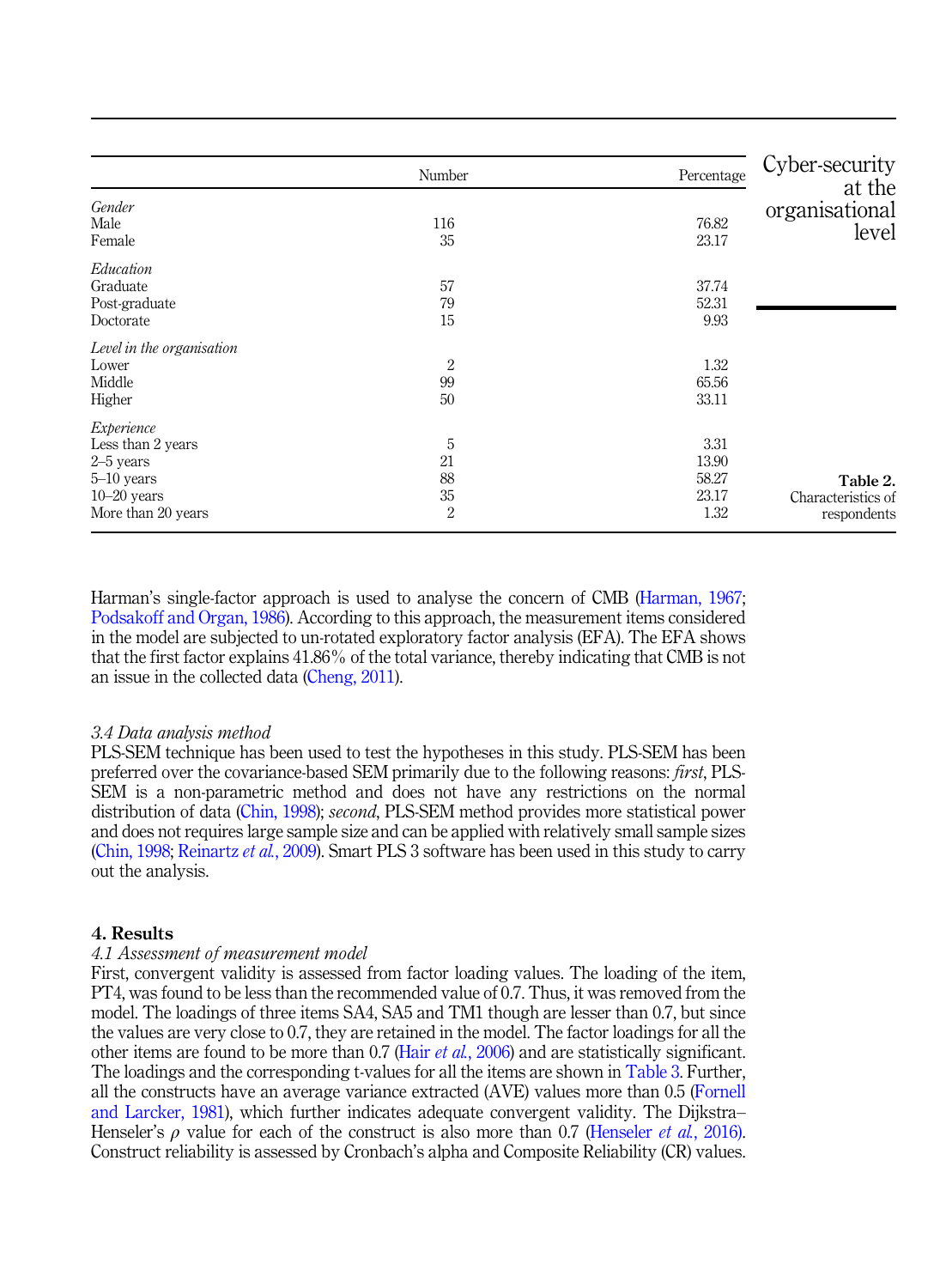|                                                                                                         | Number                                | Percentage                              | Cyber-security                                |
|---------------------------------------------------------------------------------------------------------|---------------------------------------|-----------------------------------------|-----------------------------------------------|
| Gender<br>Male<br>Female                                                                                | 116<br>35                             | 76.82<br>23.17                          | at the<br>organisational<br>level             |
| Education<br>Graduate<br>Post-graduate<br>Doctorate                                                     | 57<br>79<br>15                        | 37.74<br>52.31<br>9.93                  |                                               |
| Level in the organisation<br>Lower<br>Middle<br>Higher                                                  | $\overline{2}$<br>99<br>50            | 1.32<br>65.56<br>33.11                  |                                               |
| Experience<br>Less than 2 years<br>$2-5$ years<br>$5-10$ years<br>$10 - 20$ years<br>More than 20 years | 5<br>21<br>88<br>35<br>$\overline{2}$ | 3.31<br>13.90<br>58.27<br>23.17<br>1.32 | Table 2.<br>Characteristics of<br>respondents |

Harman's single-factor approach is used to analyse the concern of CMB (Harman, 1967; Podsakoff and Organ, 1986). According to this approach, the measurement items considered in the model are subjected to un-rotated exploratory factor analysis (EFA). The EFA shows that the first factor explains 41.86% of the total variance, thereby indicating that CMB is not an issue in the collected data (Cheng, 2011).

## *3.4 Data analysis method*

PLS-SEM technique has been used to test the hypotheses in this study. PLS-SEM has been preferred over the covariance-based SEM primarily due to the following reasons: *first*, PLS-SEM is a non-parametric method and does not have any restrictions on the normal distribution of data (Chin, 1998); *second*, PLS-SEM method provides more statistical power and does not requires large sample size and can be applied with relatively small sample sizes (Chin, 1998; Reinartz *et al.*, 2009). Smart PLS 3 software has been used in this study to carry out the analysis.

#### 4. Results

#### *4.1 Assessment of measurement model*

First, convergent validity is assessed from factor loading values. The loading of the item, PT4, was found to be less than the recommended value of 0.7. Thus, it was removed from the model. The loadings of three items SA4, SA5 and TM1 though are lesser than 0.7, but since the values are very close to 0.7, they are retained in the model. The factor loadings for all the other items are found to be more than 0.7 (Hair *et al.*, 2006) and are statistically significant. The loadings and the corresponding t-values for all the items are shown in Table 3. Further, all the constructs have an average variance extracted (AVE) values more than 0.5 (Fornell and Larcker, 1981), which further indicates adequate convergent validity. The Dijkstra– Henseler's ρ value for each of the construct is also more than 0.7 (Henseler *et al.*, 2016). Construct reliability is assessed by Cronbach's alpha and Composite Reliability (CR) values.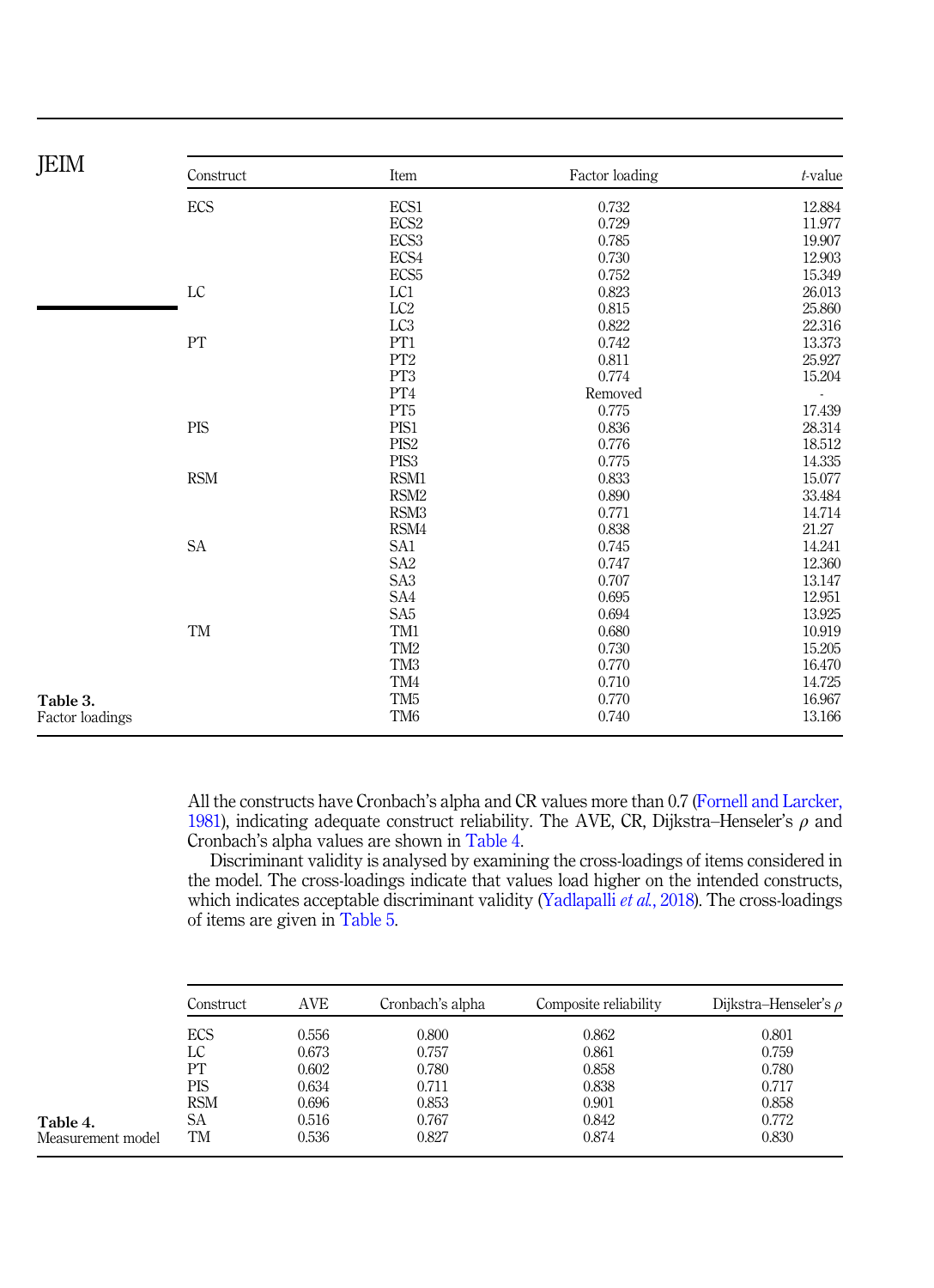| ECS<br>ECS1<br>0.732<br>ECS <sub>2</sub><br>0.729<br>ECS <sub>3</sub><br>0.785<br>ECS4<br>0.730<br>ECS <sub>5</sub><br>0.752<br>LC<br>LC1<br>0.823<br>LC <sub>2</sub><br>0.815<br>LC <sub>3</sub><br>0.822<br>PT1<br>PT<br>0.742<br>PT <sub>2</sub><br>25.927<br>0.811<br>PT <sub>3</sub><br>0.774<br>${\rm PT4}$<br>Removed<br>PT <sub>5</sub><br>0.775<br><b>PIS</b><br>PIS1<br>0.836<br>28.314<br>PIS <sub>2</sub><br>0.776<br>PIS <sub>3</sub><br>0.775<br><b>RSM</b><br>0.833<br>RSM1<br>RSM <sub>2</sub><br>0.890<br>33.484<br>RSM <sub>3</sub><br>0.771<br>14.714<br>RSM4<br>0.838<br>21.27<br>14.241<br>$\operatorname{SA}$<br>SA1<br>0.745<br>SA <sub>2</sub><br>12.360<br>0.747<br>SA <sub>3</sub><br>0.707<br>13.147<br>SA4<br>0.695<br>12.951<br>SA <sub>5</sub><br>0.694<br>13.925<br>TM<br>TM1<br>10.919<br>0.680<br>TM <sub>2</sub><br>0.730<br>15.205<br>TM <sub>3</sub><br>0.770<br>16.470<br>TM4<br>0.710<br>14.725<br>TM <sub>5</sub><br>0.770<br>16.967<br>Table 3.<br>TM <sub>6</sub><br>13.166<br>0.740<br>Factor loadings | <b>JEIM</b> | Construct | Item | Factor loading | $t$ -value |
|--------------------------------------------------------------------------------------------------------------------------------------------------------------------------------------------------------------------------------------------------------------------------------------------------------------------------------------------------------------------------------------------------------------------------------------------------------------------------------------------------------------------------------------------------------------------------------------------------------------------------------------------------------------------------------------------------------------------------------------------------------------------------------------------------------------------------------------------------------------------------------------------------------------------------------------------------------------------------------------------------------------------------------------------------|-------------|-----------|------|----------------|------------|
|                                                                                                                                                                                                                                                                                                                                                                                                                                                                                                                                                                                                                                                                                                                                                                                                                                                                                                                                                                                                                                                  |             |           |      |                | 12.884     |
|                                                                                                                                                                                                                                                                                                                                                                                                                                                                                                                                                                                                                                                                                                                                                                                                                                                                                                                                                                                                                                                  |             |           |      |                | 11.977     |
|                                                                                                                                                                                                                                                                                                                                                                                                                                                                                                                                                                                                                                                                                                                                                                                                                                                                                                                                                                                                                                                  |             |           |      |                | 19.907     |
|                                                                                                                                                                                                                                                                                                                                                                                                                                                                                                                                                                                                                                                                                                                                                                                                                                                                                                                                                                                                                                                  |             |           |      |                | 12.903     |
|                                                                                                                                                                                                                                                                                                                                                                                                                                                                                                                                                                                                                                                                                                                                                                                                                                                                                                                                                                                                                                                  |             |           |      |                | 15.349     |
|                                                                                                                                                                                                                                                                                                                                                                                                                                                                                                                                                                                                                                                                                                                                                                                                                                                                                                                                                                                                                                                  |             |           |      |                | 26.013     |
|                                                                                                                                                                                                                                                                                                                                                                                                                                                                                                                                                                                                                                                                                                                                                                                                                                                                                                                                                                                                                                                  |             |           |      |                | 25.860     |
|                                                                                                                                                                                                                                                                                                                                                                                                                                                                                                                                                                                                                                                                                                                                                                                                                                                                                                                                                                                                                                                  |             |           |      |                | 22.316     |
|                                                                                                                                                                                                                                                                                                                                                                                                                                                                                                                                                                                                                                                                                                                                                                                                                                                                                                                                                                                                                                                  |             |           |      |                | 13.373     |
|                                                                                                                                                                                                                                                                                                                                                                                                                                                                                                                                                                                                                                                                                                                                                                                                                                                                                                                                                                                                                                                  |             |           |      |                |            |
|                                                                                                                                                                                                                                                                                                                                                                                                                                                                                                                                                                                                                                                                                                                                                                                                                                                                                                                                                                                                                                                  |             |           |      |                | 15.204     |
|                                                                                                                                                                                                                                                                                                                                                                                                                                                                                                                                                                                                                                                                                                                                                                                                                                                                                                                                                                                                                                                  |             |           |      |                |            |
|                                                                                                                                                                                                                                                                                                                                                                                                                                                                                                                                                                                                                                                                                                                                                                                                                                                                                                                                                                                                                                                  |             |           |      |                | 17.439     |
|                                                                                                                                                                                                                                                                                                                                                                                                                                                                                                                                                                                                                                                                                                                                                                                                                                                                                                                                                                                                                                                  |             |           |      |                |            |
|                                                                                                                                                                                                                                                                                                                                                                                                                                                                                                                                                                                                                                                                                                                                                                                                                                                                                                                                                                                                                                                  |             |           |      |                | 18.512     |
|                                                                                                                                                                                                                                                                                                                                                                                                                                                                                                                                                                                                                                                                                                                                                                                                                                                                                                                                                                                                                                                  |             |           |      |                | 14.335     |
|                                                                                                                                                                                                                                                                                                                                                                                                                                                                                                                                                                                                                                                                                                                                                                                                                                                                                                                                                                                                                                                  |             |           |      |                | 15.077     |
|                                                                                                                                                                                                                                                                                                                                                                                                                                                                                                                                                                                                                                                                                                                                                                                                                                                                                                                                                                                                                                                  |             |           |      |                |            |
|                                                                                                                                                                                                                                                                                                                                                                                                                                                                                                                                                                                                                                                                                                                                                                                                                                                                                                                                                                                                                                                  |             |           |      |                |            |
|                                                                                                                                                                                                                                                                                                                                                                                                                                                                                                                                                                                                                                                                                                                                                                                                                                                                                                                                                                                                                                                  |             |           |      |                |            |
|                                                                                                                                                                                                                                                                                                                                                                                                                                                                                                                                                                                                                                                                                                                                                                                                                                                                                                                                                                                                                                                  |             |           |      |                |            |
|                                                                                                                                                                                                                                                                                                                                                                                                                                                                                                                                                                                                                                                                                                                                                                                                                                                                                                                                                                                                                                                  |             |           |      |                |            |
|                                                                                                                                                                                                                                                                                                                                                                                                                                                                                                                                                                                                                                                                                                                                                                                                                                                                                                                                                                                                                                                  |             |           |      |                |            |
|                                                                                                                                                                                                                                                                                                                                                                                                                                                                                                                                                                                                                                                                                                                                                                                                                                                                                                                                                                                                                                                  |             |           |      |                |            |
|                                                                                                                                                                                                                                                                                                                                                                                                                                                                                                                                                                                                                                                                                                                                                                                                                                                                                                                                                                                                                                                  |             |           |      |                |            |
|                                                                                                                                                                                                                                                                                                                                                                                                                                                                                                                                                                                                                                                                                                                                                                                                                                                                                                                                                                                                                                                  |             |           |      |                |            |
|                                                                                                                                                                                                                                                                                                                                                                                                                                                                                                                                                                                                                                                                                                                                                                                                                                                                                                                                                                                                                                                  |             |           |      |                |            |
|                                                                                                                                                                                                                                                                                                                                                                                                                                                                                                                                                                                                                                                                                                                                                                                                                                                                                                                                                                                                                                                  |             |           |      |                |            |
|                                                                                                                                                                                                                                                                                                                                                                                                                                                                                                                                                                                                                                                                                                                                                                                                                                                                                                                                                                                                                                                  |             |           |      |                |            |
|                                                                                                                                                                                                                                                                                                                                                                                                                                                                                                                                                                                                                                                                                                                                                                                                                                                                                                                                                                                                                                                  |             |           |      |                |            |
|                                                                                                                                                                                                                                                                                                                                                                                                                                                                                                                                                                                                                                                                                                                                                                                                                                                                                                                                                                                                                                                  |             |           |      |                |            |

All the constructs have Cronbach's alpha and CR values more than 0.7 (Fornell and Larcker, 1981), indicating adequate construct reliability. The AVE, CR, Dijkstra–Henseler's  $\rho$  and Cronbach's alpha values are shown in Table 4.

Discriminant validity is analysed by examining the cross-loadings of items considered in the model. The cross-loadings indicate that values load higher on the intended constructs, which indicates acceptable discriminant validity (Yadlapalli *et al.*, 2018). The cross-loadings of items are given in Table 5.

|                   | Construct  | AVE   | Cronbach's alpha | Composite reliability | Dijkstra-Henseler's $\rho$ |
|-------------------|------------|-------|------------------|-----------------------|----------------------------|
|                   | ECS        | 0.556 | 0.800            | 0.862                 | 0.801                      |
|                   | LC         | 0.673 | 0.757            | 0.861                 | 0.759                      |
|                   | PT         | 0.602 | 0.780            | 0.858                 | 0.780                      |
|                   | PIS        | 0.634 | 0.711            | 0.838                 | 0.717                      |
|                   | <b>RSM</b> | 0.696 | 0.853            | 0.901                 | 0.858                      |
| Table 4.          | SА         | 0.516 | 0.767            | 0.842                 | 0.772                      |
| Measurement model | TM         | 0.536 | 0.827            | 0.874                 | 0.830                      |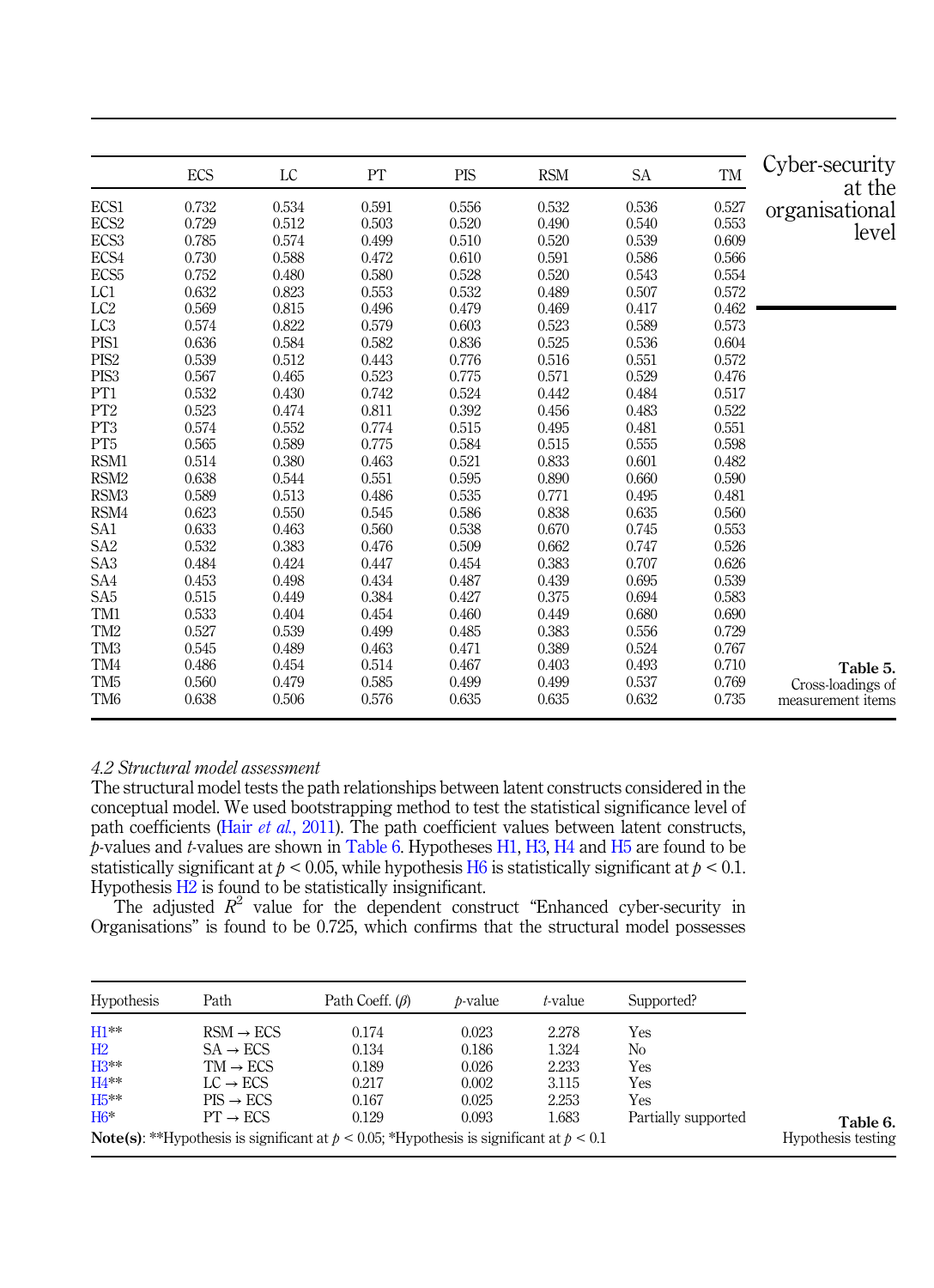|                  | ECS   | LC    | PT    | <b>PIS</b> | <b>RSM</b> | SA    | TM    | Cyber-security<br>at the |
|------------------|-------|-------|-------|------------|------------|-------|-------|--------------------------|
| ECS1             | 0.732 | 0.534 | 0.591 | 0.556      | 0.532      | 0.536 | 0.527 | organisational           |
| ECS <sub>2</sub> | 0.729 | 0.512 | 0.503 | 0.520      | 0.490      | 0.540 | 0.553 | level                    |
| ECS3             | 0.785 | 0.574 | 0.499 | 0.510      | 0.520      | 0.539 | 0.609 |                          |
| ECS4             | 0.730 | 0.588 | 0.472 | 0.610      | 0.591      | 0.586 | 0.566 |                          |
| ECS <sub>5</sub> | 0.752 | 0.480 | 0.580 | 0.528      | 0.520      | 0.543 | 0.554 |                          |
| LC1              | 0.632 | 0.823 | 0.553 | 0.532      | 0.489      | 0.507 | 0.572 |                          |
| LC <sub>2</sub>  | 0.569 | 0.815 | 0.496 | 0.479      | 0.469      | 0.417 | 0.462 |                          |
| LC <sub>3</sub>  | 0.574 | 0.822 | 0.579 | 0.603      | 0.523      | 0.589 | 0.573 |                          |
| PIS1             | 0.636 | 0.584 | 0.582 | 0.836      | 0.525      | 0.536 | 0.604 |                          |
| PIS <sub>2</sub> | 0.539 | 0.512 | 0.443 | 0.776      | 0.516      | 0.551 | 0.572 |                          |
| PIS <sub>3</sub> | 0.567 | 0.465 | 0.523 | 0.775      | 0.571      | 0.529 | 0.476 |                          |
| PT <sub>1</sub>  | 0.532 | 0.430 | 0.742 | 0.524      | 0.442      | 0.484 | 0.517 |                          |
| PT <sub>2</sub>  | 0.523 | 0.474 | 0.811 | 0.392      | 0.456      | 0.483 | 0.522 |                          |
| PT <sub>3</sub>  | 0.574 | 0.552 | 0.774 | 0.515      | 0.495      | 0.481 | 0.551 |                          |
| PT <sub>5</sub>  | 0.565 | 0.589 | 0.775 | 0.584      | 0.515      | 0.555 | 0.598 |                          |
| RSM1             | 0.514 | 0.380 | 0.463 | 0.521      | 0.833      | 0.601 | 0.482 |                          |
| RSM <sub>2</sub> | 0.638 | 0.544 | 0.551 | 0.595      | 0.890      | 0.660 | 0.590 |                          |
| RSM <sub>3</sub> | 0.589 | 0.513 | 0.486 | 0.535      | 0.771      | 0.495 | 0.481 |                          |
| RSM4             | 0.623 | 0.550 | 0.545 | 0.586      | 0.838      | 0.635 | 0.560 |                          |
| SA1              | 0.633 | 0.463 | 0.560 | 0.538      | 0.670      | 0.745 | 0.553 |                          |
| SA <sub>2</sub>  | 0.532 | 0.383 | 0.476 | 0.509      | 0.662      | 0.747 | 0.526 |                          |
| SA <sub>3</sub>  | 0.484 | 0.424 | 0.447 | 0.454      | 0.383      | 0.707 | 0.626 |                          |
| SA4              | 0.453 | 0.498 | 0.434 | 0.487      | 0.439      | 0.695 | 0.539 |                          |
| SA <sub>5</sub>  | 0.515 | 0.449 | 0.384 | 0.427      | 0.375      | 0.694 | 0.583 |                          |
| TM1              | 0.533 | 0.404 | 0.454 | 0.460      | 0.449      | 0.680 | 0.690 |                          |
| TM <sub>2</sub>  | 0.527 | 0.539 | 0.499 | 0.485      | 0.383      | 0.556 | 0.729 |                          |
| TM <sub>3</sub>  | 0.545 | 0.489 | 0.463 | 0.471      | 0.389      | 0.524 | 0.767 |                          |
| TM4              | 0.486 | 0.454 | 0.514 | 0.467      | 0.403      | 0.493 | 0.710 | Table 5.                 |
| TM <sub>5</sub>  | 0.560 | 0.479 | 0.585 | 0.499      | 0.499      | 0.537 | 0.769 | Cross-loadings of        |
| TM <sub>6</sub>  | 0.638 | 0.506 | 0.576 | 0.635      | 0.635      | 0.632 | 0.735 | measurement items        |

## *4.2 Structural model assessment*

The structural model tests the path relationships between latent constructs considered in the conceptual model. We used bootstrapping method to test the statistical significance level of path coefficients (Hair *et al.*, 2011). The path coefficient values between latent constructs, *p*-values and *t*-values are shown in Table 6. Hypotheses H1, H3, H4 and H5 are found to be statistically significant at  $p < 0.05$ , while hypothesis H6 is statistically significant at  $p < 0.1$ . Hypothesis H2 is found to be statistically insignificant.

The adjusted  $R^2$  value for the dependent construct "Enhanced cyber-security in Organisations" is found to be 0.725, which confirms that the structural model possesses

| <b>Hypothesis</b> | Path                  | Path Coeff. $(\beta)$                                                                               | <i>b</i> -value | t-value | Supported?          |
|-------------------|-----------------------|-----------------------------------------------------------------------------------------------------|-----------------|---------|---------------------|
| $H1**$            | $RSM \rightarrow ECS$ | 0.174                                                                                               | 0.023           | 2.278   | Yes                 |
| H2                | $SA \rightarrow ECS$  | 0.134                                                                                               | 0.186           | 1.324   | No                  |
| $H3**$            | $TM \rightarrow ECS$  | 0.189                                                                                               | 0.026           | 2.233   | Yes                 |
| $H4**$            | $LC \rightarrow ECS$  | 0.217                                                                                               | 0.002           | 3.115   | Yes                 |
| $H5**$            | $PIS \rightarrow ECS$ | 0.167                                                                                               | 0.025           | 2.253   | Yes                 |
| $H6*$             | $PT \rightarrow ECS$  | 0.129                                                                                               | 0.093           | 1.683   | Partially supported |
|                   |                       | <b>Note(s):</b> **Hypothesis is significant at $p < 0.05$ ; *Hypothesis is significant at $p < 0.1$ |                 |         |                     |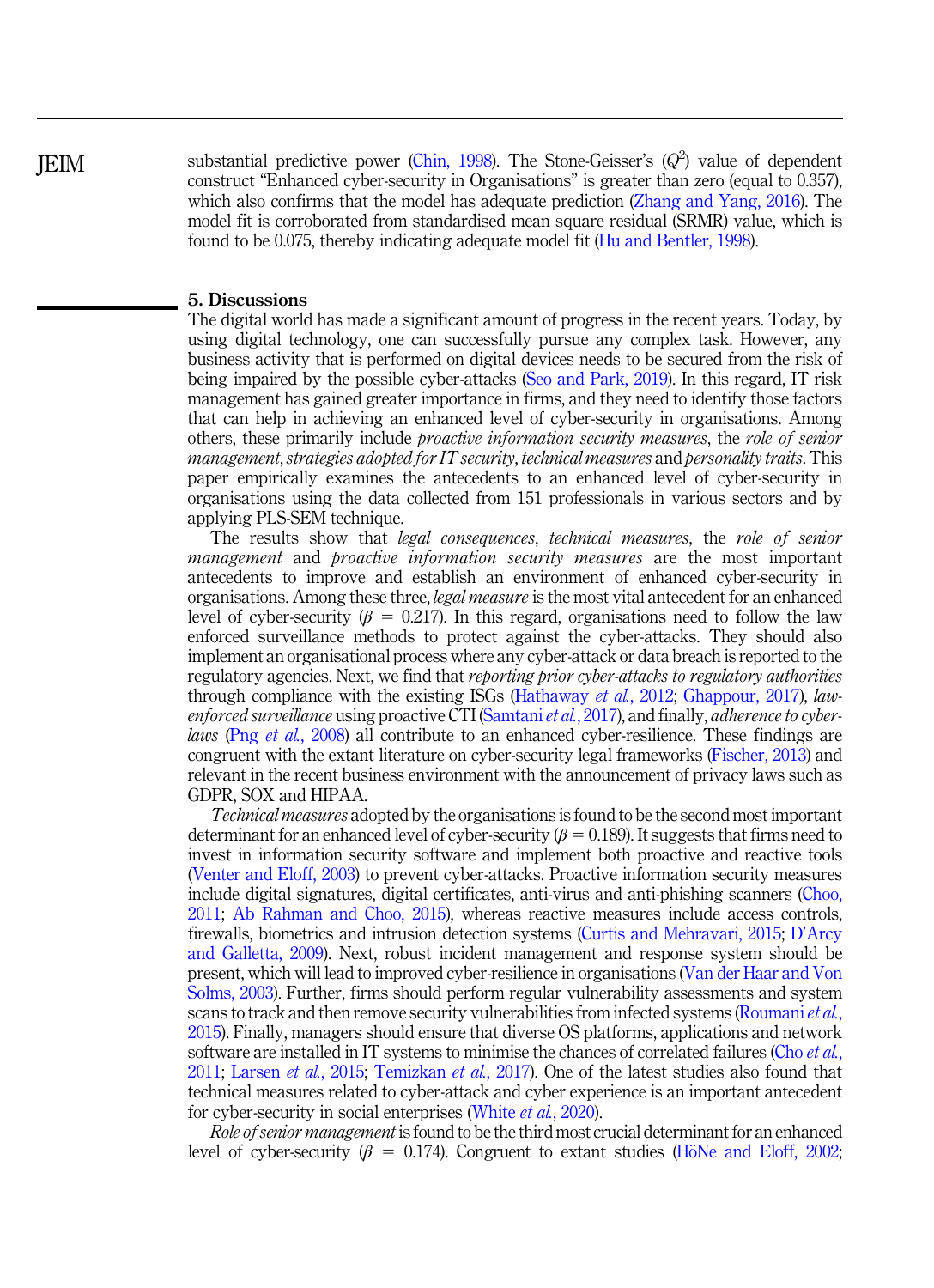**IEIM** 

substantial predictive power (Chin, 1998). The Stone-Geisser's (Q<sup>2</sup>) value of dependent construct "Enhanced cyber-security in Organisations" is greater than zero (equal to 0.357), which also confirms that the model has adequate prediction (Zhang and Yang, 2016). The model fit is corroborated from standardised mean square residual (SRMR) value, which is found to be 0.075, thereby indicating adequate model fit (Hu and Bentler, 1998).

## 5. Discussions

The digital world has made a significant amount of progress in the recent years. Today, by using digital technology, one can successfully pursue any complex task. However, any business activity that is performed on digital devices needs to be secured from the risk of being impaired by the possible cyber-attacks (Seo and Park, 2019). In this regard, IT risk management has gained greater importance in firms, and they need to identify those factors that can help in achieving an enhanced level of cyber-security in organisations. Among others, these primarily include *proactive information security measures*, the *role of senior management*,*strategies adopted for IT security*, *technical measures* and *personality traits*. This paper empirically examines the antecedents to an enhanced level of cyber-security in organisations using the data collected from 151 professionals in various sectors and by applying PLS-SEM technique.

The results show that *legal consequences*, *technical measures*, the *role of senior management* and *proactive information security measures* are the most important antecedents to improve and establish an environment of enhanced cyber-security in organisations. Among these three, *legal measure* is the most vital antecedent for an enhanced level of cyber-security ( $\beta = 0.217$ ). In this regard, organisations need to follow the law enforced surveillance methods to protect against the cyber-attacks. They should also implement an organisational process where any cyber-attack or data breach is reported to the regulatory agencies. Next, we find that *reporting prior cyber-attacks to regulatory authorities* through compliance with the existing ISGs (Hathaway *et al.*, 2012; Ghappour, 2017), *lawenforced surveillance* using proactive CTI (Samtani*et al.*, 2017), and finally, *adherence to cyberlaws* (Png *et al.*, 2008) all contribute to an enhanced cyber-resilience. These findings are congruent with the extant literature on cyber-security legal frameworks (Fischer, 2013) and relevant in the recent business environment with the announcement of privacy laws such as GDPR, SOX and HIPAA.

*Technical measures* adopted by the organisations is found to be the second most important determinant for an enhanced level of cyber-security ( $\beta = 0.189$ ). It suggests that firms need to invest in information security software and implement both proactive and reactive tools (Venter and Eloff, 2003) to prevent cyber-attacks. Proactive information security measures include digital signatures, digital certificates, anti-virus and anti-phishing scanners (Choo, 2011; Ab Rahman and Choo, 2015), whereas reactive measures include access controls, firewalls, biometrics and intrusion detection systems (Curtis and Mehravari, 2015; D'Arcy and Galletta, 2009). Next, robust incident management and response system should be present, which will lead to improved cyber-resilience in organisations (Van der Haar and Von Solms, 2003). Further, firms should perform regular vulnerability assessments and system scans to track and then remove security vulnerabilities from infected systems (Roumani*et al.*, 2015). Finally, managers should ensure that diverse OS platforms, applications and network software are installed in IT systems to minimise the chances of correlated failures (Cho *et al.*, 2011; Larsen *et al.*, 2015; Temizkan *et al.*, 2017). One of the latest studies also found that technical measures related to cyber-attack and cyber experience is an important antecedent for cyber-security in social enterprises (White *et al.*, 2020).

*Role of senior management* is found to be the third most crucial determinant for an enhanced level of cyber-security ( $\beta = 0.174$ ). Congruent to extant studies (HöNe and Eloff, 2002;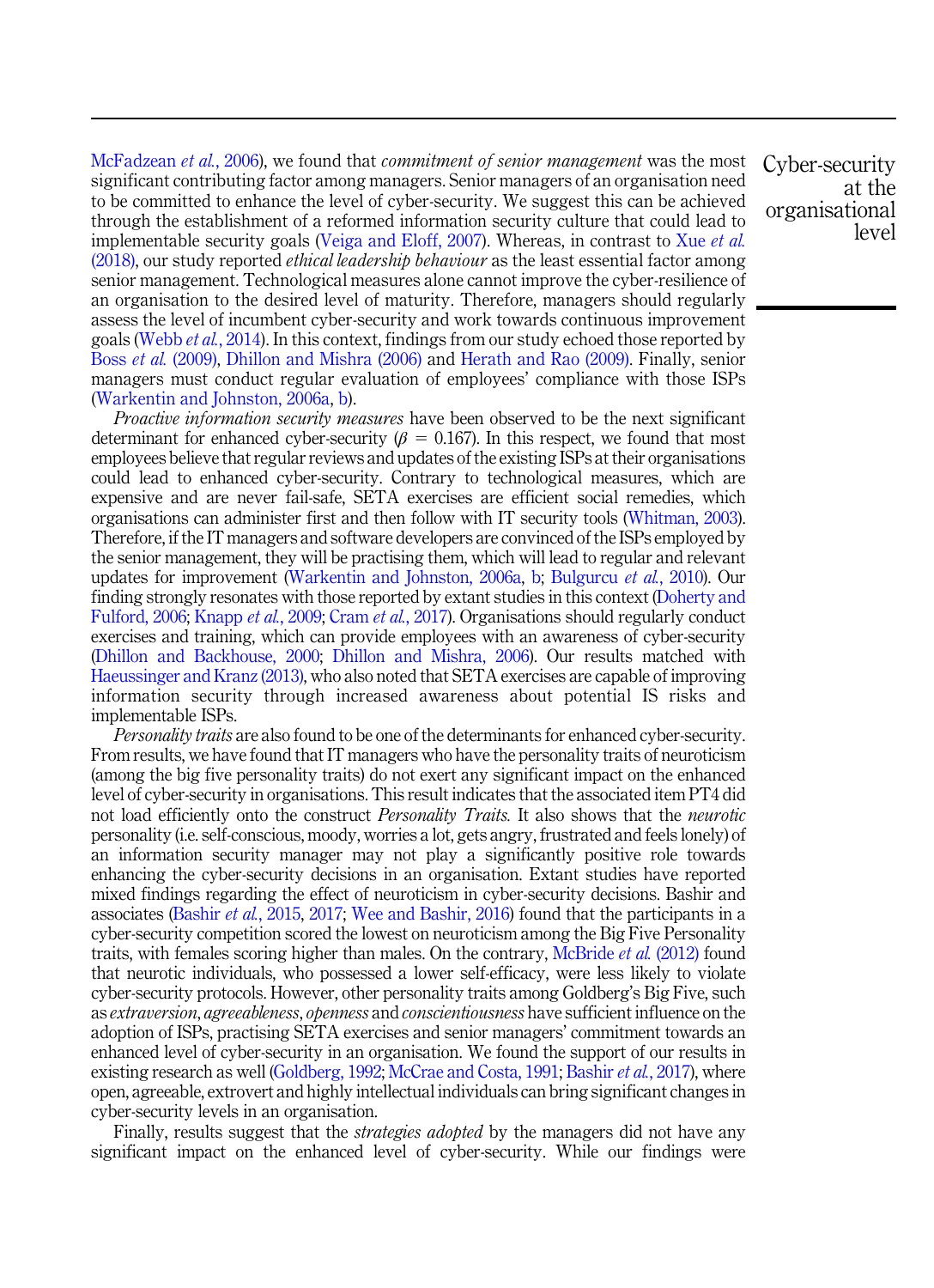McFadzean *et al.*, 2006), we found that *commitment of senior management* was the most significant contributing factor among managers. Senior managers of an organisation need to be committed to enhance the level of cyber-security. We suggest this can be achieved through the establishment of a reformed information security culture that could lead to implementable security goals (Veiga and Eloff, 2007). Whereas, in contrast to Xue *et al.* (2018), our study reported *ethical leadership behaviour* as the least essential factor among senior management. Technological measures alone cannot improve the cyber-resilience of an organisation to the desired level of maturity. Therefore, managers should regularly assess the level of incumbent cyber-security and work towards continuous improvement goals (Webb *et al.*, 2014). In this context, findings from our study echoed those reported by Boss *et al.* (2009), Dhillon and Mishra (2006) and Herath and Rao (2009). Finally, senior managers must conduct regular evaluation of employees' compliance with those ISPs (Warkentin and Johnston, 2006a, b).

*Proactive information security measures* have been observed to be the next significant determinant for enhanced cyber-security ( $\beta = 0.167$ ). In this respect, we found that most employees believe that regular reviews and updates of the existing ISPs at their organisations could lead to enhanced cyber-security. Contrary to technological measures, which are expensive and are never fail-safe, SETA exercises are efficient social remedies, which organisations can administer first and then follow with IT security tools (Whitman, 2003). Therefore, if the IT managers and software developers are convinced of the ISPs employed by the senior management, they will be practising them, which will lead to regular and relevant updates for improvement (Warkentin and Johnston, 2006a, b; Bulgurcu *et al.*, 2010). Our finding strongly resonates with those reported by extant studies in this context (Doherty and Fulford, 2006; Knapp *et al.*, 2009; Cram *et al.*, 2017). Organisations should regularly conduct exercises and training, which can provide employees with an awareness of cyber-security (Dhillon and Backhouse, 2000; Dhillon and Mishra, 2006). Our results matched with Haeussinger and Kranz (2013), who also noted that SETA exercises are capable of improving information security through increased awareness about potential IS risks and implementable ISPs.

*Personality traits* are also found to be one of the determinants for enhanced cyber-security. From results, we have found that IT managers who have the personality traits of neuroticism (among the big five personality traits) do not exert any significant impact on the enhanced level of cyber-security in organisations. This result indicates that the associated item PT4 did not load efficiently onto the construct *Personality Traits.* It also shows that the *neurotic* personality (i.e. self-conscious, moody, worries a lot, gets angry, frustrated and feels lonely) of an information security manager may not play a significantly positive role towards enhancing the cyber-security decisions in an organisation. Extant studies have reported mixed findings regarding the effect of neuroticism in cyber-security decisions. Bashir and associates (Bashir *et al.*, 2015, 2017; Wee and Bashir, 2016) found that the participants in a cyber-security competition scored the lowest on neuroticism among the Big Five Personality traits, with females scoring higher than males. On the contrary, McBride *et al.* (2012) found that neurotic individuals, who possessed a lower self-efficacy, were less likely to violate cyber-security protocols. However, other personality traits among Goldberg's Big Five, such as *extraversion*, *agreeableness*, *openness* and *conscientiousness* have sufficient influence on the adoption of ISPs, practising SETA exercises and senior managers' commitment towards an enhanced level of cyber-security in an organisation. We found the support of our results in existing research as well (Goldberg, 1992; McCrae and Costa, 1991; Bashir *et al.*, 2017), where open, agreeable, extrovert and highly intellectual individuals can bring significant changes in cyber-security levels in an organisation.

Finally, results suggest that the *strategies adopted* by the managers did not have any significant impact on the enhanced level of cyber-security. While our findings were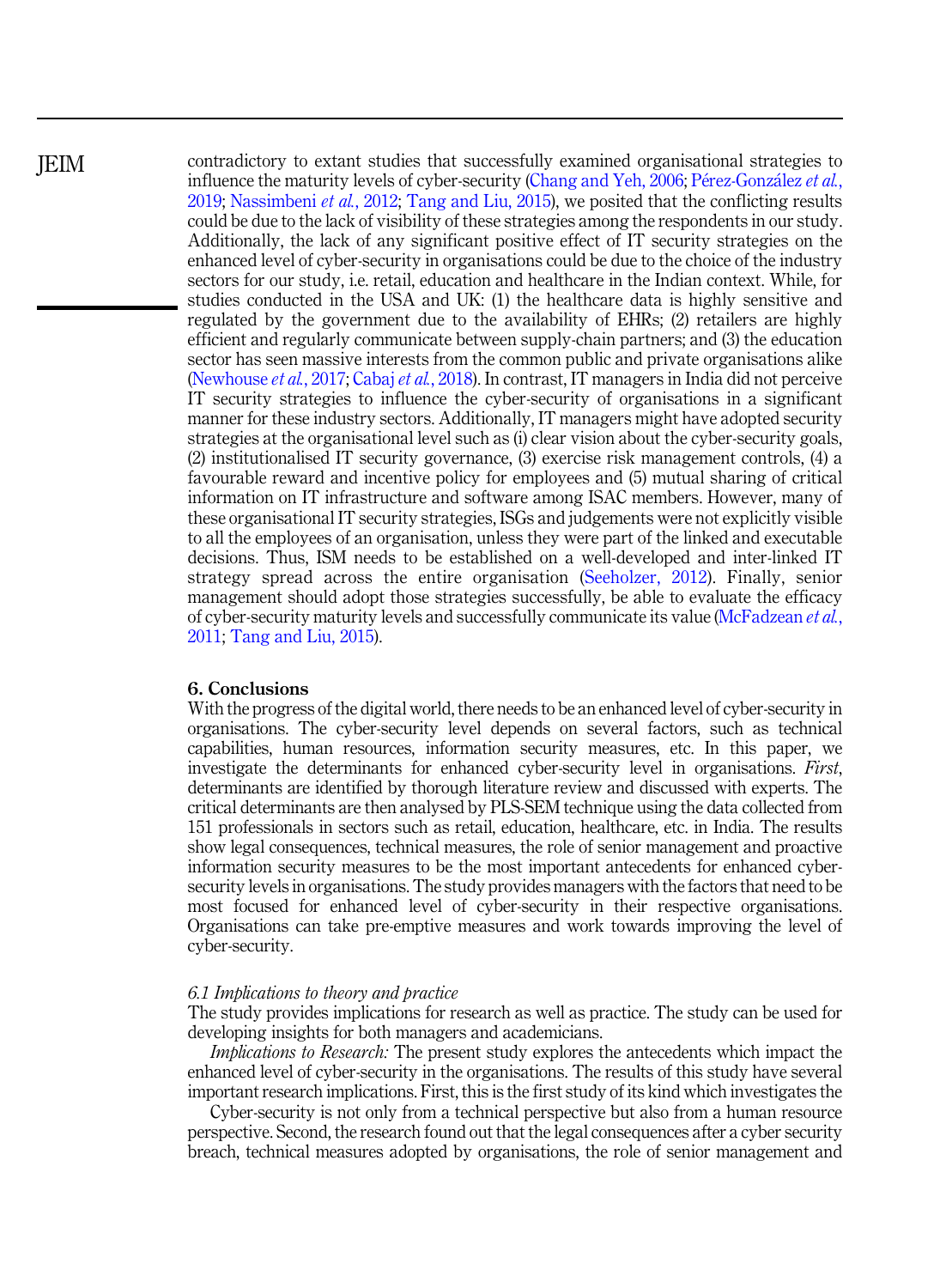**IEIM** 

contradictory to extant studies that successfully examined organisational strategies to influence the maturity levels of cyber-security (Chang and Yeh, 2006; Pérez-González et al., 2019; Nassimbeni *et al.*, 2012; Tang and Liu, 2015), we posited that the conflicting results could be due to the lack of visibility of these strategies among the respondents in our study. Additionally, the lack of any significant positive effect of IT security strategies on the enhanced level of cyber-security in organisations could be due to the choice of the industry sectors for our study, i.e. retail, education and healthcare in the Indian context. While, for studies conducted in the USA and UK: (1) the healthcare data is highly sensitive and regulated by the government due to the availability of EHRs; (2) retailers are highly efficient and regularly communicate between supply-chain partners; and (3) the education sector has seen massive interests from the common public and private organisations alike (Newhouse *et al.*, 2017; Cabaj *et al.*, 2018). In contrast, IT managers in India did not perceive IT security strategies to influence the cyber-security of organisations in a significant manner for these industry sectors. Additionally, IT managers might have adopted security strategies at the organisational level such as (i) clear vision about the cyber-security goals, (2) institutionalised IT security governance, (3) exercise risk management controls, (4) a favourable reward and incentive policy for employees and (5) mutual sharing of critical information on IT infrastructure and software among ISAC members. However, many of these organisational IT security strategies, ISGs and judgements were not explicitly visible to all the employees of an organisation, unless they were part of the linked and executable decisions. Thus, ISM needs to be established on a well-developed and inter-linked IT strategy spread across the entire organisation (Seeholzer, 2012). Finally, senior management should adopt those strategies successfully, be able to evaluate the efficacy of cyber-security maturity levels and successfully communicate its value (McFadzean *et al.*, 2011; Tang and Liu, 2015).

## 6. Conclusions

With the progress of the digital world, there needs to be an enhanced level of cyber-security in organisations. The cyber-security level depends on several factors, such as technical capabilities, human resources, information security measures, etc. In this paper, we investigate the determinants for enhanced cyber-security level in organisations. *First*, determinants are identified by thorough literature review and discussed with experts. The critical determinants are then analysed by PLS-SEM technique using the data collected from 151 professionals in sectors such as retail, education, healthcare, etc. in India. The results show legal consequences, technical measures, the role of senior management and proactive information security measures to be the most important antecedents for enhanced cybersecurity levels in organisations. The study provides managers with the factors that need to be most focused for enhanced level of cyber-security in their respective organisations. Organisations can take pre-emptive measures and work towards improving the level of cyber-security.

#### *6.1 Implications to theory and practice*

The study provides implications for research as well as practice. The study can be used for developing insights for both managers and academicians.

*Implications to Research:* The present study explores the antecedents which impact the enhanced level of cyber-security in the organisations. The results of this study have several important research implications. First, this is the first study of its kind which investigates the

Cyber-security is not only from a technical perspective but also from a human resource perspective. Second, the research found out that the legal consequences after a cyber security breach, technical measures adopted by organisations, the role of senior management and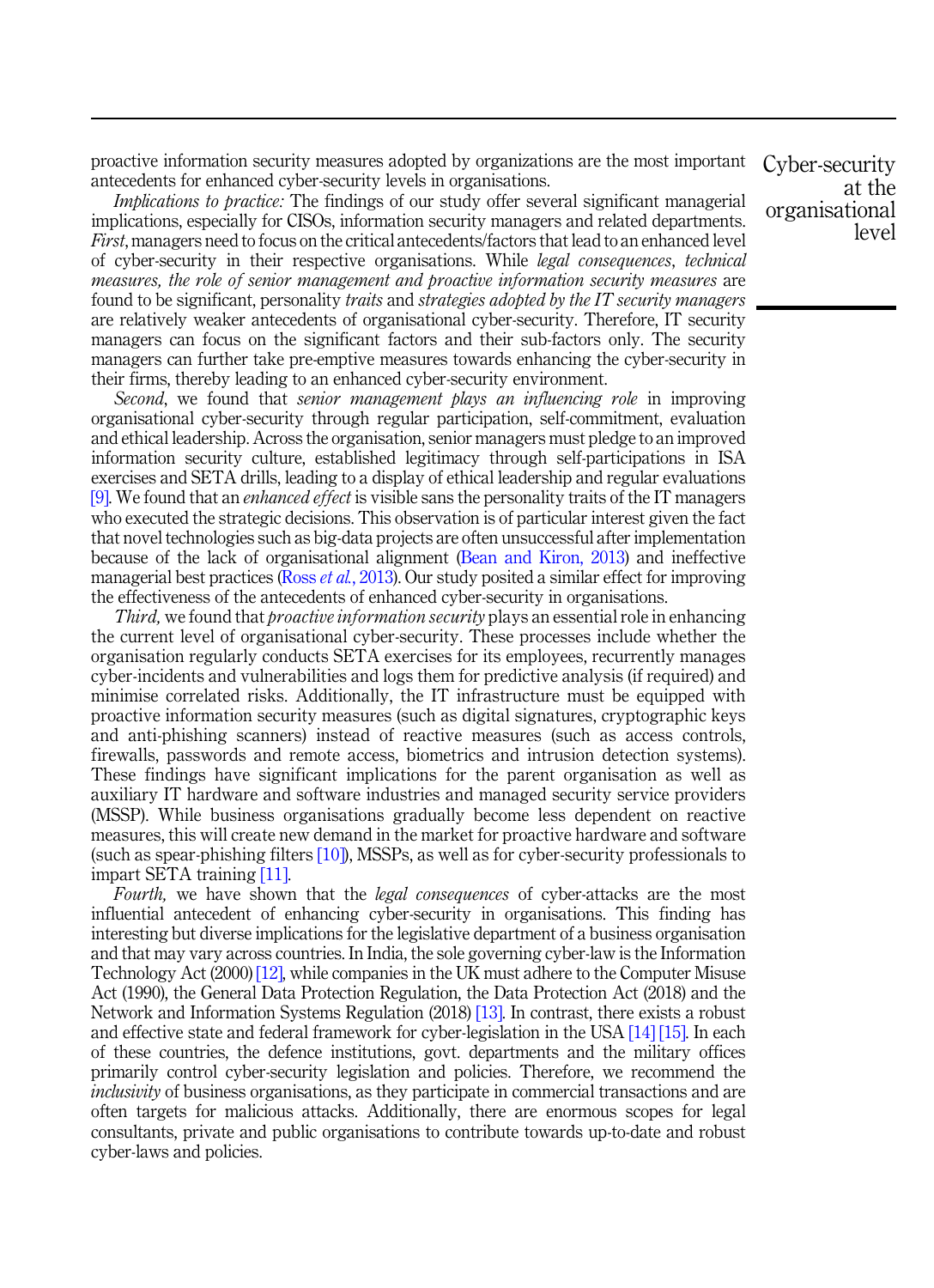proactive information security measures adopted by organizations are the most important antecedents for enhanced cyber-security levels in organisations.

*Implications to practice:* The findings of our study offer several significant managerial implications, especially for CISOs, information security managers and related departments. *First*, managers need to focus on the critical antecedents/factors that lead to an enhanced level of cyber-security in their respective organisations. While *legal consequences*, *technical measures, the role of senior management and proactive information security measures* are found to be significant, personality *traits* and *strategies adopted by the IT security managers* are relatively weaker antecedents of organisational cyber-security. Therefore, IT security managers can focus on the significant factors and their sub-factors only. The security managers can further take pre-emptive measures towards enhancing the cyber-security in their firms, thereby leading to an enhanced cyber-security environment.

*Second*, we found that *senior management plays an influencing role* in improving organisational cyber-security through regular participation, self-commitment, evaluation and ethical leadership. Across the organisation, senior managers must pledge to an improved information security culture, established legitimacy through self-participations in ISA exercises and SETA drills, leading to a display of ethical leadership and regular evaluations [9]. We found that an *enhanced effect* is visible sans the personality traits of the IT managers who executed the strategic decisions. This observation is of particular interest given the fact that novel technologies such as big-data projects are often unsuccessful after implementation because of the lack of organisational alignment (Bean and Kiron, 2013) and ineffective managerial best practices (Ross *et al.*, 2013). Our study posited a similar effect for improving the effectiveness of the antecedents of enhanced cyber-security in organisations.

*Third,* we found that *proactive information security* plays an essential role in enhancing the current level of organisational cyber-security. These processes include whether the organisation regularly conducts SETA exercises for its employees, recurrently manages cyber-incidents and vulnerabilities and logs them for predictive analysis (if required) and minimise correlated risks. Additionally, the IT infrastructure must be equipped with proactive information security measures (such as digital signatures, cryptographic keys and anti-phishing scanners) instead of reactive measures (such as access controls, firewalls, passwords and remote access, biometrics and intrusion detection systems). These findings have significant implications for the parent organisation as well as auxiliary IT hardware and software industries and managed security service providers (MSSP). While business organisations gradually become less dependent on reactive measures, this will create new demand in the market for proactive hardware and software (such as spear-phishing filters [10]), MSSPs, as well as for cyber-security professionals to impart SETA training [11].

*Fourth,* we have shown that the *legal consequences* of cyber-attacks are the most influential antecedent of enhancing cyber-security in organisations. This finding has interesting but diverse implications for the legislative department of a business organisation and that may vary across countries. In India, the sole governing cyber-law is the Information Technology Act (2000) [12], while companies in the UK must adhere to the Computer Misuse Act (1990), the General Data Protection Regulation, the Data Protection Act (2018) and the Network and Information Systems Regulation (2018) [13]. In contrast, there exists a robust and effective state and federal framework for cyber-legislation in the USA [14] [15]. In each of these countries, the defence institutions, govt. departments and the military offices primarily control cyber-security legislation and policies. Therefore, we recommend the *inclusivity* of business organisations, as they participate in commercial transactions and are often targets for malicious attacks. Additionally, there are enormous scopes for legal consultants, private and public organisations to contribute towards up-to-date and robust cyber-laws and policies.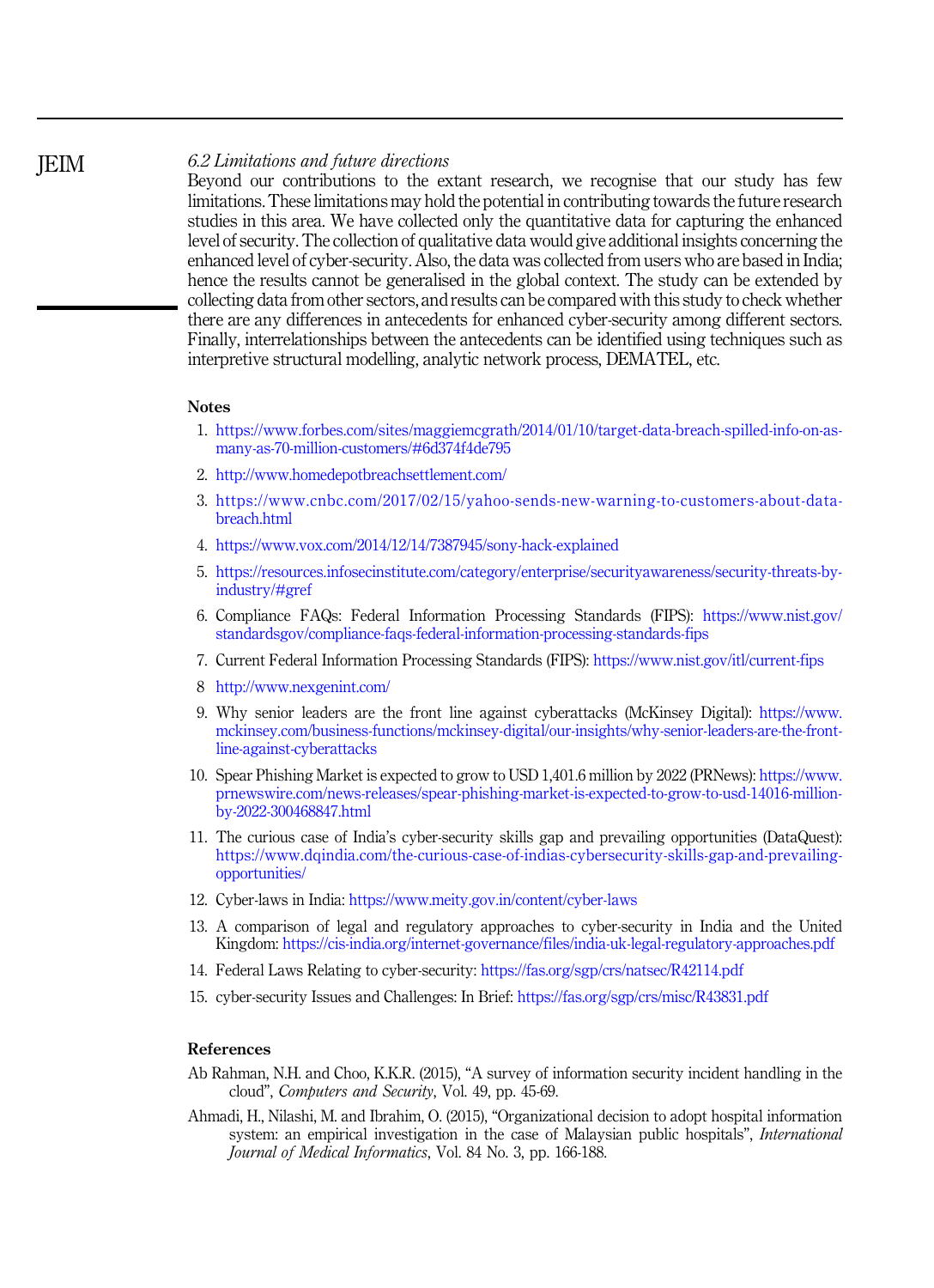## *6.2 Limitations and future directions*

Beyond our contributions to the extant research, we recognise that our study has few limitations. These limitations may hold the potential in contributing towards the future research studies in this area. We have collected only the quantitative data for capturing the enhanced level of security. The collection of qualitative data would give additional insights concerning the enhanced level of cyber-security. Also, the data was collected from users who are based in India; hence the results cannot be generalised in the global context. The study can be extended by collecting data from other sectors, and results can be compared with this study to check whether there are any differences in antecedents for enhanced cyber-security among different sectors. Finally, interrelationships between the antecedents can be identified using techniques such as interpretive structural modelling, analytic network process, DEMATEL, etc.

#### **Notes**

- 1. https://www.forbes.com/sites/maggiemcgrath/2014/01/10/target-data-breach-spilled-info-on-asmany-as-70-million-customers/#6d374f4de795
- 2. http://www.homedepotbreachsettlement.com/
- 3. https://www.cnbc.com/2017/02/15/yahoo-sends-new-warning-to-customers-about-databreach.html
- 4. https://www.vox.com/2014/12/14/7387945/sony-hack-explained
- 5. https://resources.infosecinstitute.com/category/enterprise/securityawareness/security-threats-byindustry/#gref
- 6. Compliance FAQs: Federal Information Processing Standards (FIPS): https://www.nist.gov/ standardsgov/compliance-faqs-federal-information-processing-standards-fips
- 7. Current Federal Information Processing Standards (FIPS): https://www.nist.gov/itl/current-fips
- 8 http://www.nexgenint.com/
- 9. Why senior leaders are the front line against cyberattacks (McKinsey Digital): https://www. mckinsey.com/business-functions/mckinsey-digital/our-insights/why-senior-leaders-are-the-frontline-against-cyberattacks
- 10. Spear Phishing Market is expected to grow to USD 1,401.6 million by 2022 (PRNews): https://www. prnewswire.com/news-releases/spear-phishing-market-is-expected-to-grow-to-usd-14016-millionby-2022-300468847.html
- 11. The curious case of India's cyber-security skills gap and prevailing opportunities (DataQuest): https://www.dqindia.com/the-curious-case-of-indias-cybersecurity-skills-gap-and-prevailingopportunities/
- 12. Cyber-laws in India: https://www.meity.gov.in/content/cyber-laws
- 13. A comparison of legal and regulatory approaches to cyber-security in India and the United Kingdom: https://cis-india.org/internet-governance/files/india-uk-legal-regulatory-approaches.pdf
- 14. Federal Laws Relating to cyber-security: https://fas.org/sgp/crs/natsec/R42114.pdf
- 15. cyber-security Issues and Challenges: In Brief: https://fas.org/sgp/crs/misc/R43831.pdf

## References

- Ab Rahman, N.H. and Choo, K.K.R. (2015), "A survey of information security incident handling in the cloud", *Computers and Security*, Vol. 49, pp. 45-69.
- Ahmadi, H., Nilashi, M. and Ibrahim, O. (2015), "Organizational decision to adopt hospital information system: an empirical investigation in the case of Malaysian public hospitals", *International Journal of Medical Informatics*, Vol. 84 No. 3, pp. 166-188.

**IEIM**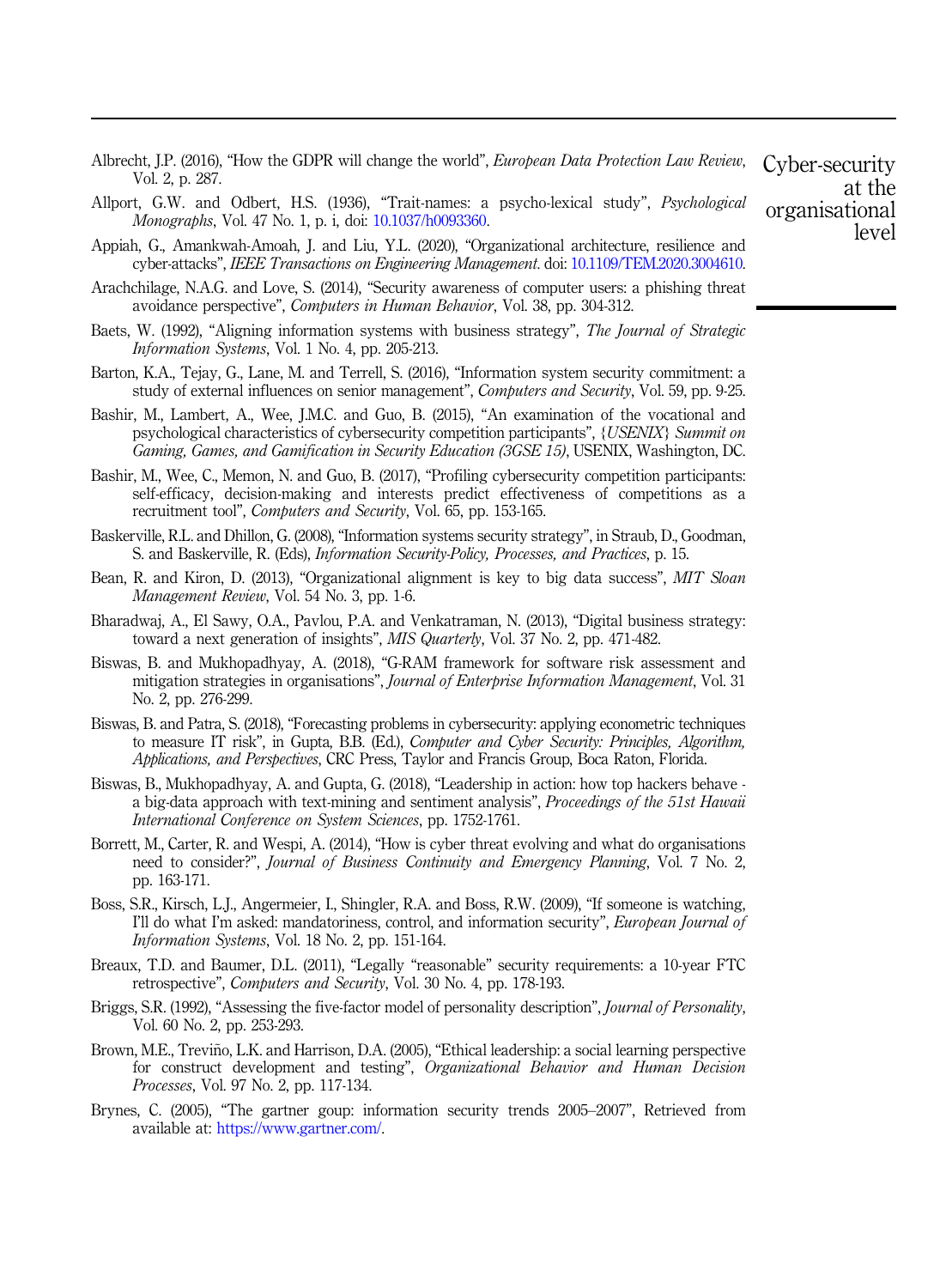|                 | Albrecht, J.P. (2016), "How the GDPR will change the world", <i>European Data Protection Law Review</i> , |  |  |
|-----------------|-----------------------------------------------------------------------------------------------------------|--|--|
| Vol. 2, p. 287. |                                                                                                           |  |  |

- Allport, G.W. and Odbert, H.S. (1936), "Trait-names: a psycho-lexical study", *Psychological Monographs*, Vol. 47 No. 1, p. i, doi: 10.1037/h0093360.
- Appiah, G., Amankwah-Amoah, J. and Liu, Y.L. (2020), "Organizational architecture, resilience and cyber-attacks", *IEEE Transactions on Engineering Management*. doi: 10.1109/TEM.2020.3004610.
- Arachchilage, N.A.G. and Love, S. (2014), "Security awareness of computer users: a phishing threat avoidance perspective", *Computers in Human Behavior*, Vol. 38, pp. 304-312.
- Baets, W. (1992), "Aligning information systems with business strategy", *The Journal of Strategic Information Systems*, Vol. 1 No. 4, pp. 205-213.
- Barton, K.A., Tejay, G., Lane, M. and Terrell, S. (2016), "Information system security commitment: a study of external influences on senior management", *Computers and Security*, Vol. 59, pp. 9-25.
- Bashir, M., Lambert, A., Wee, J.M.C. and Guo, B. (2015), "An examination of the vocational and psychological characteristics of cybersecurity competition participants", *{USENIX} Summit on Gaming, Games, and Gamification in Security Education (3GSE 15)*, USENIX, Washington, DC.
- Bashir, M., Wee, C., Memon, N. and Guo, B. (2017), "Profiling cybersecurity competition participants: self-efficacy, decision-making and interests predict effectiveness of competitions as a recruitment tool", *Computers and Security*, Vol. 65, pp. 153-165.
- Baskerville, R.L. and Dhillon, G. (2008), "Information systems security strategy", in Straub, D., Goodman, S. and Baskerville, R. (Eds), *Information Security-Policy, Processes, and Practices*, p. 15.
- Bean, R. and Kiron, D. (2013), "Organizational alignment is key to big data success", *MIT Sloan Management Review*, Vol. 54 No. 3, pp. 1-6.
- Bharadwaj, A., El Sawy, O.A., Pavlou, P.A. and Venkatraman, N. (2013), "Digital business strategy: toward a next generation of insights", *MIS Quarterly*, Vol. 37 No. 2, pp. 471-482.
- Biswas, B. and Mukhopadhyay, A. (2018), "G-RAM framework for software risk assessment and mitigation strategies in organisations", *Journal of Enterprise Information Management*, Vol. 31 No. 2, pp. 276-299.
- Biswas, B. and Patra, S. (2018), "Forecasting problems in cybersecurity: applying econometric techniques to measure IT risk", in Gupta, B.B. (Ed.), *Computer and Cyber Security: Principles, Algorithm, Applications, and Perspectives*, CRC Press, Taylor and Francis Group, Boca Raton, Florida.
- Biswas, B., Mukhopadhyay, A. and Gupta, G. (2018), "Leadership in action: how top hackers behave a big-data approach with text-mining and sentiment analysis", *Proceedings of the 51st Hawaii International Conference on System Sciences*, pp. 1752-1761.
- Borrett, M., Carter, R. and Wespi, A. (2014), "How is cyber threat evolving and what do organisations need to consider?", *Journal of Business Continuity and Emergency Planning*, Vol. 7 No. 2, pp. 163-171.
- Boss, S.R., Kirsch, L.J., Angermeier, I., Shingler, R.A. and Boss, R.W. (2009), "If someone is watching, I'll do what I'm asked: mandatoriness, control, and information security", *European Journal of Information Systems*, Vol. 18 No. 2, pp. 151-164.
- Breaux, T.D. and Baumer, D.L. (2011), "Legally "reasonable" security requirements: a 10-year FTC retrospective", *Computers and Security*, Vol. 30 No. 4, pp. 178-193.
- Briggs, S.R. (1992), "Assessing the five-factor model of personality description", *Journal of Personality*, Vol. 60 No. 2, pp. 253-293.
- Brown, M.E., Treviño, L.K. and Harrison, D.A. (2005), "Ethical leadership: a social learning perspective for construct development and testing", *Organizational Behavior and Human Decision Processes*, Vol. 97 No. 2, pp. 117-134.
- Brynes, C. (2005), "The gartner goup: information security trends 2005–2007", Retrieved from available at: https://www.gartner.com/.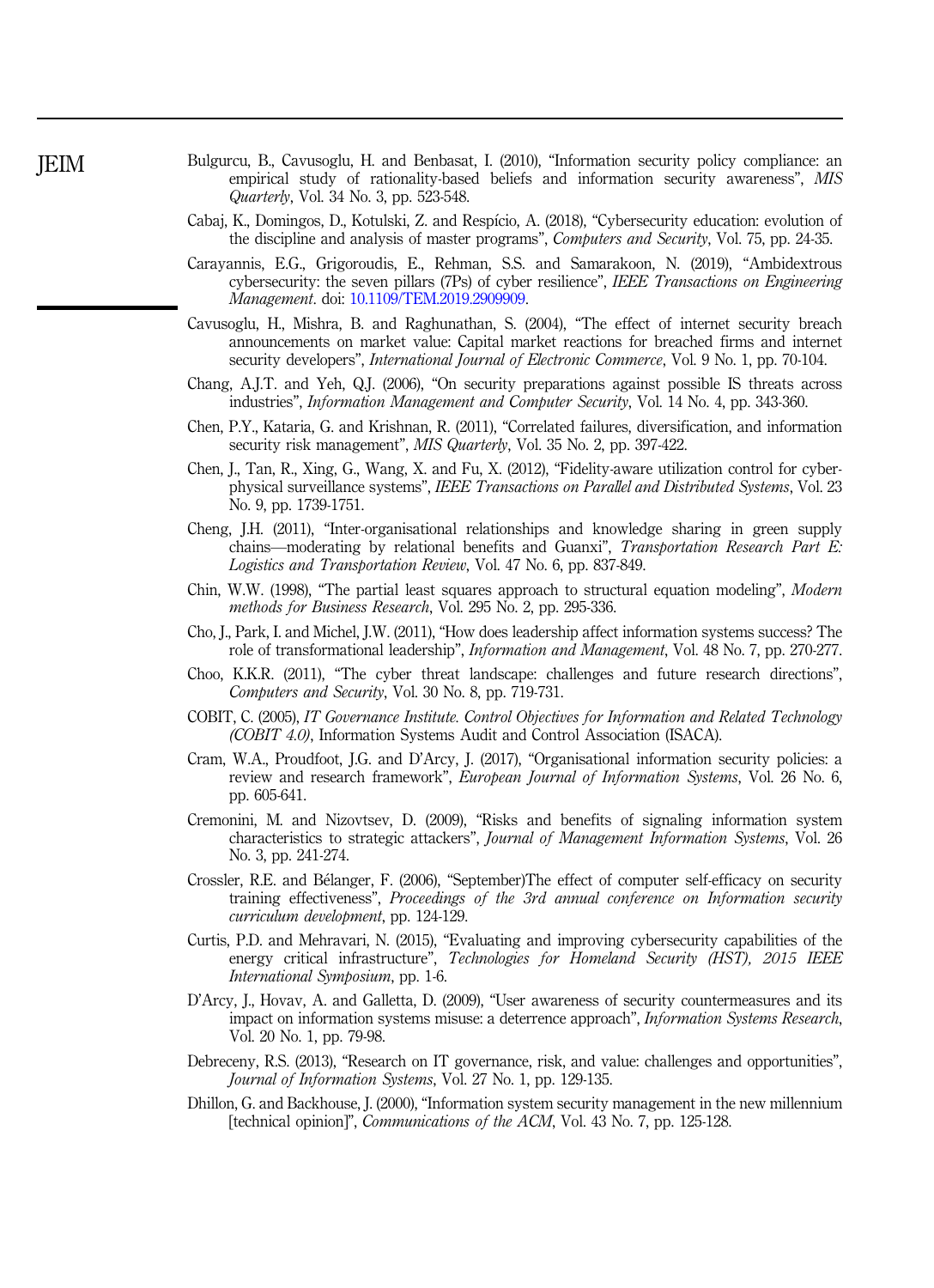- Bulgurcu, B., Cavusoglu, H. and Benbasat, I. (2010), "Information security policy compliance: an empirical study of rationality-based beliefs and information security awareness", *MIS Quarterly*, Vol. 34 No. 3, pp. 523-548.
- Cabaj, K., Domingos, D., Kotulski, Z. and Respício, A. (2018), "Cybersecurity education: evolution of the discipline and analysis of master programs", *Computers and Security*, Vol. 75, pp. 24-35.
- Carayannis, E.G., Grigoroudis, E., Rehman, S.S. and Samarakoon, N. (2019), "Ambidextrous cybersecurity: the seven pillars (7Ps) of cyber resilience", *IEEE Transactions on Engineering Management*. doi: 10.1109/TEM.2019.2909909.
- Cavusoglu, H., Mishra, B. and Raghunathan, S. (2004), "The effect of internet security breach announcements on market value: Capital market reactions for breached firms and internet security developers", *International Journal of Electronic Commerce*, Vol. 9 No. 1, pp. 70-104.
- Chang, A.J.T. and Yeh, Q.J. (2006), "On security preparations against possible IS threats across industries", *Information Management and Computer Security*, Vol. 14 No. 4, pp. 343-360.
- Chen, P.Y., Kataria, G. and Krishnan, R. (2011), "Correlated failures, diversification, and information security risk management", *MIS Quarterly*, Vol. 35 No. 2, pp. 397-422.
- Chen, J., Tan, R., Xing, G., Wang, X. and Fu, X. (2012), "Fidelity-aware utilization control for cyberphysical surveillance systems", *IEEE Transactions on Parallel and Distributed Systems*, Vol. 23 No. 9, pp. 1739-1751.
- Cheng, J.H. (2011), "Inter-organisational relationships and knowledge sharing in green supply chains—moderating by relational benefits and Guanxi", *Transportation Research Part E: Logistics and Transportation Review*, Vol. 47 No. 6, pp. 837-849.
- Chin, W.W. (1998), "The partial least squares approach to structural equation modeling", *Modern methods for Business Research*, Vol. 295 No. 2, pp. 295-336.
- Cho, J., Park, I. and Michel, J.W. (2011), "How does leadership affect information systems success? The role of transformational leadership", *Information and Management*, Vol. 48 No. 7, pp. 270-277.
- Choo, K.K.R. (2011), "The cyber threat landscape: challenges and future research directions", *Computers and Security*, Vol. 30 No. 8, pp. 719-731.
- COBIT, C. (2005), *IT Governance Institute. Control Objectives for Information and Related Technology (COBIT 4.0)*, Information Systems Audit and Control Association (ISACA).
- Cram, W.A., Proudfoot, J.G. and D'Arcy, J. (2017), "Organisational information security policies: a review and research framework", *European Journal of Information Systems*, Vol. 26 No. 6, pp. 605-641.
- Cremonini, M. and Nizovtsev, D. (2009), "Risks and benefits of signaling information system characteristics to strategic attackers", *Journal of Management Information Systems*, Vol. 26 No. 3, pp. 241-274.
- Crossler, R.E. and Bélanger, F. (2006), "September)The effect of computer self-efficacy on security training effectiveness", *Proceedings of the 3rd annual conference on Information security curriculum development*, pp. 124-129.
- Curtis, P.D. and Mehravari, N. (2015), "Evaluating and improving cybersecurity capabilities of the energy critical infrastructure", *Technologies for Homeland Security (HST), 2015 IEEE International Symposium*, pp. 1-6.
- D'Arcy, J., Hovav, A. and Galletta, D. (2009), "User awareness of security countermeasures and its impact on information systems misuse: a deterrence approach", *Information Systems Research*, Vol. 20 No. 1, pp. 79-98.
- Debreceny, R.S. (2013), "Research on IT governance, risk, and value: challenges and opportunities", *Journal of Information Systems*, Vol. 27 No. 1, pp. 129-135.
- Dhillon, G. and Backhouse, J. (2000), "Information system security management in the new millennium [technical opinion]", *Communications of the ACM*, Vol. 43 No. 7, pp. 125-128.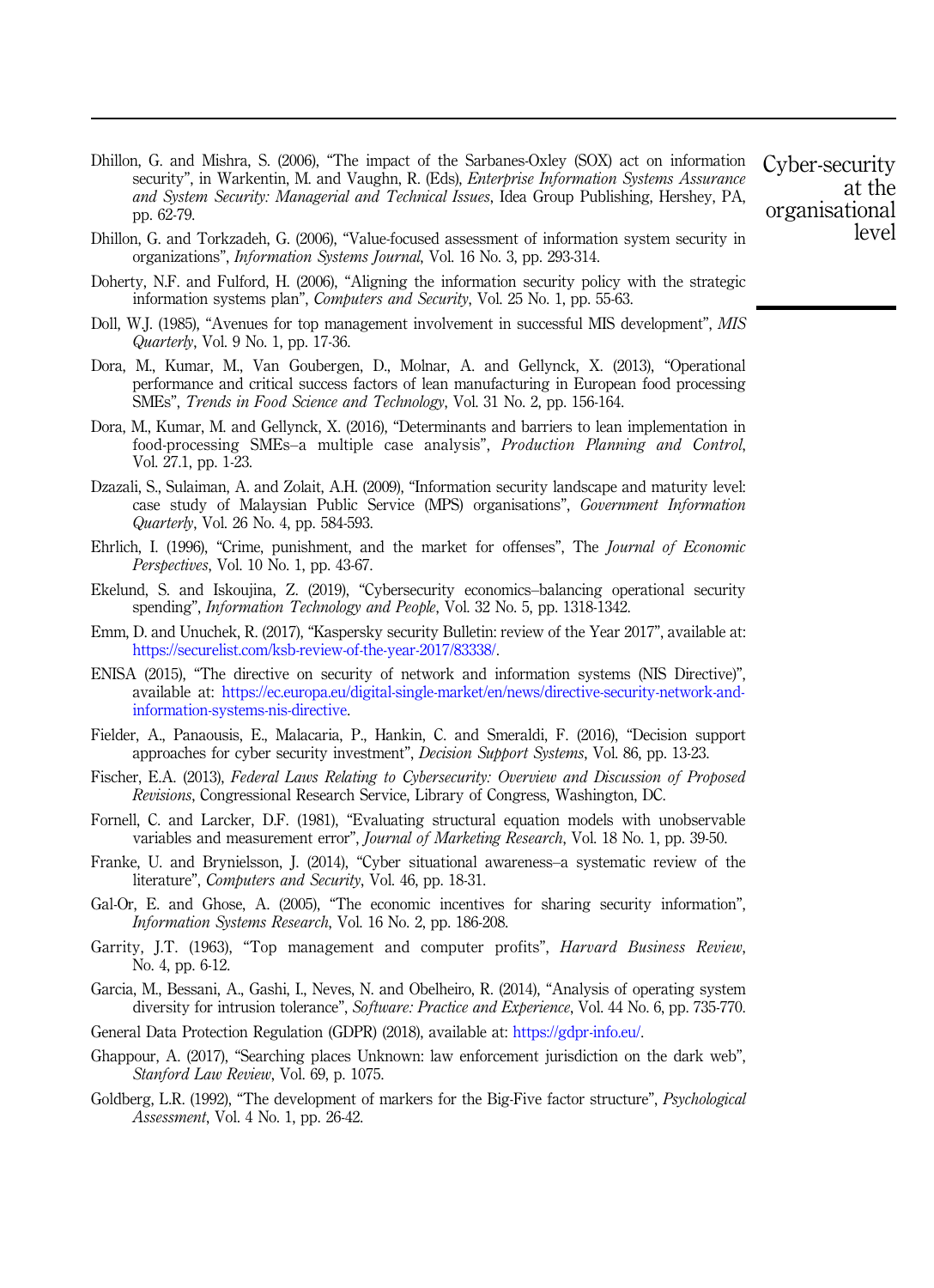Dhillon, G. and Mishra, S. (2006), "The impact of the Sarbanes-Oxley (SOX) act on information security", in Warkentin, M. and Vaughn, R. (Eds), *Enterprise Information Systems Assurance and System Security: Managerial and Technical Issues*, Idea Group Publishing, Hershey, PA, pp. 62-79.

Dhillon, G. and Torkzadeh, G. (2006), "Value-focused assessment of information system security in organizations", *Information Systems Journal*, Vol. 16 No. 3, pp. 293-314.

- Doherty, N.F. and Fulford, H. (2006), "Aligning the information security policy with the strategic information systems plan", *Computers and Security*, Vol. 25 No. 1, pp. 55-63.
- Doll, W.J. (1985), "Avenues for top management involvement in successful MIS development", *MIS Quarterly*, Vol. 9 No. 1, pp. 17-36.
- Dora, M., Kumar, M., Van Goubergen, D., Molnar, A. and Gellynck, X. (2013), "Operational performance and critical success factors of lean manufacturing in European food processing SMEs", *Trends in Food Science and Technology*, Vol. 31 No. 2, pp. 156-164.
- Dora, M., Kumar, M. and Gellynck, X. (2016), "Determinants and barriers to lean implementation in food-processing SMEs–a multiple case analysis", *Production Planning and Control*, Vol. 27.1, pp. 1-23.
- Dzazali, S., Sulaiman, A. and Zolait, A.H. (2009), "Information security landscape and maturity level: case study of Malaysian Public Service (MPS) organisations", *Government Information Quarterly*, Vol. 26 No. 4, pp. 584-593.
- Ehrlich, I. (1996), "Crime, punishment, and the market for offenses", The *Journal of Economic Perspectives*, Vol. 10 No. 1, pp. 43-67.
- Ekelund, S. and Iskoujina, Z. (2019), "Cybersecurity economics–balancing operational security spending", *Information Technology and People*, Vol. 32 No. 5, pp. 1318-1342.
- Emm, D. and Unuchek, R. (2017), "Kaspersky security Bulletin: review of the Year 2017", available at: https://securelist.com/ksb-review-of-the-year-2017/83338/.
- ENISA (2015), "The directive on security of network and information systems (NIS Directive)", available at: https://ec.europa.eu/digital-single-market/en/news/directive-security-network-andinformation-systems-nis-directive.
- Fielder, A., Panaousis, E., Malacaria, P., Hankin, C. and Smeraldi, F. (2016), "Decision support approaches for cyber security investment", *Decision Support Systems*, Vol. 86, pp. 13-23.
- Fischer, E.A. (2013), *Federal Laws Relating to Cybersecurity: Overview and Discussion of Proposed Revisions*, Congressional Research Service, Library of Congress, Washington, DC.
- Fornell, C. and Larcker, D.F. (1981), "Evaluating structural equation models with unobservable variables and measurement error", *Journal of Marketing Research*, Vol. 18 No. 1, pp. 39-50.
- Franke, U. and Brynielsson, J. (2014), "Cyber situational awareness–a systematic review of the literature", *Computers and Security*, Vol. 46, pp. 18-31.
- Gal-Or, E. and Ghose, A. (2005), "The economic incentives for sharing security information", *Information Systems Research*, Vol. 16 No. 2, pp. 186-208.
- Garrity, J.T. (1963), "Top management and computer profits", *Harvard Business Review*, No. 4, pp. 6-12.
- Garcia, M., Bessani, A., Gashi, I., Neves, N. and Obelheiro, R. (2014), "Analysis of operating system diversity for intrusion tolerance", *Software: Practice and Experience*, Vol. 44 No. 6, pp. 735-770.
- General Data Protection Regulation (GDPR) (2018), available at: https://gdpr-info.eu/.
- Ghappour, A. (2017), "Searching places Unknown: law enforcement jurisdiction on the dark web", *Stanford Law Review*, Vol. 69, p. 1075.
- Goldberg, L.R. (1992), "The development of markers for the Big-Five factor structure", *Psychological Assessment*, Vol. 4 No. 1, pp. 26-42.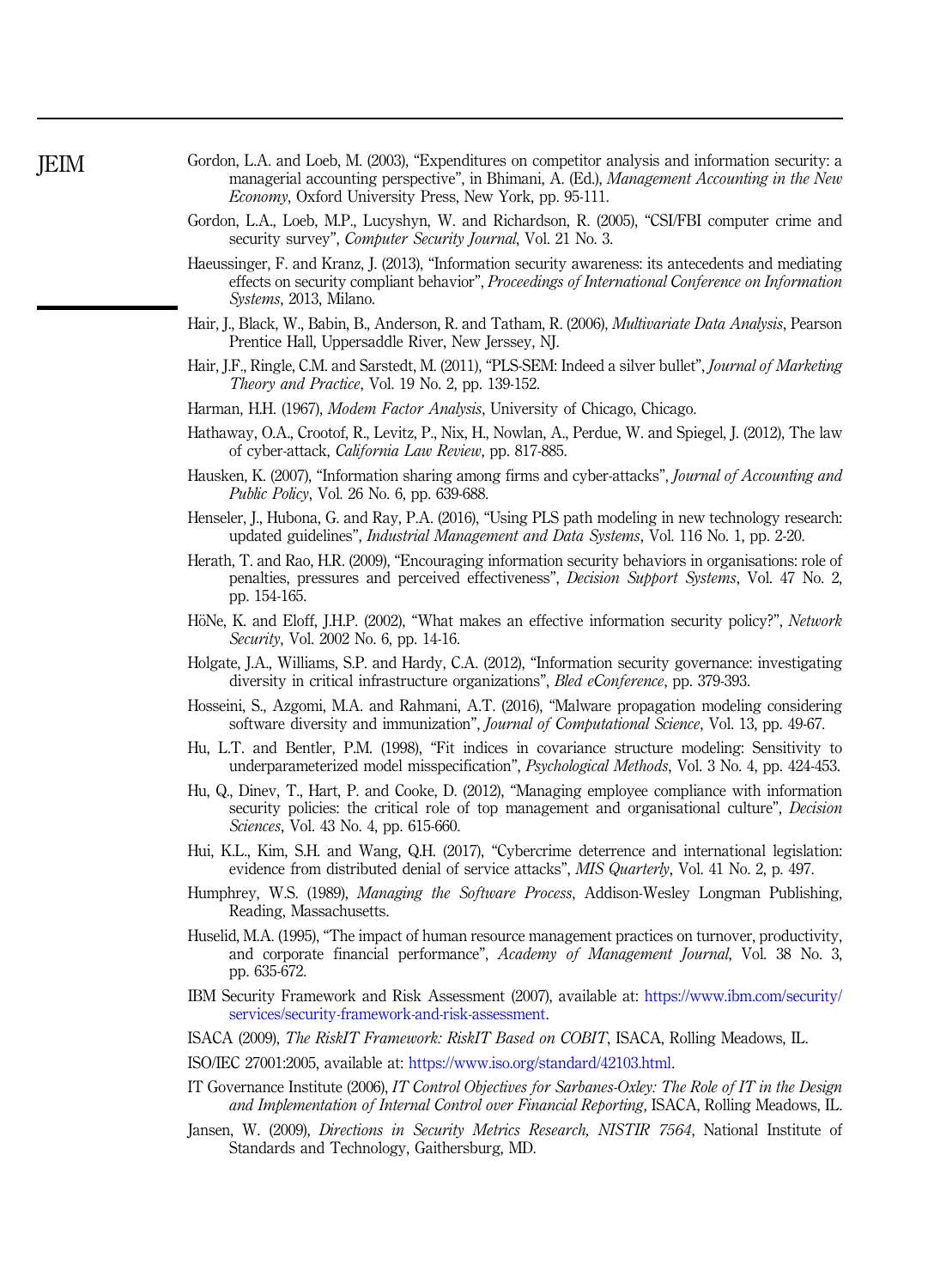| Gordon, L.A. and Loeb, M. (2003), "Expenditures on competitor analysis and information security: a |  |  |  |
|----------------------------------------------------------------------------------------------------|--|--|--|
| managerial accounting perspective", in Bhimani, A. (Ed.), <i>Management Accounting in the New</i>  |  |  |  |
| <i>Economy</i> , Oxford University Press, New York, pp. 95-111.                                    |  |  |  |

- Gordon, L.A., Loeb, M.P., Lucyshyn, W. and Richardson, R. (2005), "CSI/FBI computer crime and security survey", *Computer Security Journal*, Vol. 21 No. 3.
- Haeussinger, F. and Kranz, J. (2013), "Information security awareness: its antecedents and mediating effects on security compliant behavior", *Proceedings of International Conference on Information Systems*, 2013, Milano.
- Hair, J., Black, W., Babin, B., Anderson, R. and Tatham, R. (2006), *Multivariate Data Analysis*, Pearson Prentice Hall, Uppersaddle River, New Jerssey, NJ.
- Hair, J.F., Ringle, C.M. and Sarstedt, M. (2011), "PLS-SEM: Indeed a silver bullet", *Journal of Marketing Theory and Practice*, Vol. 19 No. 2, pp. 139-152.
- Harman, H.H. (1967), *Modem Factor Analysis*, University of Chicago, Chicago.
- Hathaway, O.A., Crootof, R., Levitz, P., Nix, H., Nowlan, A., Perdue, W. and Spiegel, J. (2012), The law of cyber-attack, *California Law Review*, pp. 817-885.
- Hausken, K. (2007), "Information sharing among firms and cyber-attacks", *Journal of Accounting and Public Policy*, Vol. 26 No. 6, pp. 639-688.
- Henseler, J., Hubona, G. and Ray, P.A. (2016), "Using PLS path modeling in new technology research: updated guidelines", *Industrial Management and Data Systems*, Vol. 116 No. 1, pp. 2-20.
- Herath, T. and Rao, H.R. (2009), "Encouraging information security behaviors in organisations: role of penalties, pressures and perceived effectiveness", *Decision Support Systems*, Vol. 47 No. 2, pp. 154-165.
- HöNe, K. and Eloff, J.H.P. (2002), "What makes an effective information security policy?", *Network Security*, Vol. 2002 No. 6, pp. 14-16.
- Holgate, J.A., Williams, S.P. and Hardy, C.A. (2012), "Information security governance: investigating diversity in critical infrastructure organizations", *Bled eConference*, pp. 379-393.
- Hosseini, S., Azgomi, M.A. and Rahmani, A.T. (2016), "Malware propagation modeling considering software diversity and immunization", *Journal of Computational Science*, Vol. 13, pp. 49-67.
- Hu, L.T. and Bentler, P.M. (1998), "Fit indices in covariance structure modeling: Sensitivity to underparameterized model misspecification", *Psychological Methods*, Vol. 3 No. 4, pp. 424-453.
- Hu, Q., Dinev, T., Hart, P. and Cooke, D. (2012), "Managing employee compliance with information security policies: the critical role of top management and organisational culture", *Decision Sciences*, Vol. 43 No. 4, pp. 615-660.
- Hui, K.L., Kim, S.H. and Wang, Q.H. (2017), "Cybercrime deterrence and international legislation: evidence from distributed denial of service attacks", *MIS Quarterly*, Vol. 41 No. 2, p. 497.
- Humphrey, W.S. (1989), *Managing the Software Process*, Addison-Wesley Longman Publishing, Reading, Massachusetts.
- Huselid, M.A. (1995), "The impact of human resource management practices on turnover, productivity, and corporate financial performance", *Academy of Management Journal*, Vol. 38 No. 3, pp. 635-672.
- IBM Security Framework and Risk Assessment (2007), available at: https://www.ibm.com/security/ services/security-framework-and-risk-assessment.

ISACA (2009), *The RiskIT Framework: RiskIT Based on COBIT*, ISACA, Rolling Meadows, IL.

- ISO/IEC 27001:2005, available at: https://www.iso.org/standard/42103.html.
- IT Governance Institute (2006), *IT Control Objectives for Sarbanes-Oxley: The Role of IT in the Design and Implementation of Internal Control over Financial Reporting*, ISACA, Rolling Meadows, IL.
- Jansen, W. (2009), *Directions in Security Metrics Research, NISTIR 7564*, National Institute of Standards and Technology, Gaithersburg, MD.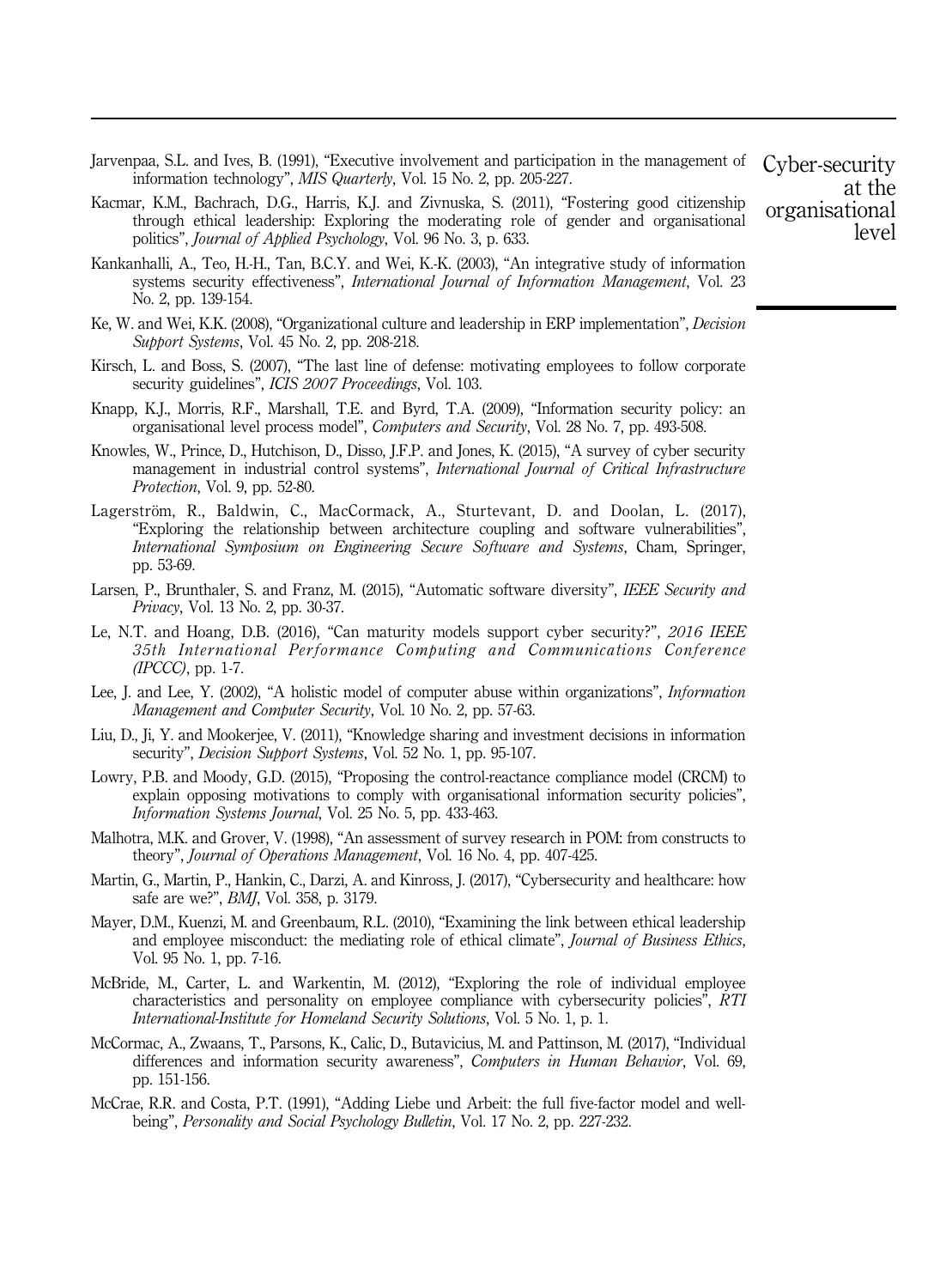- Jarvenpaa, S.L. and Ives, B. (1991), "Executive involvement and participation in the management of information technology", *MIS Quarterly*, Vol. 15 No. 2, pp. 205-227.
- Kacmar, K.M., Bachrach, D.G., Harris, K.J. and Zivnuska, S. (2011), "Fostering good citizenship through ethical leadership: Exploring the moderating role of gender and organisational politics", *Journal of Applied Psychology*, Vol. 96 No. 3, p. 633.
- Kankanhalli, A., Teo, H.-H., Tan, B.C.Y. and Wei, K.-K. (2003), "An integrative study of information systems security effectiveness", *International Journal of Information Management*, Vol. 23 No. 2, pp. 139-154.
- Ke, W. and Wei, K.K. (2008), "Organizational culture and leadership in ERP implementation", *Decision Support Systems*, Vol. 45 No. 2, pp. 208-218.
- Kirsch, L. and Boss, S. (2007), "The last line of defense: motivating employees to follow corporate security guidelines", *ICIS 2007 Proceedings*, Vol. 103.
- Knapp, K.J., Morris, R.F., Marshall, T.E. and Byrd, T.A. (2009), "Information security policy: an organisational level process model", *Computers and Security*, Vol. 28 No. 7, pp. 493-508.
- Knowles, W., Prince, D., Hutchison, D., Disso, J.F.P. and Jones, K. (2015), "A survey of cyber security management in industrial control systems", *International Journal of Critical Infrastructure Protection*, Vol. 9, pp. 52-80.
- Lagerström, R., Baldwin, C., MacCormack, A., Sturtevant, D. and Doolan, L. (2017), "Exploring the relationship between architecture coupling and software vulnerabilities", *International Symposium on Engineering Secure Software and Systems*, Cham, Springer, pp. 53-69.
- Larsen, P., Brunthaler, S. and Franz, M. (2015), "Automatic software diversity", *IEEE Security and Privacy*, Vol. 13 No. 2, pp. 30-37.
- Le, N.T. and Hoang, D.B. (2016), "Can maturity models support cyber security?", *2016 IEEE 35th International Performance Computing and Communications Conference (IPCCC)*, pp. 1-7.
- Lee, J. and Lee, Y. (2002), "A holistic model of computer abuse within organizations", *Information Management and Computer Security*, Vol. 10 No. 2, pp. 57-63.
- Liu, D., Ji, Y. and Mookerjee, V. (2011), "Knowledge sharing and investment decisions in information security", *Decision Support Systems*, Vol. 52 No. 1, pp. 95-107.
- Lowry, P.B. and Moody, G.D. (2015), "Proposing the control-reactance compliance model (CRCM) to explain opposing motivations to comply with organisational information security policies", *Information Systems Journal*, Vol. 25 No. 5, pp. 433-463.
- Malhotra, M.K. and Grover, V. (1998), "An assessment of survey research in POM: from constructs to theory", *Journal of Operations Management*, Vol. 16 No. 4, pp. 407-425.
- Martin, G., Martin, P., Hankin, C., Darzi, A. and Kinross, J. (2017), "Cybersecurity and healthcare: how safe are we?", *BMJ*, Vol. 358, p. 3179.
- Mayer, D.M., Kuenzi, M. and Greenbaum, R.L. (2010), "Examining the link between ethical leadership and employee misconduct: the mediating role of ethical climate", *Journal of Business Ethics*, Vol. 95 No. 1, pp. 7-16.
- McBride, M., Carter, L. and Warkentin, M. (2012), "Exploring the role of individual employee characteristics and personality on employee compliance with cybersecurity policies", *RTI International-Institute for Homeland Security Solutions*, Vol. 5 No. 1, p. 1.
- McCormac, A., Zwaans, T., Parsons, K., Calic, D., Butavicius, M. and Pattinson, M. (2017), "Individual differences and information security awareness", *Computers in Human Behavior*, Vol. 69, pp. 151-156.
- McCrae, R.R. and Costa, P.T. (1991), "Adding Liebe und Arbeit: the full five-factor model and wellbeing", *Personality and Social Psychology Bulletin*, Vol. 17 No. 2, pp. 227-232.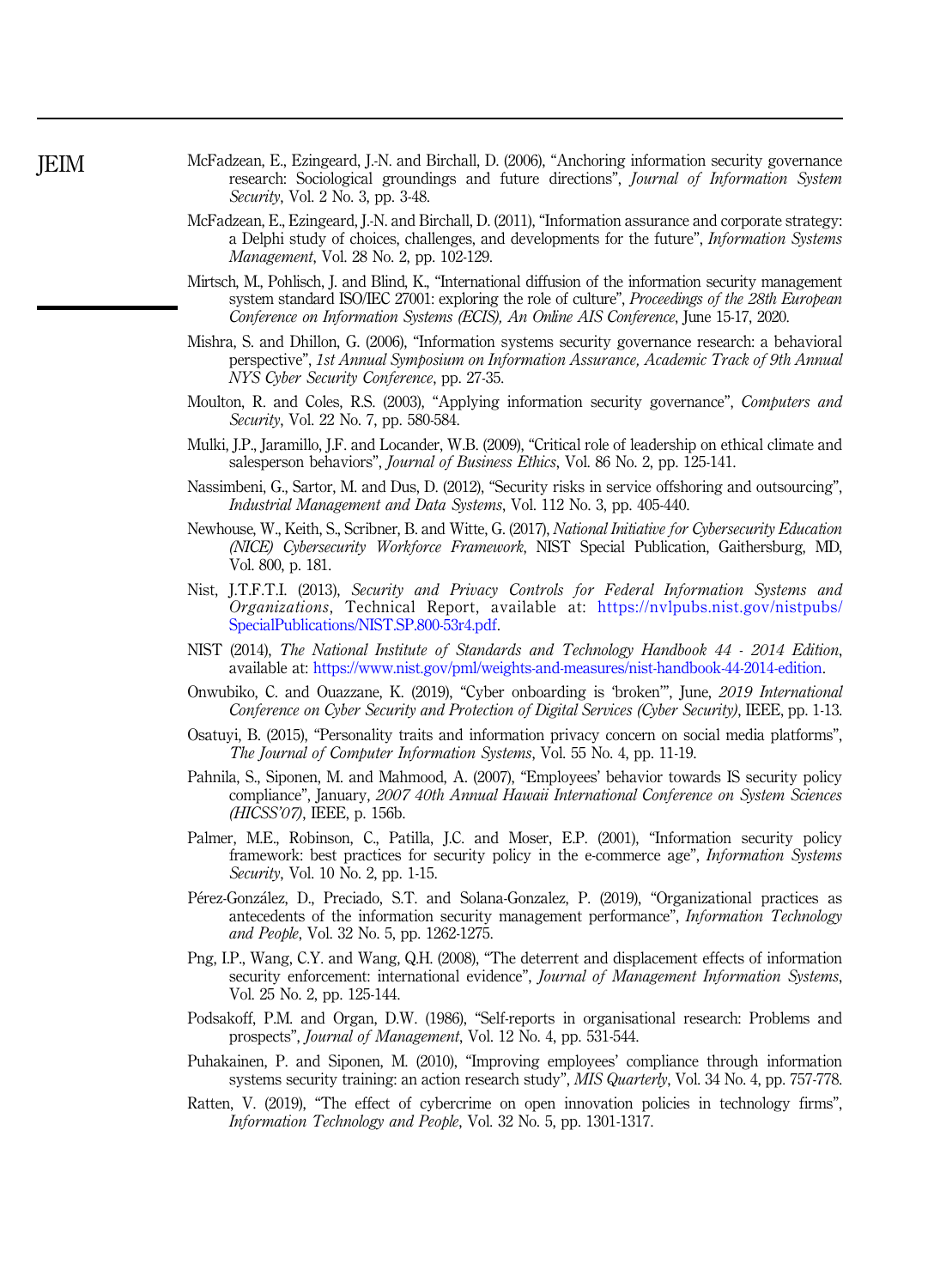- McFadzean, E., Ezingeard, J.-N. and Birchall, D. (2006), "Anchoring information security governance research: Sociological groundings and future directions", *Journal of Information System Security*, Vol. 2 No. 3, pp. 3-48.
- McFadzean, E., Ezingeard, J.-N. and Birchall, D. (2011), "Information assurance and corporate strategy: a Delphi study of choices, challenges, and developments for the future", *Information Systems Management*, Vol. 28 No. 2, pp. 102-129.
- Mirtsch, M., Pohlisch, J. and Blind, K., "International diffusion of the information security management system standard ISO/IEC 27001: exploring the role of culture", *Proceedings of the 28th European Conference on Information Systems (ECIS), An Online AIS Conference*, June 15-17, 2020.
- Mishra, S. and Dhillon, G. (2006), "Information systems security governance research: a behavioral perspective", *1st Annual Symposium on Information Assurance, Academic Track of 9th Annual NYS Cyber Security Conference*, pp. 27-35.
- Moulton, R. and Coles, R.S. (2003), "Applying information security governance", *Computers and Security*, Vol. 22 No. 7, pp. 580-584.
- Mulki, J.P., Jaramillo, J.F. and Locander, W.B. (2009), "Critical role of leadership on ethical climate and salesperson behaviors", *Journal of Business Ethics*, Vol. 86 No. 2, pp. 125-141.
- Nassimbeni, G., Sartor, M. and Dus, D. (2012), "Security risks in service offshoring and outsourcing", *Industrial Management and Data Systems*, Vol. 112 No. 3, pp. 405-440.
- Newhouse, W., Keith, S., Scribner, B. and Witte, G. (2017), *National Initiative for Cybersecurity Education (NICE) Cybersecurity Workforce Framework*, NIST Special Publication, Gaithersburg, MD, Vol. 800, p. 181.
- Nist, J.T.F.T.I. (2013), *Security and Privacy Controls for Federal Information Systems and Organizations*, Technical Report, available at: https://nvlpubs.nist.gov/nistpubs/ SpecialPublications/NIST.SP.800-53r4.pdf.
- NIST (2014), *The National Institute of Standards and Technology Handbook 44 2014 Edition*, available at: https://www.nist.gov/pml/weights-and-measures/nist-handbook-44-2014-edition.
- Onwubiko, C. and Ouazzane, K. (2019), "Cyber onboarding is 'broken'", June, *2019 International Conference on Cyber Security and Protection of Digital Services (Cyber Security)*, IEEE, pp. 1-13.
- Osatuyi, B. (2015), "Personality traits and information privacy concern on social media platforms", *The Journal of Computer Information Systems*, Vol. 55 No. 4, pp. 11-19.
- Pahnila, S., Siponen, M. and Mahmood, A. (2007), "Employees' behavior towards IS security policy compliance", January, *2007 40th Annual Hawaii International Conference on System Sciences (HICSS*'*07)*, IEEE, p. 156b.
- Palmer, M.E., Robinson, C., Patilla, J.C. and Moser, E.P. (2001), "Information security policy framework: best practices for security policy in the e-commerce age", *Information Systems Security*, Vol. 10 No. 2, pp. 1-15.
- Pérez-González, D., Preciado, S.T. and Solana-Gonzalez, P. (2019), "Organizational practices as antecedents of the information security management performance", *Information Technology and People*, Vol. 32 No. 5, pp. 1262-1275.
- Png, I.P., Wang, C.Y. and Wang, Q.H. (2008), "The deterrent and displacement effects of information security enforcement: international evidence", *Journal of Management Information Systems*, Vol. 25 No. 2, pp. 125-144.
- Podsakoff, P.M. and Organ, D.W. (1986), "Self-reports in organisational research: Problems and prospects", *Journal of Management*, Vol. 12 No. 4, pp. 531-544.
- Puhakainen, P. and Siponen, M. (2010), "Improving employees' compliance through information systems security training: an action research study", *MIS Quarterly*, Vol. 34 No. 4, pp. 757-778.
- Ratten, V. (2019), "The effect of cybercrime on open innovation policies in technology firms", *Information Technology and People*, Vol. 32 No. 5, pp. 1301-1317.

**IEIM**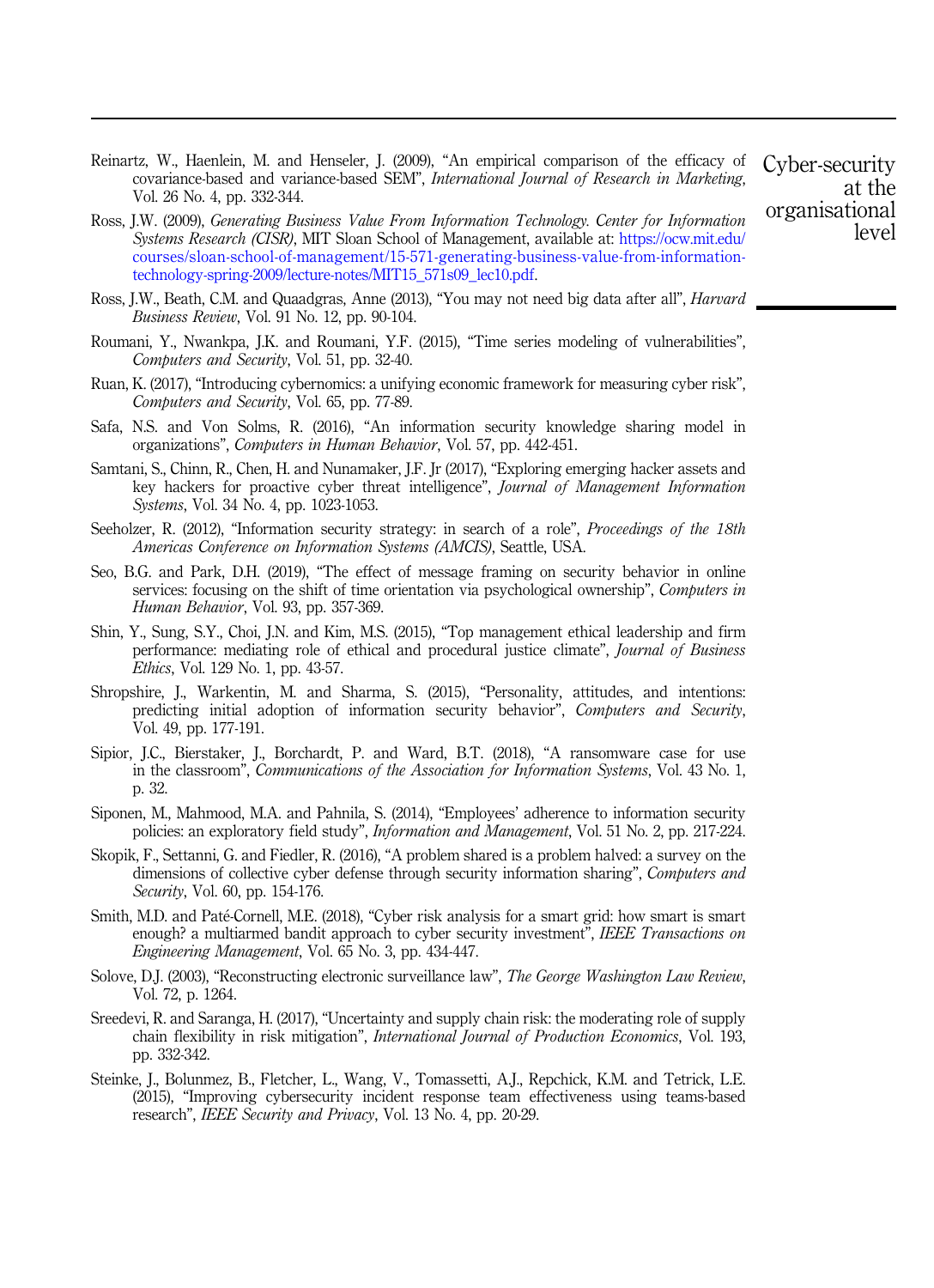- Reinartz, W., Haenlein, M. and Henseler, J. (2009), "An empirical comparison of the efficacy of covariance-based and variance-based SEM", *International Journal of Research in Marketing*, Vol. 26 No. 4, pp. 332-344.
- Ross, J.W. (2009), *Generating Business Value From Information Technology. Center for Information Systems Research (CISR)*, MIT Sloan School of Management, available at: https://ocw.mit.edu/ courses/sloan-school-of-management/15-571-generating-business-value-from-informationtechnology-spring-2009/lecture-notes/MIT15\_571s09\_lec10.pdf.
- Ross, J.W., Beath, C.M. and Quaadgras, Anne (2013), "You may not need big data after all", *Harvard Business Review*, Vol. 91 No. 12, pp. 90-104.
- Roumani, Y., Nwankpa, J.K. and Roumani, Y.F. (2015), "Time series modeling of vulnerabilities", *Computers and Security*, Vol. 51, pp. 32-40.
- Ruan, K. (2017), "Introducing cybernomics: a unifying economic framework for measuring cyber risk", *Computers and Security*, Vol. 65, pp. 77-89.
- Safa, N.S. and Von Solms, R. (2016), "An information security knowledge sharing model in organizations", *Computers in Human Behavior*, Vol. 57, pp. 442-451.
- Samtani, S., Chinn, R., Chen, H. and Nunamaker, J.F. Jr (2017), "Exploring emerging hacker assets and key hackers for proactive cyber threat intelligence", *Journal of Management Information Systems*, Vol. 34 No. 4, pp. 1023-1053.
- Seeholzer, R. (2012), "Information security strategy: in search of a role", *Proceedings of the 18th Americas Conference on Information Systems (AMCIS)*, Seattle, USA.
- Seo, B.G. and Park, D.H. (2019), "The effect of message framing on security behavior in online services: focusing on the shift of time orientation via psychological ownership", *Computers in Human Behavior*, Vol. 93, pp. 357-369.
- Shin, Y., Sung, S.Y., Choi, J.N. and Kim, M.S. (2015), "Top management ethical leadership and firm performance: mediating role of ethical and procedural justice climate", *Journal of Business Ethics*, Vol. 129 No. 1, pp. 43-57.
- Shropshire, J., Warkentin, M. and Sharma, S. (2015), "Personality, attitudes, and intentions: predicting initial adoption of information security behavior", *Computers and Security*, Vol. 49, pp. 177-191.
- Sipior, J.C., Bierstaker, J., Borchardt, P. and Ward, B.T. (2018), "A ransomware case for use in the classroom", *Communications of the Association for Information Systems*, Vol. 43 No. 1, p. 32.
- Siponen, M., Mahmood, M.A. and Pahnila, S. (2014), "Employees' adherence to information security policies: an exploratory field study", *Information and Management*, Vol. 51 No. 2, pp. 217-224.
- Skopik, F., Settanni, G. and Fiedler, R. (2016), "A problem shared is a problem halved: a survey on the dimensions of collective cyber defense through security information sharing", *Computers and Security*, Vol. 60, pp. 154-176.
- Smith, M.D. and Paté-Cornell, M.E. (2018), "Cyber risk analysis for a smart grid: how smart is smart enough? a multiarmed bandit approach to cyber security investment", *IEEE Transactions on Engineering Management*, Vol. 65 No. 3, pp. 434-447.
- Solove, D.J. (2003), "Reconstructing electronic surveillance law", *The George Washington Law Review*, Vol. 72, p. 1264.
- Sreedevi, R. and Saranga, H. (2017), "Uncertainty and supply chain risk: the moderating role of supply chain flexibility in risk mitigation", *International Journal of Production Economics*, Vol. 193, pp. 332-342.
- Steinke, J., Bolunmez, B., Fletcher, L., Wang, V., Tomassetti, A.J., Repchick, K.M. and Tetrick, L.E. (2015), "Improving cybersecurity incident response team effectiveness using teams-based research", *IEEE Security and Privacy*, Vol. 13 No. 4, pp. 20-29.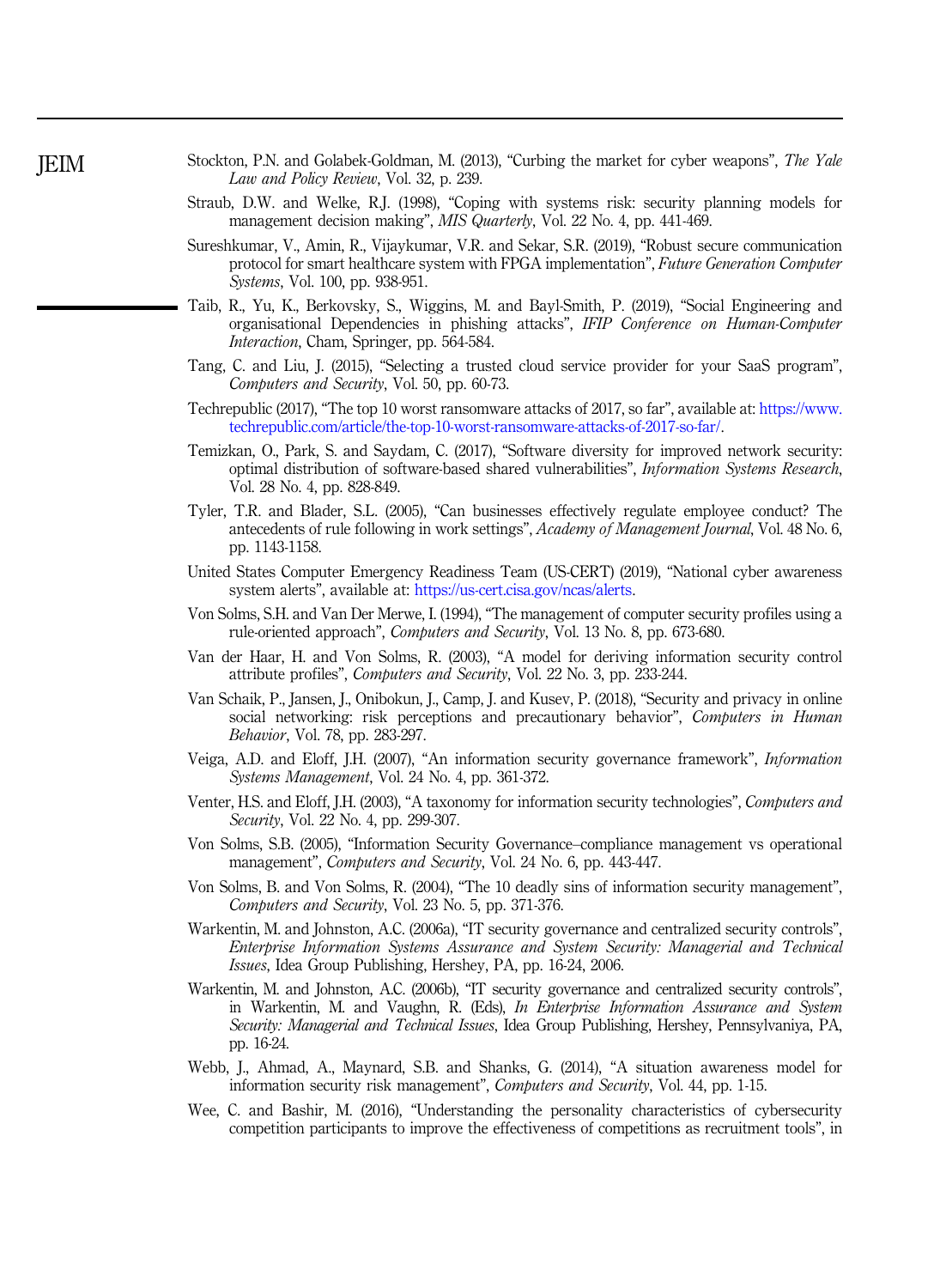| Stockton, P.N. and Golabek-Goldman, M. (2013), "Curbing the market for cyber weapons", The Yale |  |  |                                         |  |  |  |  |  |  |
|-------------------------------------------------------------------------------------------------|--|--|-----------------------------------------|--|--|--|--|--|--|
|                                                                                                 |  |  | Law and Policy Review, Vol. 32, p. 239. |  |  |  |  |  |  |

- Straub, D.W. and Welke, R.J. (1998), "Coping with systems risk: security planning models for management decision making", *MIS Quarterly*, Vol. 22 No. 4, pp. 441-469.
- Sureshkumar, V., Amin, R., Vijaykumar, V.R. and Sekar, S.R. (2019), "Robust secure communication protocol for smart healthcare system with FPGA implementation", *Future Generation Computer Systems*, Vol. 100, pp. 938-951.
- Taib, R., Yu, K., Berkovsky, S., Wiggins, M. and Bayl-Smith, P. (2019), "Social Engineering and organisational Dependencies in phishing attacks", *IFIP Conference on Human-Computer Interaction*, Cham, Springer, pp. 564-584.
- Tang, C. and Liu, J. (2015), "Selecting a trusted cloud service provider for your SaaS program", *Computers and Security*, Vol. 50, pp. 60-73.
- Techrepublic (2017), "The top 10 worst ransomware attacks of 2017, so far", available at: https://www. techrepublic.com/article/the-top-10-worst-ransomware-attacks-of-2017-so-far/.
- Temizkan, O., Park, S. and Saydam, C. (2017), "Software diversity for improved network security: optimal distribution of software-based shared vulnerabilities", *Information Systems Research*, Vol. 28 No. 4, pp. 828-849.
- Tyler, T.R. and Blader, S.L. (2005), "Can businesses effectively regulate employee conduct? The antecedents of rule following in work settings", *Academy of Management Journal*, Vol. 48 No. 6, pp. 1143-1158.
- United States Computer Emergency Readiness Team (US-CERT) (2019), "National cyber awareness system alerts", available at: https://us-cert.cisa.gov/ncas/alerts.
- Von Solms, S.H. and Van Der Merwe, I. (1994), "The management of computer security profiles using a rule-oriented approach", *Computers and Security*, Vol. 13 No. 8, pp. 673-680.
- Van der Haar, H. and Von Solms, R. (2003), "A model for deriving information security control attribute profiles", *Computers and Security*, Vol. 22 No. 3, pp. 233-244.
- Van Schaik, P., Jansen, J., Onibokun, J., Camp, J. and Kusev, P. (2018), "Security and privacy in online social networking: risk perceptions and precautionary behavior", *Computers in Human Behavior*, Vol. 78, pp. 283-297.
- Veiga, A.D. and Eloff, J.H. (2007), "An information security governance framework", *Information Systems Management*, Vol. 24 No. 4, pp. 361-372.
- Venter, H.S. and Eloff, J.H. (2003), "A taxonomy for information security technologies", *Computers and Security*, Vol. 22 No. 4, pp. 299-307.
- Von Solms, S.B. (2005), "Information Security Governance–compliance management vs operational management", *Computers and Security*, Vol. 24 No. 6, pp. 443-447.
- Von Solms, B. and Von Solms, R. (2004), "The 10 deadly sins of information security management", *Computers and Security*, Vol. 23 No. 5, pp. 371-376.
- Warkentin, M. and Johnston, A.C. (2006a), "IT security governance and centralized security controls", *Enterprise Information Systems Assurance and System Security: Managerial and Technical Issues*, Idea Group Publishing, Hershey, PA, pp. 16-24, 2006.
- Warkentin, M. and Johnston, A.C. (2006b), "IT security governance and centralized security controls", in Warkentin, M. and Vaughn, R. (Eds), *In Enterprise Information Assurance and System Security: Managerial and Technical Issues*, Idea Group Publishing, Hershey, Pennsylvaniya, PA, pp. 16-24.
- Webb, J., Ahmad, A., Maynard, S.B. and Shanks, G. (2014), "A situation awareness model for information security risk management", *Computers and Security*, Vol. 44, pp. 1-15.
- Wee, C. and Bashir, M. (2016), "Understanding the personality characteristics of cybersecurity competition participants to improve the effectiveness of competitions as recruitment tools", in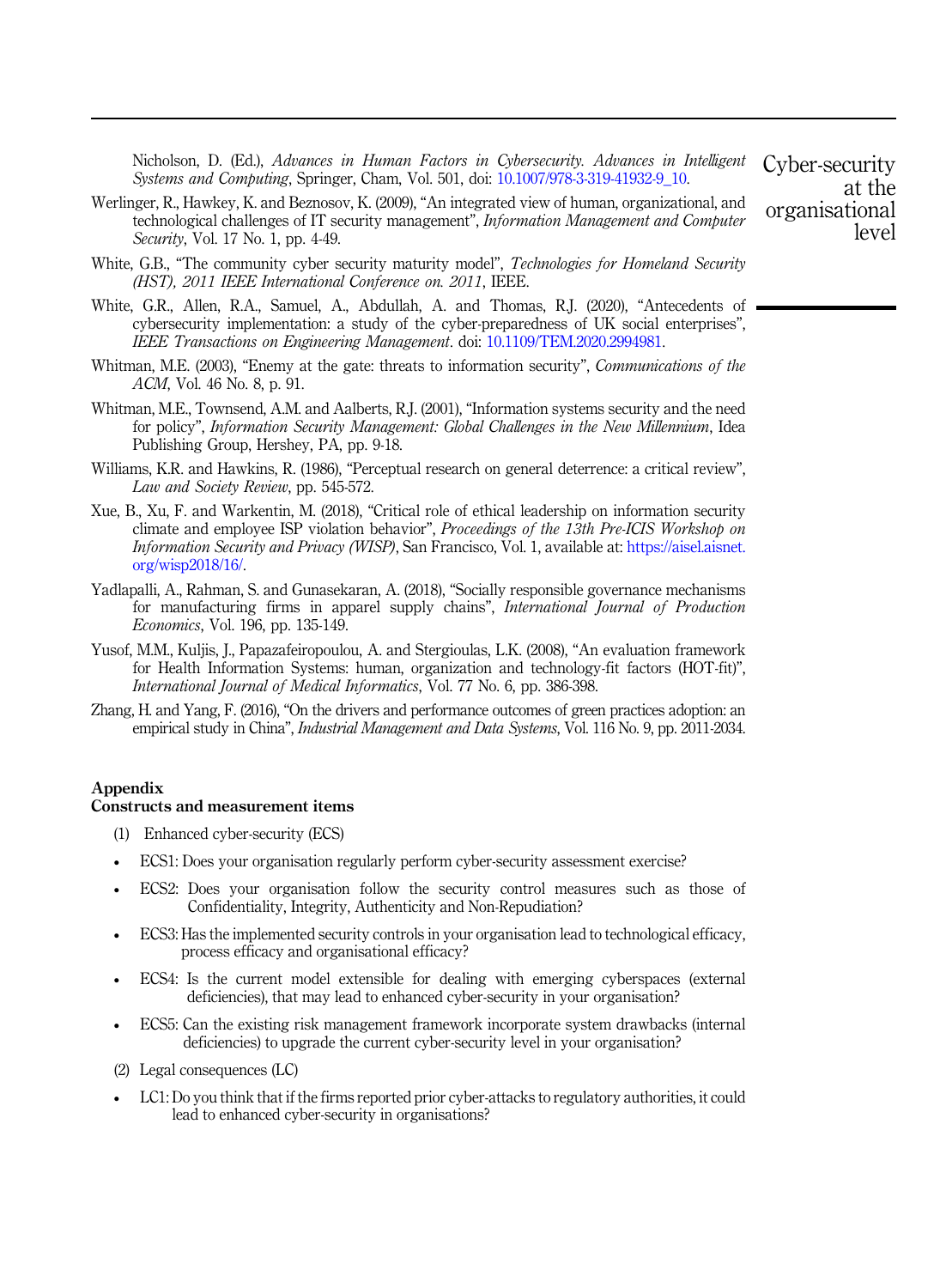Nicholson, D. (Ed.), *Advances in Human Factors in Cybersecurity. Advances in Intelligent Systems and Computing*, Springer, Cham, Vol. 501, doi: 10.1007/978-3-319-41932-9\_10.

- Werlinger, R., Hawkey, K. and Beznosov, K. (2009), "An integrated view of human, organizational, and technological challenges of IT security management", *Information Management and Computer Security*, Vol. 17 No. 1, pp. 4-49.
- White, G.B., "The community cyber security maturity model", *Technologies for Homeland Security (HST), 2011 IEEE International Conference on. 2011*, IEEE.
- White, G.R., Allen, R.A., Samuel, A., Abdullah, A. and Thomas, R.J. (2020), "Antecedents of cybersecurity implementation: a study of the cyber-preparedness of UK social enterprises", *IEEE Transactions on Engineering Management*. doi: 10.1109/TEM.2020.2994981.
- Whitman, M.E. (2003), "Enemy at the gate: threats to information security", *Communications of the ACM*, Vol. 46 No. 8, p. 91.
- Whitman, M.E., Townsend, A.M. and Aalberts, R.J. (2001), "Information systems security and the need for policy", *Information Security Management: Global Challenges in the New Millennium*, Idea Publishing Group, Hershey, PA, pp. 9-18.
- Williams, K.R. and Hawkins, R. (1986), "Perceptual research on general deterrence: a critical review", *Law and Society Review*, pp. 545-572.
- Xue, B., Xu, F. and Warkentin, M. (2018), "Critical role of ethical leadership on information security climate and employee ISP violation behavior", *Proceedings of the 13th Pre-ICIS Workshop on Information Security and Privacy (WISP)*, San Francisco, Vol. 1, available at: https://aisel.aisnet. org/wisp2018/16/.
- Yadlapalli, A., Rahman, S. and Gunasekaran, A. (2018), "Socially responsible governance mechanisms for manufacturing firms in apparel supply chains", *International Journal of Production Economics*, Vol. 196, pp. 135-149.
- Yusof, M.M., Kuljis, J., Papazafeiropoulou, A. and Stergioulas, L.K. (2008), "An evaluation framework for Health Information Systems: human, organization and technology-fit factors (HOT-fit)", *International Journal of Medical Informatics*, Vol. 77 No. 6, pp. 386-398.
- Zhang, H. and Yang, F. (2016), "On the drivers and performance outcomes of green practices adoption: an empirical study in China", *Industrial Management and Data Systems*, Vol. 116 No. 9, pp. 2011-2034.

#### Appendix

#### Constructs and measurement items

- (1) Enhanced cyber-security (ECS)
- ECS1: Does your organisation regularly perform cyber-security assessment exercise?
- ECS2: Does your organisation follow the security control measures such as those of Confidentiality, Integrity, Authenticity and Non-Repudiation?
- ECS3: Has the implemented security controls in your organisation lead to technological efficacy, process efficacy and organisational efficacy?
- ECS4: Is the current model extensible for dealing with emerging cyberspaces (external deficiencies), that may lead to enhanced cyber-security in your organisation?
- ECS5: Can the existing risk management framework incorporate system drawbacks (internal deficiencies) to upgrade the current cyber-security level in your organisation?
- (2) Legal consequences (LC)
- LC1: Do you think that if the firms reported prior cyber-attacks to regulatory authorities, it could lead to enhanced cyber-security in organisations?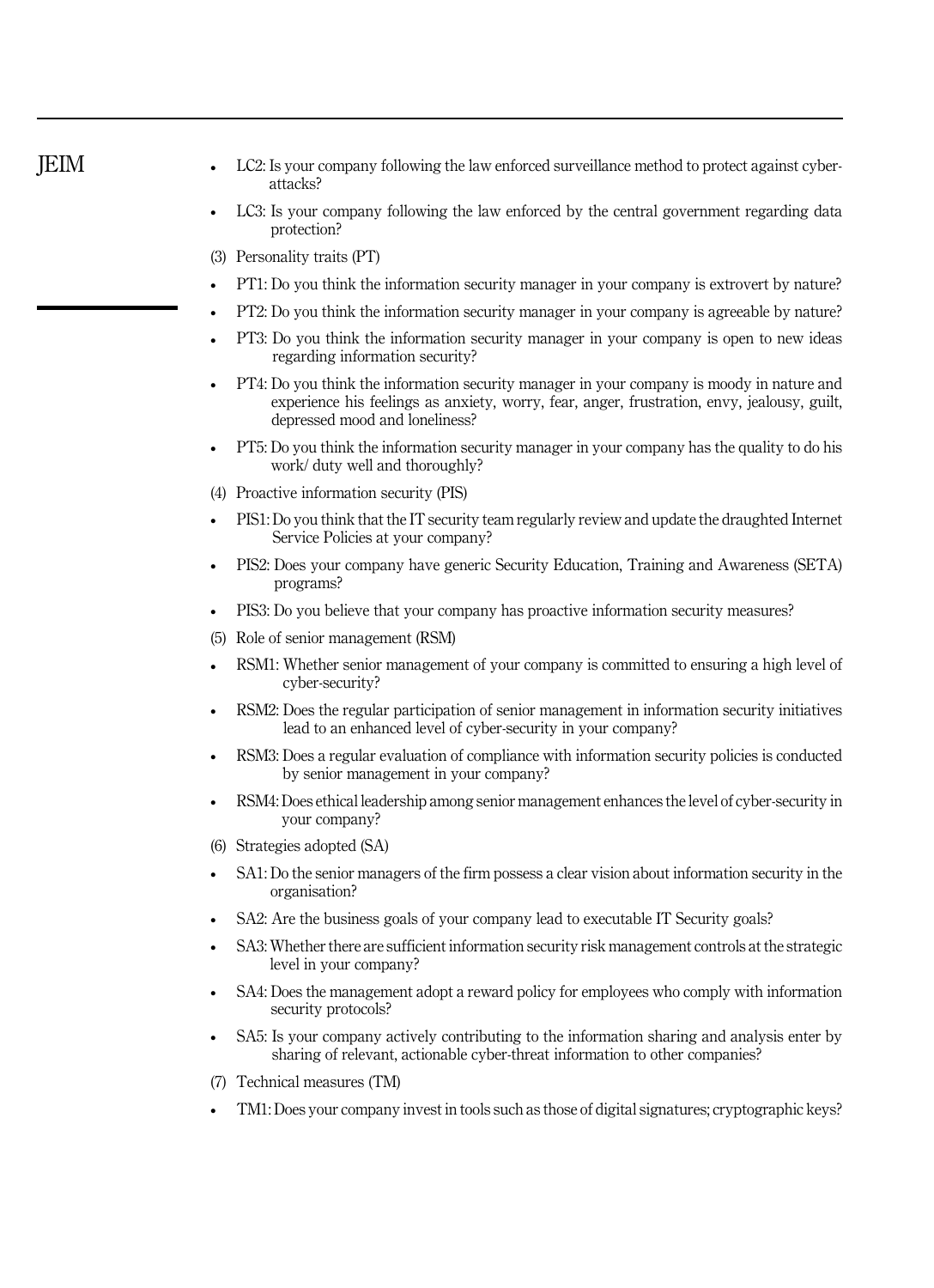| <b>JEIM</b> | LC2: Is your company following the law enforced surveillance method to protect against cyber-<br>attacks?                                                                                                                  |
|-------------|----------------------------------------------------------------------------------------------------------------------------------------------------------------------------------------------------------------------------|
|             | LC3: Is your company following the law enforced by the central government regarding data<br>protection?                                                                                                                    |
|             | (3) Personality traits (PT)                                                                                                                                                                                                |
|             | PT1: Do you think the information security manager in your company is extrovert by nature?                                                                                                                                 |
|             | PT2: Do you think the information security manager in your company is agreeable by nature?                                                                                                                                 |
|             | PT3: Do you think the information security manager in your company is open to new ideas<br>regarding information security?                                                                                                 |
|             | PT4: Do you think the information security manager in your company is moody in nature and<br>experience his feelings as anxiety, worry, fear, anger, frustration, envy, jealousy, guilt,<br>depressed mood and loneliness? |
|             | PT5: Do you think the information security manager in your company has the quality to do his<br>work/ duty well and thoroughly?                                                                                            |
|             | (4) Proactive information security (PIS)                                                                                                                                                                                   |
|             | PIS1: Do you think that the IT security team regularly review and update the draughted Internet<br>Service Policies at your company?                                                                                       |
|             | PIS2: Does your company have generic Security Education, Training and Awareness (SETA)<br>programs?                                                                                                                        |
|             | PIS3: Do you believe that your company has proactive information security measures?                                                                                                                                        |
|             | (5) Role of senior management (RSM)                                                                                                                                                                                        |
|             | RSM1: Whether senior management of your company is committed to ensuring a high level of<br>cyber-security?                                                                                                                |
|             | RSM2: Does the regular participation of senior management in information security initiatives<br>lead to an enhanced level of cyber-security in your company?                                                              |
|             | RSM3: Does a regular evaluation of compliance with information security policies is conducted<br>by senior management in your company?                                                                                     |
|             | RSM4: Does ethical leadership among senior management enhances the level of cyber-security in<br>your company?                                                                                                             |
|             | (6) Strategies adopted (SA)                                                                                                                                                                                                |
|             | SA1: Do the senior managers of the firm possess a clear vision about information security in the<br>organisation?                                                                                                          |
|             | SA2: Are the business goals of your company lead to executable IT Security goals?                                                                                                                                          |
|             | SA3: Whether there are sufficient information security risk management controls at the strategic<br>level in your company?                                                                                                 |
|             | SA4: Does the management adopt a reward policy for employees who comply with information<br>security protocols?                                                                                                            |
|             | SA5: Is your company actively contributing to the information sharing and analysis enter by<br>sharing of relevant, actionable cyber-threat information to other companies?                                                |
|             | Technical measures (TM)<br>(7)                                                                                                                                                                                             |
|             | TM1: Does your company invest in tools such as those of digital signatures; cryptographic keys?                                                                                                                            |